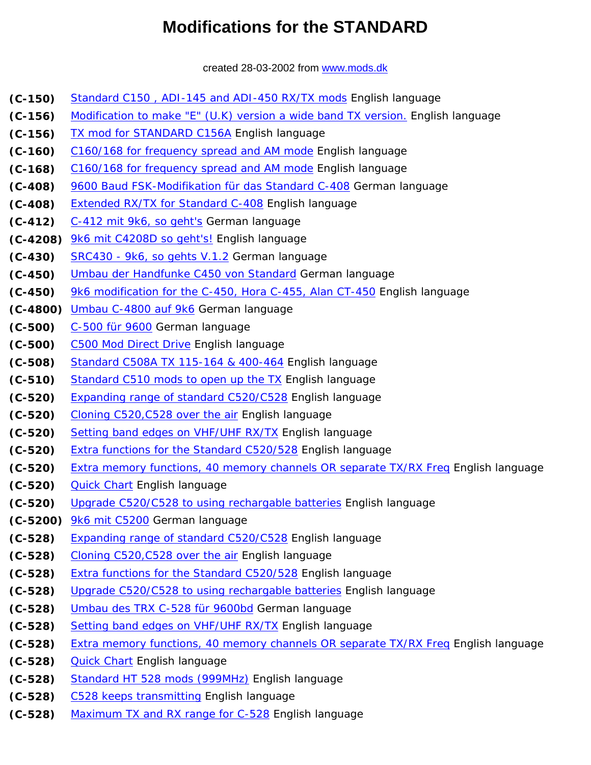# **Modifications for the STANDARD**

created 28-03-2002 from [www.mods.dk](http://www.mods.dk/)

- <span id="page-0-0"></span>**(C-150)** [Standard C150 , ADI-145 and ADI-450 RX/TX mods](#page-1-0) English language
- **(C-156)** [Modification to make "E" \(U.K\) version a wide band TX version.](#page-2-0) English language
- **(C-156)** [TX mod for STANDARD C156A](#page-2-1) English language
- **(C-160)** [C160/168 for frequency spread and AM mode](#page-4-0) English language
- **(C-168)** [C160/168 for frequency spread and AM mode](#page-5-0) English language
- **(C-408)** [9600 Baud FSK-Modifikation für das Standard C-408](#page-6-0) German language
- **(C-408)** [Extended RX/TX for Standard C-408](#page-8-0) English language
- **(C-412)** [C-412 mit 9k6, so geht's](#page-9-0) German language
- **(C-4208)** [9k6 mit C4208D so geht's!](#page-10-0) English language
- **(C-430)** [SRC430 9k6, so gehts V.1.2](#page-11-0) German language
- **(C-450)** [Umbau der Handfunke C450 von Standard](#page-16-0) German language
- **(C-450)** [9k6 modification for the C-450, Hora C-455, Alan CT-450](#page-19-0) English language
- **(C-4800)** [Umbau C-4800 auf 9k6](#page-20-0) German language
- **(C-500)** [C-500 für 9600](#page-21-0) German language
- **(C-500)** [C500 Mod Direct Drive](#page-22-0) English language
- **(C-508)** [Standard C508A TX 115-164 & 400-464](#page-23-0) English language
- **(C-510)** [Standard C510 mods to open up the TX](#page-24-0) English language
- **(C-520)** [Expanding range of standard C520/C528](#page-25-0) English language
- **(C-520)** [Cloning C520,C528 over the air](#page-25-1) English language
- **(C-520)** [Setting band edges on VHF/UHF RX/TX](#page-26-0) English language
- **(C-520)** [Extra functions for the Standard C520/528](#page-26-1) English language
- **(C-520)** [Extra memory functions, 40 memory channels OR separate TX/RX Freq](#page-26-2) English language
- **(C-520)** [Quick Chart](#page-27-0) English language
- **(C-520)** [Upgrade C520/C528 to using rechargable batteries](#page-29-0) English language
- **(C-5200)** [9k6 mit C5200](#page-30-0) German language
- **(C-528)** [Expanding range of standard C520/C528](#page-30-1) English language
- **(C-528)** [Cloning C520,C528 over the air](#page-31-0) English language
- **(C-528)** [Extra functions for the Standard C520/528](#page-31-1) English language
- **(C-528)** [Upgrade C520/C528 to using rechargable batteries](#page-32-0) English language
- **(C-528)** [Umbau des TRX C-528 für 9600bd](#page-33-0) German language
- **(C-528)** [Setting band edges on VHF/UHF RX/TX](#page-40-0) English language
- **(C-528)** [Extra memory functions, 40 memory channels OR separate TX/RX Freq](#page-40-1) English language
- **(C-528)** [Quick Chart](#page-41-0) English language
- **(C-528)** [Standard HT 528 mods \(999MHz\)](#page-42-0) English language
- **(C-528)** [C528 keeps transmitting](#page-43-0) English language
- **(C-528)** [Maximum TX and RX range for C-528](#page-43-1) English language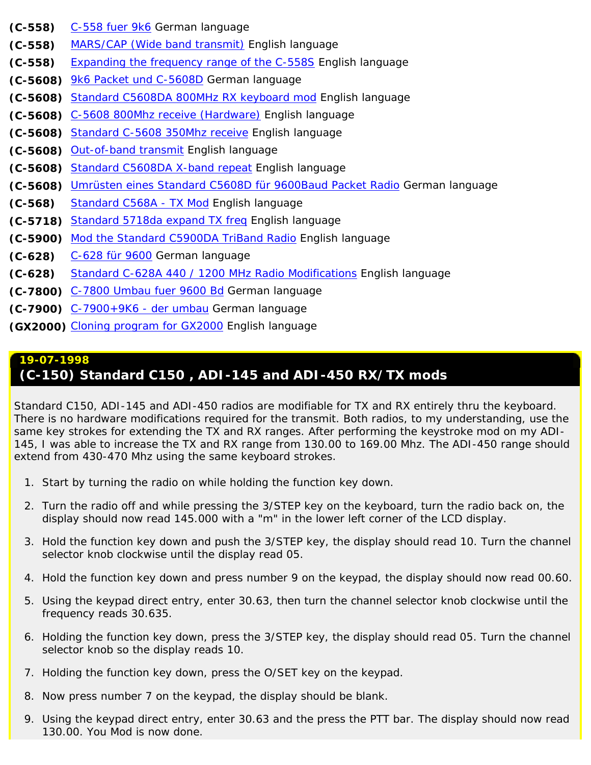- **(C-558)** [C-558 fuer 9k6](#page-44-0) German language
- **(C-558)** [MARS/CAP \(Wide band transmit\)](#page-45-0) English language
- **(C-558)** [Expanding the frequency range of the C-558S](#page-46-0) English language
- **(C-5608)** [9k6 Packet und C-5608D](#page-47-0) German language
- **(C-5608)** [Standard C5608DA 800MHz RX keyboard mod](#page-49-0) English language
- **(C-5608)** [C-5608 800Mhz receive \(Hardware\)](#page-50-0) English language
- **(C-5608)** [Standard C-5608 350Mhz receive](#page-51-0) English language
- **(C-5608)** [Out-of-band transmit](#page-51-1) English language
- **(C-5608)** [Standard C5608DA X-band repeat](#page-51-2) English language
- **(C-5608)** [Umrüsten eines Standard C5608D für 9600Baud Packet Radio](#page-52-0) German language
- **(C-568)** [Standard C568A TX Mod](#page-57-0) English language
- **(C-5718)** [Standard 5718da expand TX freq](#page-57-1) English language
- **(C-5900)** [Mod the Standard C5900DA TriBand Radio](#page-58-0) English language
- **(C-628)** [C-628 für 9600](#page-58-1) German language
- **(C-628)** [Standard C-628A 440 / 1200 MHz Radio Modifications](#page-61-0) English language
- **(C-7800)** [C-7800 Umbau fuer 9600 Bd](#page-62-0) German language
- **(C-7900)** [C-7900+9K6 der umbau](#page-63-0) German language
- <span id="page-1-0"></span>**(GX2000)** [Cloning program for GX2000](#page-63-1) English language

## **19-07-1998**

# **(C-150) Standard C150 , ADI-145 and ADI-450 RX/TX mods**

Standard C150, ADI-145 and ADI-450 radios are modifiable for TX and RX entirely thru the keyboard. There is no hardware modifications required for the transmit. Both radios, to my understanding, use the same key strokes for extending the TX and RX ranges. After performing the keystroke mod on my ADI-145, I was able to increase the TX and RX range from 130.00 to 169.00 Mhz. The ADI-450 range should extend from 430-470 Mhz using the same keyboard strokes.

- 1. Start by turning the radio on while holding the function key down.
- 2. Turn the radio off and while pressing the 3/STEP key on the keyboard, turn the radio back on, the display should now read 145.000 with a "m" in the lower left corner of the LCD display.
- 3. Hold the function key down and push the 3/STEP key, the display should read 10. Turn the channel selector knob clockwise until the display read 05.
- 4. Hold the function key down and press number 9 on the keypad, the display should now read 00.60.
- 5. Using the keypad direct entry, enter 30.63, then turn the channel selector knob clockwise until the frequency reads 30.635.
- 6. Holding the function key down, press the 3/STEP key, the display should read 05. Turn the channel selector knob so the display reads 10.
- 7. Holding the function key down, press the O/SET key on the keypad.
- 8. Now press number 7 on the keypad, the display should be blank.
- 9. Using the keypad direct entry, enter 30.63 and the press the PTT bar. The display should now read 130.00. You Mod is now done.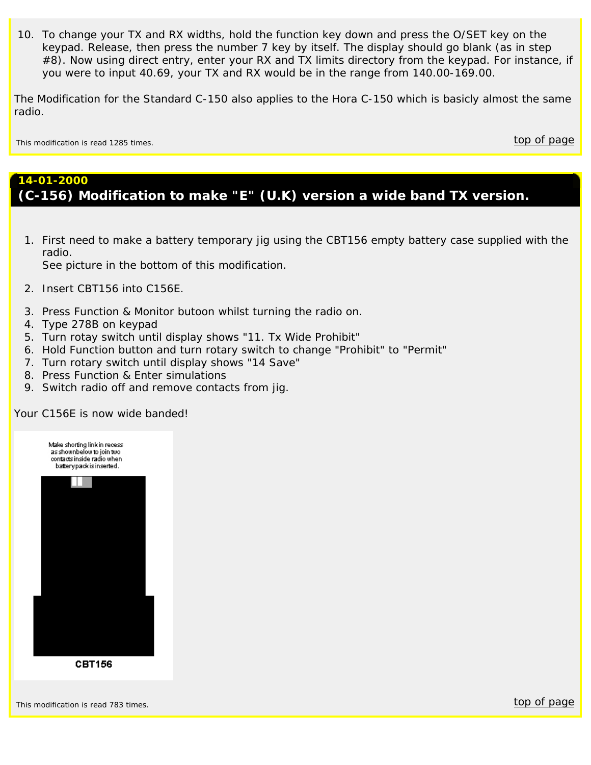10. To change your TX and RX widths, hold the function key down and press the O/SET key on the keypad. Release, then press the number 7 key by itself. The display should go blank (as in step #8). Now using direct entry, enter your RX and TX limits directory from the keypad. For instance, if you were to input 40.69, your TX and RX would be in the range from 140.00-169.00.

The Modification for the Standard C-150 also applies to the Hora C-150 which is basicly almost the same radio.

<span id="page-2-0"></span>This modification is read 1285 times. This modification is read 1285 times.

## **14-01-2000 (C-156) Modification to make "E" (U.K) version a wide band TX version.**

- 1. First need to make a battery temporary jig using the CBT156 empty battery case supplied with the radio. See picture in the bottom of this modification.
- 2. Insert CBT156 into C156E.
- 3. Press Function & Monitor butoon whilst turning the radio on.
- 4. Type 278B on keypad
- 5. Turn rotay switch until display shows "11. Tx Wide Prohibit"
- 6. Hold Function button and turn rotary switch to change "Prohibit" to "Permit"
- 7. Turn rotary switch until display shows "14 Save"
- 8. Press Function & Enter simulations
- 9. Switch radio off and remove contacts from jig.

Your C156E is now wide banded!

<span id="page-2-1"></span>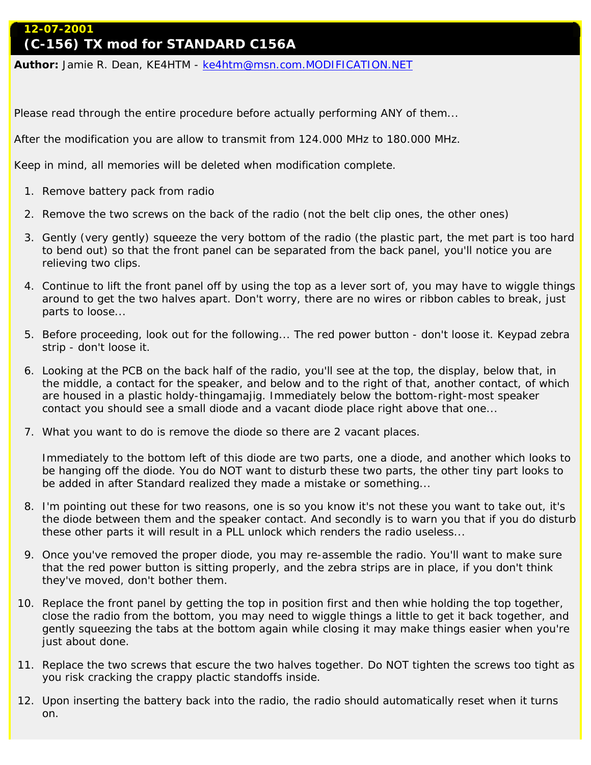## **12-07-2001 (C-156) TX mod for STANDARD C156A**

*Author: Jamie R. Dean, KE4HTM - [ke4htm@msn.com.MODIFICATION.NET](mailto:ke4htm@msn.com.MODIFICATION.NET)*

Please read through the entire procedure before actually performing ANY of them...

After the modification you are allow to transmit from 124.000 MHz to 180.000 MHz.

Keep in mind, all memories will be deleted when modification complete.

- 1. Remove battery pack from radio
- 2. Remove the two screws on the back of the radio (not the belt clip ones, the other ones)
- 3. Gently (very gently) squeeze the very bottom of the radio (the plastic part, the met part is too hard to bend out) so that the front panel can be separated from the back panel, you'll notice you are relieving two clips.
- 4. Continue to lift the front panel off by using the top as a lever sort of, you may have to wiggle things around to get the two halves apart. Don't worry, there are no wires or ribbon cables to break, just parts to loose...
- 5. Before proceeding, look out for the following... The red power button don't loose it. Keypad zebra strip - don't loose it.
- 6. Looking at the PCB on the back half of the radio, you'll see at the top, the display, below that, in the middle, a contact for the speaker, and below and to the right of that, another contact, of which are housed in a plastic holdy-thingamajig. Immediately below the bottom-right-most speaker contact you should see a small diode and a vacant diode place right above that one...
- 7. What you want to do is remove the diode so there are 2 vacant places.

Immediately to the bottom left of this diode are two parts, one a diode, and another which looks to be hanging off the diode. You do NOT want to disturb these two parts, the other tiny part looks to be added in after Standard realized they made a mistake or something...

- 8. I'm pointing out these for two reasons, one is so you know it's not these you want to take out, it's the diode between them and the speaker contact. And secondly is to warn you that if you do disturb these other parts it will result in a PLL unlock which renders the radio useless...
- 9. Once you've removed the proper diode, you may re-assemble the radio. You'll want to make sure that the red power button is sitting properly, and the zebra strips are in place, if you don't think they've moved, don't bother them.
- 10. Replace the front panel by getting the top in position first and then whie holding the top together, close the radio from the bottom, you may need to wiggle things a little to get it back together, and gently squeezing the tabs at the bottom again while closing it may make things easier when you're just about done.
- 11. Replace the two screws that escure the two halves together. Do NOT tighten the screws too tight as you risk cracking the crappy plactic standoffs inside.
- 12. Upon inserting the battery back into the radio, the radio should automatically reset when it turns on.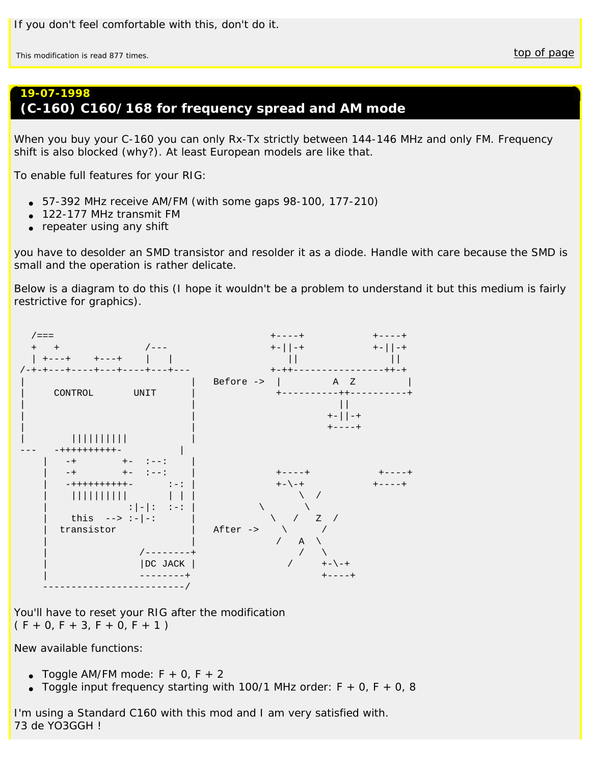If you don't feel comfortable with this, don't do it.

<span id="page-4-0"></span>This modification is read 877 times. the control of the control of the control of the control of the control of page

# **19-07-1998 (C-160) C160/168 for frequency spread and AM mode**

When you buy your C-160 you can only Rx-Tx strictly between 144-146 MHz and only FM. Frequency shift is also blocked (why?). At least European models are like that.

To enable full features for your RIG:

- 57-392 MHz receive AM/FM (with some gaps  $98-100$ ,  $177-210$ )
- 122-177 MHz transmit FM
- repeater using any shift

you have to desolder an SMD transistor and resolder it as a diode. Handle with care because the SMD is small and the operation is rather delicate.

Below is a diagram to do this (I hope it wouldn't be a problem to understand it but this medium is fairly restrictive for graphics).



You'll have to reset your RIG after the modification  $(F + 0, F + 3, F + 0, F + 1)$ 

New available functions:

- Toggle AM/FM mode:  $F + 0$ ,  $F + 2$
- Toggle input frequency starting with  $100/1$  MHz order:  $F + 0$ ,  $F + 0$ , 8

I'm using a Standard C160 with this mod and I am very satisfied with. 73 de YO3GGH !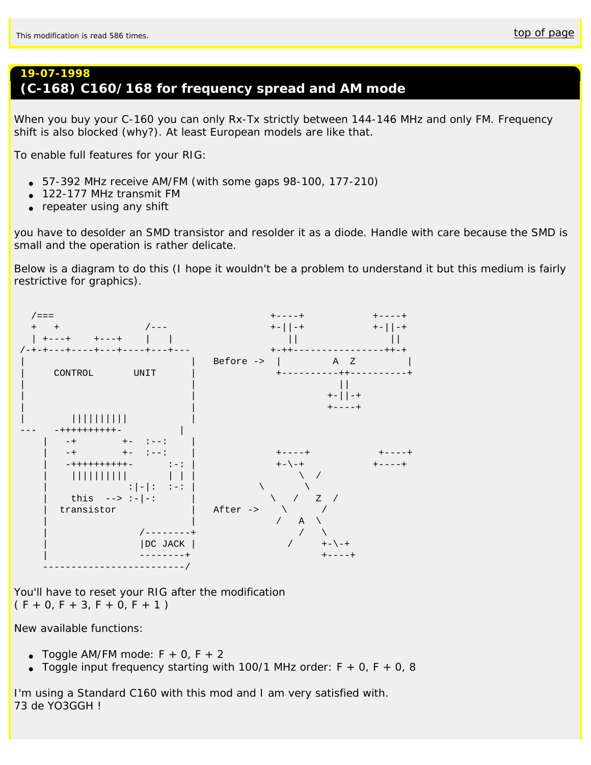## <span id="page-5-0"></span>**19-07-1998 (C-168) C160/168 for frequency spread and AM mode**

When you buy your C-160 you can only Rx-Tx strictly between 144-146 MHz and only FM. Frequency shift is also blocked (why?). At least European models are like that.

To enable full features for your RIG:

- 57-392 MHz receive AM/FM (with some gaps  $98-100$ ,  $177-210$ )
- 122-177 MHz transmit FM
- repeater using any shift

you have to desolder an SMD transistor and resolder it as a diode. Handle with care because the SMD is small and the operation is rather delicate.

Below is a diagram to do this (I hope it wouldn't be a problem to understand it but this medium is fairly restrictive for graphics).



You'll have to reset your RIG after the modification  $(F + 0, F + 3, F + 0, F + 1)$ 

New available functions:

- Toggle AM/FM mode:  $F + 0$ ,  $F + 2$
- Toggle input frequency starting with  $100/1$  MHz order: F + 0, F + 0, 8

I'm using a Standard C160 with this mod and I am very satisfied with. 73 de YO3GGH !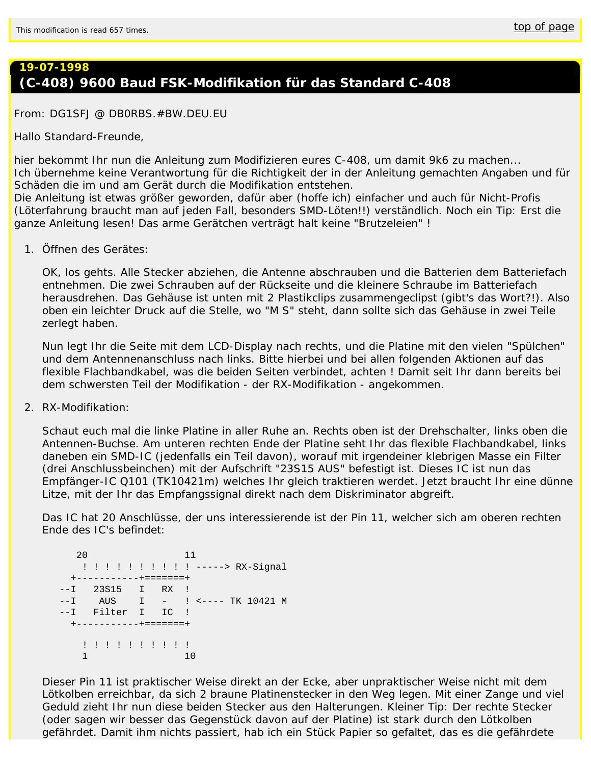## <span id="page-6-0"></span>**19-07-1998 (C-408) 9600 Baud FSK-Modifikation für das Standard C-408**

*From: DG1SFJ @ DB0RBS.#BW.DEU.EU*

Hallo Standard-Freunde,

hier bekommt Ihr nun die Anleitung zum Modifizieren eures C-408, um damit 9k6 zu machen... Ich übernehme keine Verantwortung für die Richtigkeit der in der Anleitung gemachten Angaben und für Schäden die im und am Gerät durch die Modifikation entstehen.

Die Anleitung ist etwas größer geworden, dafür aber (hoffe ich) einfacher und auch für Nicht-Profis (Löterfahrung braucht man auf jeden Fall, besonders SMD-Löten!!) verständlich. Noch ein Tip: Erst die ganze Anleitung lesen! Das arme Gerätchen verträgt halt keine "Brutzeleien" !

1. Öffnen des Gerätes:

OK, los gehts. Alle Stecker abziehen, die Antenne abschrauben und die Batterien dem Batteriefach entnehmen. Die zwei Schrauben auf der Rückseite und die kleinere Schraube im Batteriefach herausdrehen. Das Gehäuse ist unten mit 2 Plastikclips zusammengeclipst (gibt's das Wort?!). Also oben ein leichter Druck auf die Stelle, wo "M S" steht, dann sollte sich das Gehäuse in zwei Teile zerlegt haben.

Nun legt Ihr die Seite mit dem LCD-Display nach rechts, und die Platine mit den vielen "Spülchen" und dem Antennenanschluss nach links. Bitte hierbei und bei allen folgenden Aktionen auf das flexible Flachbandkabel, was die beiden Seiten verbindet, achten ! Damit seit Ihr dann bereits bei dem schwersten Teil der Modifikation - der RX-Modifikation - angekommen.

2. RX-Modifikation:

Schaut euch mal die linke Platine in aller Ruhe an. Rechts oben ist der Drehschalter, links oben die Antennen-Buchse. Am unteren rechten Ende der Platine seht Ihr das flexible Flachbandkabel, links daneben ein SMD-IC (jedenfalls ein Teil davon), worauf mit irgendeiner klebrigen Masse ein Filter (drei Anschlussbeinchen) mit der Aufschrift "23S15 AUS" befestigt ist. Dieses IC ist nun das Empfänger-IC Q101 (TK10421m) welches Ihr gleich traktieren werdet. Jetzt braucht Ihr eine dünne Litze, mit der Ihr das Empfangssignal direkt nach dem Diskriminator abgreift.

Das IC hat 20 Anschlüsse, der uns interessierende ist der Pin 11, welcher sich am oberen rechten Ende des IC's befindet:

| !!!!!!!!!!! -----> RX-Signal  |  |
|-------------------------------|--|
| +-----------+=======+         |  |
| --I 23S15 I RX !              |  |
| --I AUS I - !<---- TK 10421 M |  |
| --I Filter I IC               |  |
| +-----------+=======+         |  |
|                               |  |
| 1 1 1 1 1 1 1 1 1 1           |  |
| 1 O                           |  |

Dieser Pin 11 ist praktischer Weise direkt an der Ecke, aber unpraktischer Weise nicht mit dem Lötkolben erreichbar, da sich 2 braune Platinenstecker in den Weg legen. Mit einer Zange und viel Geduld zieht Ihr nun diese beiden Stecker aus den Halterungen. Kleiner Tip: Der rechte Stecker (oder sagen wir besser das Gegenstück davon auf der Platine) ist stark durch den Lötkolben gefährdet. Damit ihm nichts passiert, hab ich ein Stück Papier so gefaltet, das es die gefährdete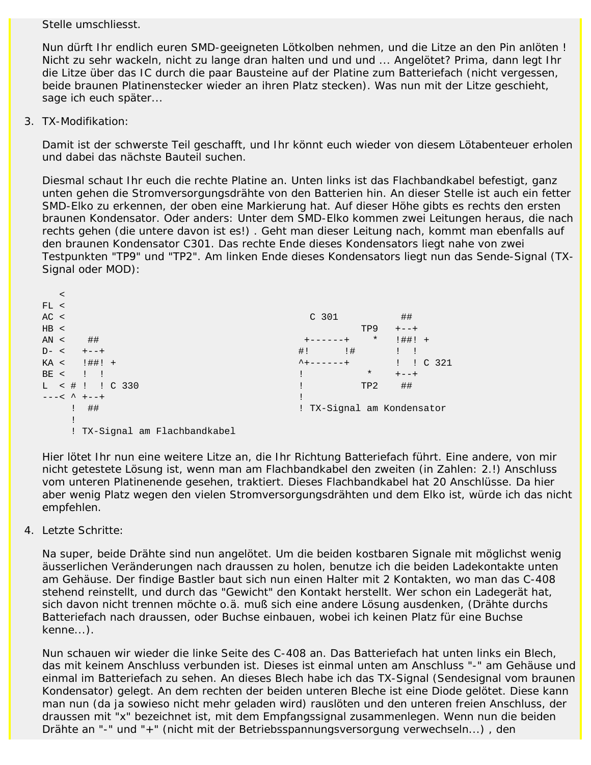Stelle umschliesst.

Nun dürft Ihr endlich euren SMD-geeigneten Lötkolben nehmen, und die Litze an den Pin anlöten ! Nicht zu sehr wackeln, nicht zu lange dran halten und und und ... Angelötet? Prima, dann legt Ihr die Litze über das IC durch die paar Bausteine auf der Platine zum Batteriefach (nicht vergessen, beide braunen Platinenstecker wieder an ihren Platz stecken). Was nun mit der Litze geschieht, sage ich euch später...

3. TX-Modifikation:

Damit ist der schwerste Teil geschafft, und Ihr könnt euch wieder von diesem Lötabenteuer erholen und dabei das nächste Bauteil suchen.

Diesmal schaut Ihr euch die rechte Platine an. Unten links ist das Flachbandkabel befestigt, ganz unten gehen die Stromversorgungsdrähte von den Batterien hin. An dieser Stelle ist auch ein fetter SMD-Elko zu erkennen, der oben eine Markierung hat. Auf dieser Höhe gibts es rechts den ersten braunen Kondensator. Oder anders: Unter dem SMD-Elko kommen zwei Leitungen heraus, die nach rechts gehen (die untere davon ist es!) . Geht man dieser Leitung nach, kommt man ebenfalls auf den braunen Kondensator C301. Das rechte Ende dieses Kondensators liegt nahe von zwei Testpunkten "TP9" und "TP2". Am linken Ende dieses Kondensators liegt nun das Sende-Signal (TX-Signal oder MOD):

|        | $\prec$ |                               |                 |                 |                            |
|--------|---------|-------------------------------|-----------------|-----------------|----------------------------|
| FL <   |         |                               |                 |                 |                            |
| AC <   |         |                               | C 301           |                 | ##                         |
| HB <   |         |                               |                 | TP <sub>9</sub> | $+ - - +$                  |
| AN <   |         | ##                            |                 | $\ast$          | ! ##! +                    |
| $D- <$ |         | $+ - - +$                     | !#<br>#!        |                 |                            |
| KA <   |         | ! ##! +                       | $+ - - - - - +$ |                 | ! C 321<br>$\mathbf{I}$    |
| BE <   |         |                               |                 | $\star$         | $+ - - +$                  |
|        |         | L < # ! ! C 330               |                 | TP <sub>2</sub> | ##                         |
|        |         | $---<$ ^ +--+                 |                 |                 |                            |
|        |         | ##                            |                 |                 | ! TX-Signal am Kondensator |
|        |         |                               |                 |                 |                            |
|        |         | ! TX-Signal am Flachbandkabel |                 |                 |                            |

Hier lötet Ihr nun eine weitere Litze an, die Ihr Richtung Batteriefach führt. Eine andere, von mir nicht getestete Lösung ist, wenn man am Flachbandkabel den zweiten (in Zahlen: 2.!) Anschluss vom unteren Platinenende gesehen, traktiert. Dieses Flachbandkabel hat 20 Anschlüsse. Da hier aber wenig Platz wegen den vielen Stromversorgungsdrähten und dem Elko ist, würde ich das nicht empfehlen.

4. Letzte Schritte:

Na super, beide Drähte sind nun angelötet. Um die beiden kostbaren Signale mit möglichst wenig äusserlichen Veränderungen nach draussen zu holen, benutze ich die beiden Ladekontakte unten am Gehäuse. Der findige Bastler baut sich nun einen Halter mit 2 Kontakten, wo man das C-408 stehend reinstellt, und durch das "Gewicht" den Kontakt herstellt. Wer schon ein Ladegerät hat, sich davon nicht trennen möchte o.ä. muß sich eine andere Lösung ausdenken, (Drähte durchs Batteriefach nach draussen, oder Buchse einbauen, wobei ich keinen Platz für eine Buchse kenne...).

Nun schauen wir wieder die linke Seite des C-408 an. Das Batteriefach hat unten links ein Blech, das mit keinem Anschluss verbunden ist. Dieses ist einmal unten am Anschluss "-" am Gehäuse und einmal im Batteriefach zu sehen. An dieses Blech habe ich das TX-Signal (Sendesignal vom braunen Kondensator) gelegt. An dem rechten der beiden unteren Bleche ist eine Diode gelötet. Diese kann man nun (da ja sowieso nicht mehr geladen wird) rauslöten und den unteren freien Anschluss, der draussen mit "x" bezeichnet ist, mit dem Empfangssignal zusammenlegen. Wenn nun die beiden Drähte an "-" und "+" (nicht mit der Betriebsspannungsversorgung verwechseln...) , den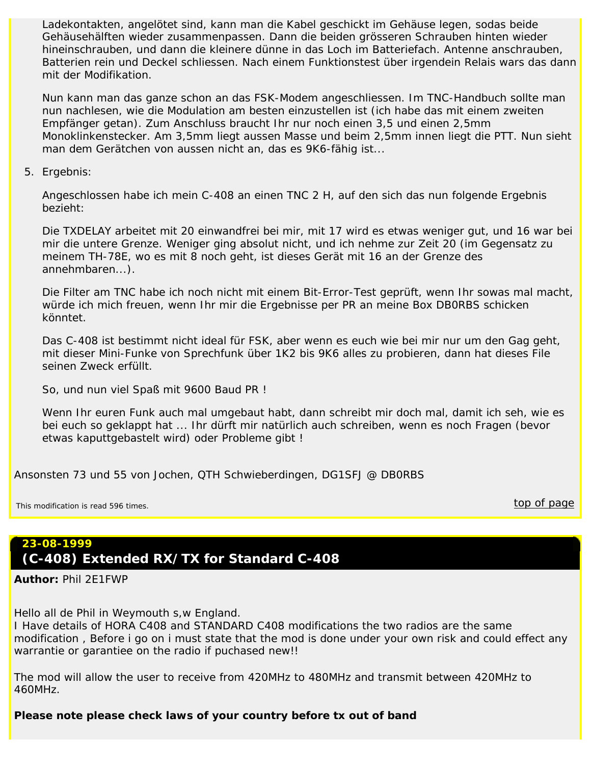Ladekontakten, angelötet sind, kann man die Kabel geschickt im Gehäuse legen, sodas beide Gehäusehälften wieder zusammenpassen. Dann die beiden grösseren Schrauben hinten wieder hineinschrauben, und dann die kleinere dünne in das Loch im Batteriefach. Antenne anschrauben, Batterien rein und Deckel schliessen. Nach einem Funktionstest über irgendein Relais wars das dann mit der Modifikation.

Nun kann man das ganze schon an das FSK-Modem angeschliessen. Im TNC-Handbuch sollte man nun nachlesen, wie die Modulation am besten einzustellen ist (ich habe das mit einem zweiten Empfänger getan). Zum Anschluss braucht Ihr nur noch einen 3,5 und einen 2,5mm Monoklinkenstecker. Am 3,5mm liegt aussen Masse und beim 2,5mm innen liegt die PTT. Nun sieht man dem Gerätchen von aussen nicht an, das es 9K6-fähig ist...

5. Ergebnis:

Angeschlossen habe ich mein C-408 an einen TNC 2 H, auf den sich das nun folgende Ergebnis bezieht:

Die TXDELAY arbeitet mit 20 einwandfrei bei mir, mit 17 wird es etwas weniger gut, und 16 war bei mir die untere Grenze. Weniger ging absolut nicht, und ich nehme zur Zeit 20 (im Gegensatz zu meinem TH-78E, wo es mit 8 noch geht, ist dieses Gerät mit 16 an der Grenze des annehmbaren...).

Die Filter am TNC habe ich noch nicht mit einem Bit-Error-Test geprüft, wenn Ihr sowas mal macht, würde ich mich freuen, wenn Ihr mir die Ergebnisse per PR an meine Box DB0RBS schicken könntet.

Das C-408 ist bestimmt nicht ideal für FSK, aber wenn es euch wie bei mir nur um den Gag geht, mit dieser Mini-Funke von Sprechfunk über 1K2 bis 9K6 alles zu probieren, dann hat dieses File seinen Zweck erfüllt.

So, und nun viel Spaß mit 9600 Baud PR !

Wenn Ihr euren Funk auch mal umgebaut habt, dann schreibt mir doch mal, damit ich seh, wie es bei euch so geklappt hat ... Ihr dürft mir natürlich auch schreiben, wenn es noch Fragen (bevor etwas kaputtgebastelt wird) oder Probleme gibt !

Ansonsten 73 und 55 von Jochen, QTH Schwieberdingen, DG1SFJ @ DB0RBS

<span id="page-8-0"></span>This modification is read 596 times.  $\frac{1}{2}$  [top of page](#page-0-0) the set of page of page  $\frac{1}{2}$  top of page  $\frac{1}{2}$ 

## **23-08-1999 (C-408) Extended RX/TX for Standard C-408**

*Author: Phil 2E1FWP*

Hello all de Phil in Weymouth s,w England.

I Have details of HORA C408 and STANDARD C408 modifications the two radios are the same modification , Before i go on i must state that the mod is done under your own risk and could effect any warrantie or garantiee on the radio if puchased new!!

The mod will allow the user to receive from 420MHz to 480MHz and transmit between 420MHz to 460MHz.

## **Please note please check laws of your country before tx out of band**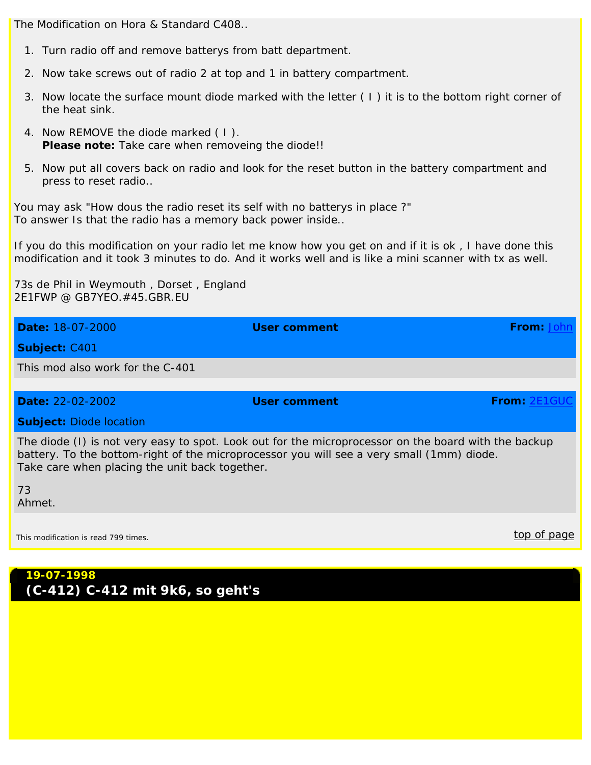The Modification on Hora & Standard C408..

- 1. Turn radio off and remove batterys from batt department.
- 2. Now take screws out of radio 2 at top and 1 in battery compartment.
- 3. Now locate the surface mount diode marked with the letter ( I ) it is to the bottom right corner of the heat sink.
- 4. Now REMOVE the diode marked ( I ). **Please note:** Take care when removeing the diode!!
- 5. Now put all covers back on radio and look for the reset button in the battery compartment and press to reset radio..

You may ask "How dous the radio reset its self with no batterys in place ?" To answer Is that the radio has a memory back power inside..

If you do this modification on your radio let me know how you get on and if it is ok , I have done this modification and it took 3 minutes to do. And it works well and is like a mini scanner with tx as well.

73s de Phil in Weymouth , Dorset , England 2E1FWP @ GB7YEO.#45.GBR.EU

| <b>Date: 18-07-2000</b>              | <b>User comment</b>                                                                                                                                                                                                                                 | <b>From:</b> J      |  |  |  |  |
|--------------------------------------|-----------------------------------------------------------------------------------------------------------------------------------------------------------------------------------------------------------------------------------------------------|---------------------|--|--|--|--|
| <b>Subject: C401</b>                 |                                                                                                                                                                                                                                                     |                     |  |  |  |  |
| This mod also work for the C-401     |                                                                                                                                                                                                                                                     |                     |  |  |  |  |
|                                      |                                                                                                                                                                                                                                                     |                     |  |  |  |  |
| <b>Date: 22-02-2002</b>              | <b>User comment</b>                                                                                                                                                                                                                                 | <b>From: 2E1GU0</b> |  |  |  |  |
| <b>Subject: Diode location</b>       |                                                                                                                                                                                                                                                     |                     |  |  |  |  |
|                                      | The diode (I) is not very easy to spot. Look out for the microprocessor on the board with the backup<br>battery. To the bottom-right of the microprocessor you will see a very small (1mm) diode.<br>Take care when placing the unit back together. |                     |  |  |  |  |
| 73<br>Ahmet.                         |                                                                                                                                                                                                                                                     |                     |  |  |  |  |
|                                      |                                                                                                                                                                                                                                                     |                     |  |  |  |  |
| This modification is read 799 times. |                                                                                                                                                                                                                                                     | top of page         |  |  |  |  |

<span id="page-9-0"></span>**19-07-1998 (C-412) C-412 mit 9k6, so geht's**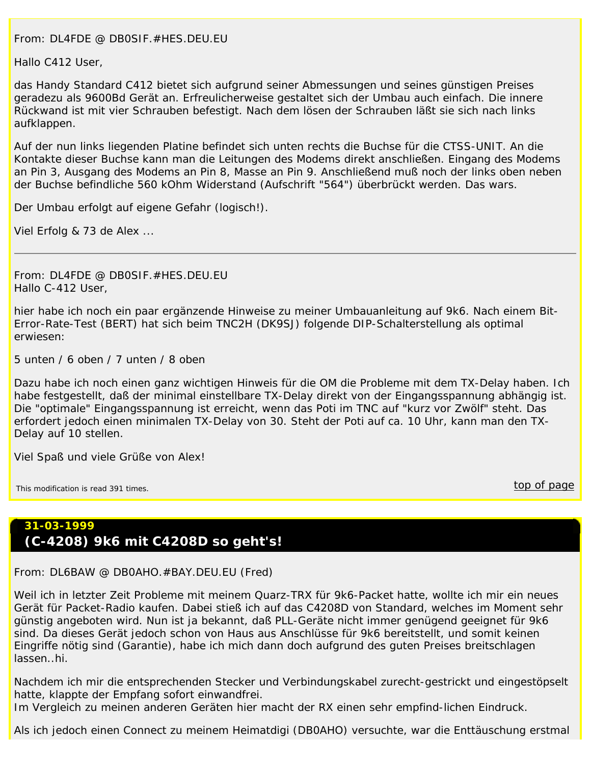*From: DL4FDE @ DB0SIF.#HES.DEU.EU*

Hallo C412 User,

das Handy Standard C412 bietet sich aufgrund seiner Abmessungen und seines günstigen Preises geradezu als 9600Bd Gerät an. Erfreulicherweise gestaltet sich der Umbau auch einfach. Die innere Rückwand ist mit vier Schrauben befestigt. Nach dem lösen der Schrauben läßt sie sich nach links aufklappen.

Auf der nun links liegenden Platine befindet sich unten rechts die Buchse für die CTSS-UNIT. An die Kontakte dieser Buchse kann man die Leitungen des Modems direkt anschließen. Eingang des Modems an Pin 3, Ausgang des Modems an Pin 8, Masse an Pin 9. Anschließend muß noch der links oben neben der Buchse befindliche 560 kOhm Widerstand (Aufschrift "564") überbrückt werden. Das wars.

Der Umbau erfolgt auf eigene Gefahr (logisch!).

Viel Erfolg & 73 de Alex ...

*From: DL4FDE @ DB0SIF.#HES.DEU.EU* Hallo C-412 User,

hier habe ich noch ein paar ergänzende Hinweise zu meiner Umbauanleitung auf 9k6. Nach einem Bit-Error-Rate-Test (BERT) hat sich beim TNC2H (DK9SJ) folgende DIP-Schalterstellung als optimal erwiesen:

5 unten / 6 oben / 7 unten / 8 oben

Dazu habe ich noch einen ganz wichtigen Hinweis für die OM die Probleme mit dem TX-Delay haben. Ich habe festgestellt, daß der minimal einstellbare TX-Delay direkt von der Eingangsspannung abhängig ist. Die "optimale" Eingangsspannung ist erreicht, wenn das Poti im TNC auf "kurz vor Zwölf" steht. Das erfordert jedoch einen minimalen TX-Delay von 30. Steht der Poti auf ca. 10 Uhr, kann man den TX-Delay auf 10 stellen.

Viel Spaß und viele Grüße von Alex!

<span id="page-10-0"></span>This modification is read 391 times.  $\qquad \qquad \text{top of page}$  $\qquad \qquad \text{top of page}$  $\qquad \qquad \text{top of page}$ 

## **31-03-1999 (C-4208) 9k6 mit C4208D so geht's!**

*From: DL6BAW @ DB0AHO.#BAY.DEU.EU (Fred)*

Weil ich in letzter Zeit Probleme mit meinem Quarz-TRX für 9k6-Packet hatte, wollte ich mir ein neues Gerät für Packet-Radio kaufen. Dabei stieß ich auf das C4208D von Standard, welches im Moment sehr günstig angeboten wird. Nun ist ja bekannt, daß PLL-Geräte nicht immer genügend geeignet für 9k6 sind. Da dieses Gerät jedoch schon von Haus aus Anschlüsse für 9k6 bereitstellt, und somit keinen Eingriffe nötig sind (Garantie), habe ich mich dann doch aufgrund des guten Preises breitschlagen lassen..hi.

Nachdem ich mir die entsprechenden Stecker und Verbindungskabel zurecht-gestrickt und eingestöpselt hatte, klappte der Empfang sofort einwandfrei.

Im Vergleich zu meinen anderen Geräten hier macht der RX einen sehr empfind-lichen Eindruck.

Als ich jedoch einen Connect zu meinem Heimatdigi (DB0AHO) versuchte, war die Enttäuschung erstmal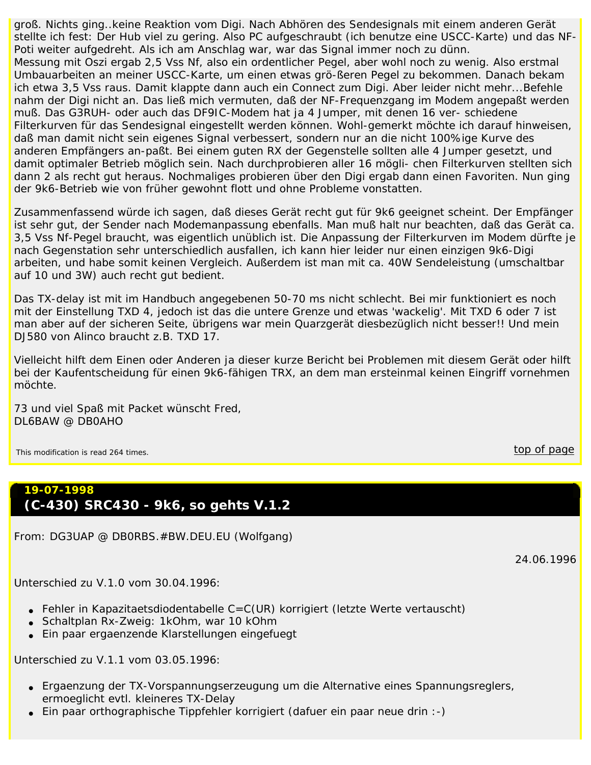groß. Nichts ging..keine Reaktion vom Digi. Nach Abhören des Sendesignals mit einem anderen Gerät stellte ich fest: Der Hub viel zu gering. Also PC aufgeschraubt (ich benutze eine USCC-Karte) und das NF-Poti weiter aufgedreht. Als ich am Anschlag war, war das Signal immer noch zu dünn. Messung mit Oszi ergab 2,5 Vss Nf, also ein ordentlicher Pegel, aber wohl noch zu wenig. Also erstmal Umbauarbeiten an meiner USCC-Karte, um einen etwas grö-ßeren Pegel zu bekommen. Danach bekam ich etwa 3,5 Vss raus. Damit klappte dann auch ein Connect zum Digi. Aber leider nicht mehr...Befehle nahm der Digi nicht an. Das ließ mich vermuten, daß der NF-Frequenzgang im Modem angepaßt werden muß. Das G3RUH- oder auch das DF9IC-Modem hat ja 4 Jumper, mit denen 16 ver- schiedene Filterkurven für das Sendesignal eingestellt werden können. Wohl-gemerkt möchte ich darauf hinweisen, daß man damit nicht sein eigenes Signal verbessert, sondern nur an die nicht 100%ige Kurve des anderen Empfängers an-paßt. Bei einem guten RX der Gegenstelle sollten alle 4 Jumper gesetzt, und damit optimaler Betrieb möglich sein. Nach durchprobieren aller 16 mögli- chen Filterkurven stellten sich dann 2 als recht gut heraus. Nochmaliges probieren über den Digi ergab dann einen Favoriten. Nun ging der 9k6-Betrieb wie von früher gewohnt flott und ohne Probleme vonstatten.

Zusammenfassend würde ich sagen, daß dieses Gerät recht gut für 9k6 geeignet scheint. Der Empfänger ist sehr gut, der Sender nach Modemanpassung ebenfalls. Man muß halt nur beachten, daß das Gerät ca. 3,5 Vss Nf-Pegel braucht, was eigentlich unüblich ist. Die Anpassung der Filterkurven im Modem dürfte je nach Gegenstation sehr unterschiedlich ausfallen, ich kann hier leider nur einen einzigen 9k6-Digi arbeiten, und habe somit keinen Vergleich. Außerdem ist man mit ca. 40W Sendeleistung (umschaltbar auf 10 und 3W) auch recht gut bedient.

Das TX-delay ist mit im Handbuch angegebenen 50-70 ms nicht schlecht. Bei mir funktioniert es noch mit der Einstellung TXD 4, jedoch ist das die untere Grenze und etwas 'wackelig'. Mit TXD 6 oder 7 ist man aber auf der sicheren Seite, übrigens war mein Quarzgerät diesbezüglich nicht besser!! Und mein DJ580 von Alinco braucht z.B. TXD 17.

Vielleicht hilft dem Einen oder Anderen ja dieser kurze Bericht bei Problemen mit diesem Gerät oder hilft bei der Kaufentscheidung für einen 9k6-fähigen TRX, an dem man ersteinmal keinen Eingriff vornehmen möchte.

73 und viel Spaß mit Packet wünscht Fred, DL6BAW @ DB0AHO

<span id="page-11-0"></span>This modification is read 264 times. This modification is read 264 times.

## **19-07-1998 (C-430) SRC430 - 9k6, so gehts V.1.2**

*From: DG3UAP @ DB0RBS.#BW.DEU.EU (Wolfgang)*

24.06.1996

Unterschied zu V.1.0 vom 30.04.1996:

- Fehler in Kapazitaetsdiodentabelle C=C(UR) korrigiert (letzte Werte vertauscht)
- Schaltplan Rx-Zweig: 1kOhm, war 10 kOhm
- Ein paar ergaenzende Klarstellungen eingefuegt

Unterschied zu V.1.1 vom 03.05.1996:

- Ergaenzung der TX-Vorspannungserzeugung um die Alternative eines Spannungsreglers, ermoeglicht evtl. kleineres TX-Delay
- Ein paar orthographische Tippfehler korrigiert (dafuer ein paar neue drin :-)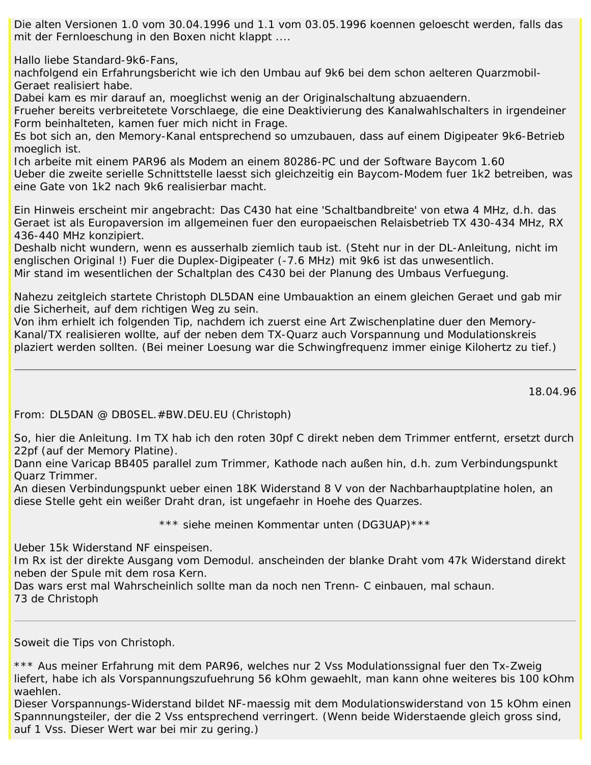Die alten Versionen 1.0 vom 30.04.1996 und 1.1 vom 03.05.1996 koennen geloescht werden, falls das mit der Fernloeschung in den Boxen nicht klappt ....

Hallo liebe Standard-9k6-Fans,

nachfolgend ein Erfahrungsbericht wie ich den Umbau auf 9k6 bei dem schon aelteren Quarzmobil-Geraet realisiert habe.

Dabei kam es mir darauf an, moeglichst wenig an der Originalschaltung abzuaendern.

Frueher bereits verbreitetete Vorschlaege, die eine Deaktivierung des Kanalwahlschalters in irgendeiner Form beinhalteten, kamen fuer mich nicht in Frage.

Es bot sich an, den Memory-Kanal entsprechend so umzubauen, dass auf einem Digipeater 9k6-Betrieb moeglich ist.

Ich arbeite mit einem PAR96 als Modem an einem 80286-PC und der Software Baycom 1.60

Ueber die zweite serielle Schnittstelle laesst sich gleichzeitig ein Baycom-Modem fuer 1k2 betreiben, was eine Gate von 1k2 nach 9k6 realisierbar macht.

Ein Hinweis erscheint mir angebracht: Das C430 hat eine 'Schaltbandbreite' von etwa 4 MHz, d.h. das Geraet ist als Europaversion im allgemeinen fuer den europaeischen Relaisbetrieb TX 430-434 MHz, RX 436-440 MHz konzipiert.

Deshalb nicht wundern, wenn es ausserhalb ziemlich taub ist. (Steht nur in der DL-Anleitung, nicht im englischen Original !) Fuer die Duplex-Digipeater (-7.6 MHz) mit 9k6 ist das unwesentlich. Mir stand im wesentlichen der Schaltplan des C430 bei der Planung des Umbaus Verfuegung.

Nahezu zeitgleich startete Christoph DL5DAN eine Umbauaktion an einem gleichen Geraet und gab mir die Sicherheit, auf dem richtigen Weg zu sein.

Von ihm erhielt ich folgenden Tip, nachdem ich zuerst eine Art Zwischenplatine duer den Memory-Kanal/TX realisieren wollte, auf der neben dem TX-Quarz auch Vorspannung und Modulationskreis plaziert werden sollten. (Bei meiner Loesung war die Schwingfrequenz immer einige Kilohertz zu tief.)

18.04.96

*From: DL5DAN @ DB0SEL.#BW.DEU.EU (Christoph)*

So, hier die Anleitung. Im TX hab ich den roten 30pf C direkt neben dem Trimmer entfernt, ersetzt durch 22pf (auf der Memory Platine).

Dann eine Varicap BB405 parallel zum Trimmer, Kathode nach außen hin, d.h. zum Verbindungspunkt Quarz Trimmer.

An diesen Verbindungspunkt ueber einen 18K Widerstand 8 V von der Nachbarhauptplatine holen, an diese Stelle geht ein weißer Draht dran, ist ungefaehr in Hoehe des Quarzes.

\*\*\* siehe meinen Kommentar unten (DG3UAP)\*\*\*

Ueber 15k Widerstand NF einspeisen.

Im Rx ist der direkte Ausgang vom Demodul. anscheinden der blanke Draht vom 47k Widerstand direkt neben der Spule mit dem rosa Kern.

Das wars erst mal Wahrscheinlich sollte man da noch nen Trenn- C einbauen, mal schaun. 73 de Christoph

Soweit die Tips von Christoph.

\*\*\* Aus meiner Erfahrung mit dem PAR96, welches nur 2 Vss Modulationssignal fuer den Tx-Zweig liefert, habe ich als Vorspannungszufuehrung 56 kOhm gewaehlt, man kann ohne weiteres bis 100 kOhm waehlen.

Dieser Vorspannungs-Widerstand bildet NF-maessig mit dem Modulationswiderstand von 15 kOhm einen Spannnungsteiler, der die 2 Vss entsprechend verringert. (Wenn beide Widerstaende gleich gross sind, auf 1 Vss. Dieser Wert war bei mir zu gering.)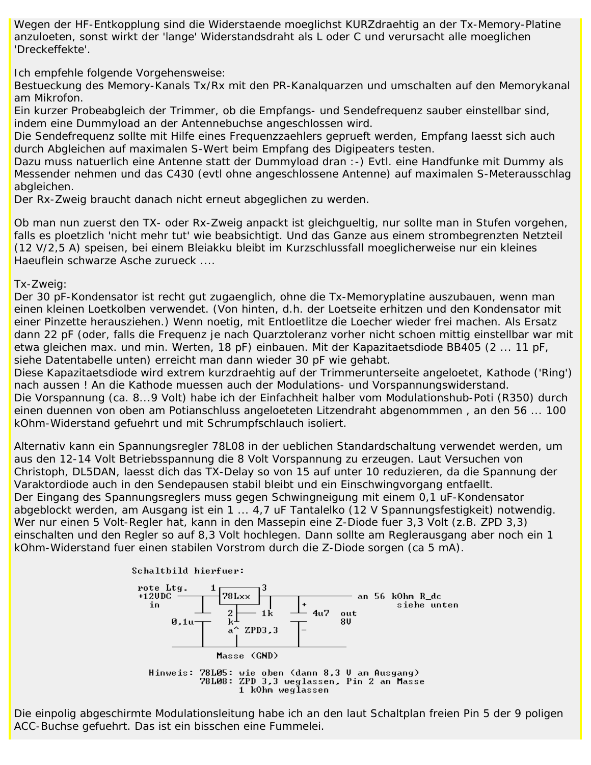Wegen der HF-Entkopplung sind die Widerstaende moeglichst KURZdraehtig an der Tx-Memory-Platine anzuloeten, sonst wirkt der 'lange' Widerstandsdraht als L oder C und verursacht alle moeglichen 'Dreckeffekte'.

Ich empfehle folgende Vorgehensweise:

Bestueckung des Memory-Kanals Tx/Rx mit den PR-Kanalquarzen und umschalten auf den Memorykanal am Mikrofon.

Ein kurzer Probeabgleich der Trimmer, ob die Empfangs- und Sendefrequenz sauber einstellbar sind, indem eine Dummyload an der Antennebuchse angeschlossen wird.

Die Sendefrequenz sollte mit Hilfe eines Frequenzzaehlers geprueft werden, Empfang laesst sich auch durch Abgleichen auf maximalen S-Wert beim Empfang des Digipeaters testen.

Dazu muss natuerlich eine Antenne statt der Dummyload dran :-) Evtl. eine Handfunke mit Dummy als Messender nehmen und das C430 (evtl ohne angeschlossene Antenne) auf maximalen S-Meterausschlag abgleichen.

Der Rx-Zweig braucht danach nicht erneut abgeglichen zu werden.

Ob man nun zuerst den TX- oder Rx-Zweig anpackt ist gleichgueltig, nur sollte man in Stufen vorgehen, falls es ploetzlich 'nicht mehr tut' wie beabsichtigt. Und das Ganze aus einem strombegrenzten Netzteil (12 V/2,5 A) speisen, bei einem Bleiakku bleibt im Kurzschlussfall moeglicherweise nur ein kleines Haeuflein schwarze Asche zurueck ....

Tx-Zweig:

Der 30 pF-Kondensator ist recht gut zugaenglich, ohne die Tx-Memoryplatine auszubauen, wenn man einen kleinen Loetkolben verwendet. (Von hinten, d.h. der Loetseite erhitzen und den Kondensator mit einer Pinzette herausziehen.) Wenn noetig, mit Entloetlitze die Loecher wieder frei machen. Als Ersatz dann 22 pF (oder, falls die Frequenz je nach Quarztoleranz vorher nicht schoen mittig einstellbar war mit etwa gleichen max. und min. Werten, 18 pF) einbauen. Mit der Kapazitaetsdiode BB405 (2 ... 11 pF, siehe Datentabelle unten) erreicht man dann wieder 30 pF wie gehabt.

Diese Kapazitaetsdiode wird extrem kurzdraehtig auf der Trimmerunterseite angeloetet, Kathode ('Ring') nach aussen ! An die Kathode muessen auch der Modulations- und Vorspannungswiderstand. Die Vorspannung (ca. 8...9 Volt) habe ich der Einfachheit halber vom Modulationshub-Poti (R350) durch einen duennen von oben am Potianschluss angeloeteten Litzendraht abgenommmen , an den 56 ... 100 kOhm-Widerstand gefuehrt und mit Schrumpfschlauch isoliert.

Alternativ kann ein Spannungsregler 78L08 in der ueblichen Standardschaltung verwendet werden, um aus den 12-14 Volt Betriebsspannung die 8 Volt Vorspannung zu erzeugen. Laut Versuchen von Christoph, DL5DAN, laesst dich das TX-Delay so von 15 auf unter 10 reduzieren, da die Spannung der Varaktordiode auch in den Sendepausen stabil bleibt und ein Einschwingvorgang entfaellt. Der Eingang des Spannungsreglers muss gegen Schwingneigung mit einem 0,1 uF-Kondensator abgeblockt werden, am Ausgang ist ein 1 ... 4,7 uF Tantalelko (12 V Spannungsfestigkeit) notwendig. Wer nur einen 5 Volt-Regler hat, kann in den Massepin eine Z-Diode fuer 3,3 Volt (z.B. ZPD 3,3) einschalten und den Regler so auf 8,3 Volt hochlegen. Dann sollte am Reglerausgang aber noch ein 1 kOhm-Widerstand fuer einen stabilen Vorstrom durch die Z-Diode sorgen (ca 5 mA).



Die einpolig abgeschirmte Modulationsleitung habe ich an den laut Schaltplan freien Pin 5 der 9 poligen ACC-Buchse gefuehrt. Das ist ein bisschen eine Fummelei.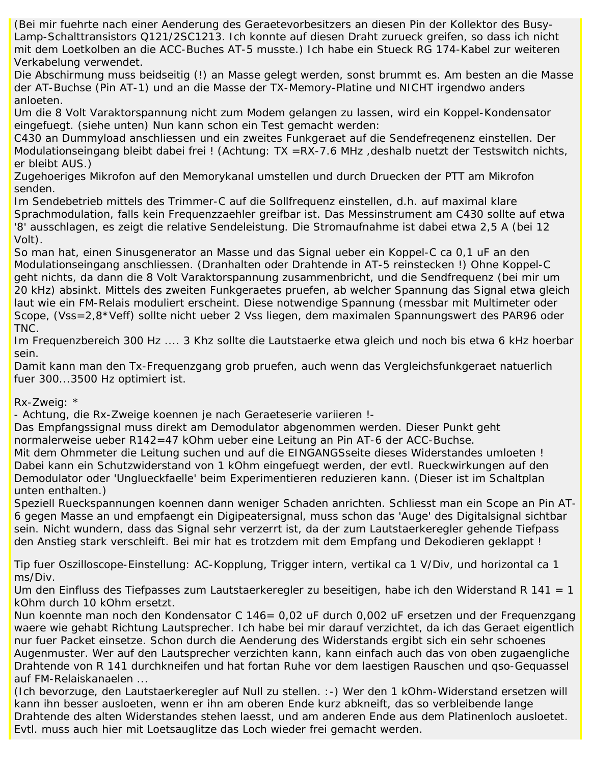(Bei mir fuehrte nach einer Aenderung des Geraetevorbesitzers an diesen Pin der Kollektor des Busy-Lamp-Schalttransistors Q121/2SC1213. Ich konnte auf diesen Draht zurueck greifen, so dass ich nicht mit dem Loetkolben an die ACC-Buches AT-5 musste.) Ich habe ein Stueck RG 174-Kabel zur weiteren Verkabelung verwendet.

Die Abschirmung muss beidseitig (!) an Masse gelegt werden, sonst brummt es. Am besten an die Masse der AT-Buchse (Pin AT-1) und an die Masse der TX-Memory-Platine und NICHT irgendwo anders anloeten.

Um die 8 Volt Varaktorspannung nicht zum Modem gelangen zu lassen, wird ein Koppel-Kondensator eingefuegt. (siehe unten) Nun kann schon ein Test gemacht werden:

C430 an Dummyload anschliessen und ein zweites Funkgeraet auf die Sendefreqenenz einstellen. Der Modulationseingang bleibt dabei frei ! (Achtung: TX =RX-7.6 MHz ,deshalb nuetzt der Testswitch nichts, er bleibt AUS.)

Zugehoeriges Mikrofon auf den Memorykanal umstellen und durch Druecken der PTT am Mikrofon senden.

Im Sendebetrieb mittels des Trimmer-C auf die Sollfrequenz einstellen, d.h. auf maximal klare Sprachmodulation, falls kein Frequenzzaehler greifbar ist. Das Messinstrument am C430 sollte auf etwa '8' ausschlagen, es zeigt die relative Sendeleistung. Die Stromaufnahme ist dabei etwa 2,5 A (bei 12 Volt).

So man hat, einen Sinusgenerator an Masse und das Signal ueber ein Koppel-C ca 0,1 uF an den Modulationseingang anschliessen. (Dranhalten oder Drahtende in AT-5 reinstecken !) Ohne Koppel-C geht nichts, da dann die 8 Volt Varaktorspannung zusammenbricht, und die Sendfrequenz (bei mir um 20 kHz) absinkt. Mittels des zweiten Funkgeraetes pruefen, ab welcher Spannung das Signal etwa gleich laut wie ein FM-Relais moduliert erscheint. Diese notwendige Spannung (messbar mit Multimeter oder Scope, (Vss=2,8\*Veff) sollte nicht ueber 2 Vss liegen, dem maximalen Spannungswert des PAR96 oder TNC.

Im Frequenzbereich 300 Hz .... 3 Khz sollte die Lautstaerke etwa gleich und noch bis etwa 6 kHz hoerbar sein.

Damit kann man den Tx-Frequenzgang grob pruefen, auch wenn das Vergleichsfunkgeraet natuerlich fuer 300...3500 Hz optimiert ist.

Rx-Zweig: \*

- Achtung, die Rx-Zweige koennen je nach Geraeteserie variieren !-

Das Empfangssignal muss direkt am Demodulator abgenommen werden. Dieser Punkt geht

normalerweise ueber R142=47 kOhm ueber eine Leitung an Pin AT-6 der ACC-Buchse.

Mit dem Ohmmeter die Leitung suchen und auf die EINGANGSseite dieses Widerstandes umloeten ! Dabei kann ein Schutzwiderstand von 1 kOhm eingefuegt werden, der evtl. Rueckwirkungen auf den Demodulator oder 'Unglueckfaelle' beim Experimentieren reduzieren kann. (Dieser ist im Schaltplan unten enthalten.)

Speziell Rueckspannungen koennen dann weniger Schaden anrichten. Schliesst man ein Scope an Pin AT-6 gegen Masse an und empfaengt ein Digipeatersignal, muss schon das 'Auge' des Digitalsignal sichtbar sein. Nicht wundern, dass das Signal sehr verzerrt ist, da der zum Lautstaerkeregler gehende Tiefpass den Anstieg stark verschleift. Bei mir hat es trotzdem mit dem Empfang und Dekodieren geklappt !

Tip fuer Oszilloscope-Einstellung: AC-Kopplung, Trigger intern, vertikal ca 1 V/Div, und horizontal ca 1 ms/Div.

Um den Einfluss des Tiefpasses zum Lautstaerkeregler zu beseitigen, habe ich den Widerstand R 141 = 1 kOhm durch 10 kOhm ersetzt.

Nun koennte man noch den Kondensator C 146= 0,02 uF durch 0,002 uF ersetzen und der Frequenzgang waere wie gehabt Richtung Lautsprecher. Ich habe bei mir darauf verzichtet, da ich das Geraet eigentlich nur fuer Packet einsetze. Schon durch die Aenderung des Widerstands ergibt sich ein sehr schoenes Augenmuster. Wer auf den Lautsprecher verzichten kann, kann einfach auch das von oben zugaengliche Drahtende von R 141 durchkneifen und hat fortan Ruhe vor dem laestigen Rauschen und qso-Gequassel auf FM-Relaiskanaelen ...

(Ich bevorzuge, den Lautstaerkeregler auf Null zu stellen. :-) Wer den 1 kOhm-Widerstand ersetzen will kann ihn besser ausloeten, wenn er ihn am oberen Ende kurz abkneift, das so verbleibende lange Drahtende des alten Widerstandes stehen laesst, und am anderen Ende aus dem Platinenloch ausloetet. Evtl. muss auch hier mit Loetsauglitze das Loch wieder frei gemacht werden.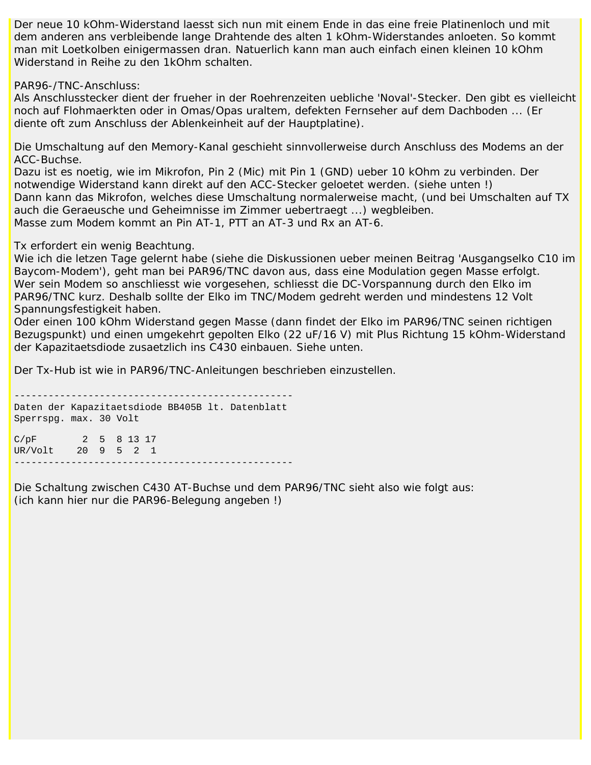Der neue 10 kOhm-Widerstand laesst sich nun mit einem Ende in das eine freie Platinenloch und mit dem anderen ans verbleibende lange Drahtende des alten 1 kOhm-Widerstandes anloeten. So kommt man mit Loetkolben einigermassen dran. Natuerlich kann man auch einfach einen kleinen 10 kOhm Widerstand in Reihe zu den 1kOhm schalten.

#### PAR96-/TNC-Anschluss:

Als Anschlusstecker dient der frueher in der Roehrenzeiten uebliche 'Noval'-Stecker. Den gibt es vielleicht noch auf Flohmaerkten oder in Omas/Opas uraltem, defekten Fernseher auf dem Dachboden ... (Er diente oft zum Anschluss der Ablenkeinheit auf der Hauptplatine).

Die Umschaltung auf den Memory-Kanal geschieht sinnvollerweise durch Anschluss des Modems an der ACC-Buchse.

Dazu ist es noetig, wie im Mikrofon, Pin 2 (Mic) mit Pin 1 (GND) ueber 10 kOhm zu verbinden. Der notwendige Widerstand kann direkt auf den ACC-Stecker geloetet werden. (siehe unten !) Dann kann das Mikrofon, welches diese Umschaltung normalerweise macht, (und bei Umschalten auf TX auch die Geraeusche und Geheimnisse im Zimmer uebertraegt ...) wegbleiben. Masse zum Modem kommt an Pin AT-1, PTT an AT-3 und Rx an AT-6.

Tx erfordert ein wenig Beachtung.

Wie ich die letzen Tage gelernt habe (siehe die Diskussionen ueber meinen Beitrag 'Ausgangselko C10 im Baycom-Modem'), geht man bei PAR96/TNC davon aus, dass eine Modulation gegen Masse erfolgt. Wer sein Modem so anschliesst wie vorgesehen, schliesst die DC-Vorspannung durch den Elko im PAR96/TNC kurz. Deshalb sollte der Elko im TNC/Modem gedreht werden und mindestens 12 Volt Spannungsfestigkeit haben.

Oder einen 100 kOhm Widerstand gegen Masse (dann findet der Elko im PAR96/TNC seinen richtigen Bezugspunkt) und einen umgekehrt gepolten Elko (22 uF/16 V) mit Plus Richtung 15 kOhm-Widerstand der Kapazitaetsdiode zusaetzlich ins C430 einbauen. Siehe unten.

Der Tx-Hub ist wie in PAR96/TNC-Anleitungen beschrieben einzustellen.

------------------------------------------------- Daten der Kapazitaetsdiode BB405B lt. Datenblatt Sperrspg. max. 30 Volt C/pF 2 5 8 13 17 UR/Volt 20 9 5 2 1 -------------------------------------------------

Die Schaltung zwischen C430 AT-Buchse und dem PAR96/TNC sieht also wie folgt aus: (ich kann hier nur die PAR96-Belegung angeben !)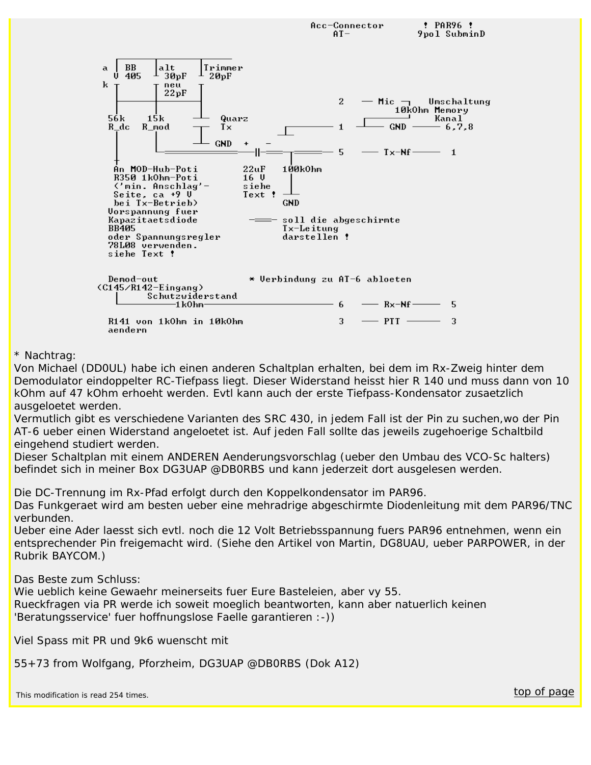

\* Nachtrag:

Von Michael (DD0UL) habe ich einen anderen Schaltplan erhalten, bei dem im Rx-Zweig hinter dem Demodulator eindoppelter RC-Tiefpass liegt. Dieser Widerstand heisst hier R 140 und muss dann von 10 kOhm auf 47 kOhm erhoeht werden. Evtl kann auch der erste Tiefpass-Kondensator zusaetzlich ausgeloetet werden.

Vermutlich gibt es verschiedene Varianten des SRC 430, in jedem Fall ist der Pin zu suchen,wo der Pin AT-6 ueber einen Widerstand angeloetet ist. Auf jeden Fall sollte das jeweils zugehoerige Schaltbild eingehend studiert werden.

Dieser Schaltplan mit einem ANDEREN Aenderungsvorschlag (ueber den Umbau des VCO-Sc halters) befindet sich in meiner Box DG3UAP @DB0RBS und kann jederzeit dort ausgelesen werden.

Die DC-Trennung im Rx-Pfad erfolgt durch den Koppelkondensator im PAR96.

Das Funkgeraet wird am besten ueber eine mehradrige abgeschirmte Diodenleitung mit dem PAR96/TNC verbunden.

Ueber eine Ader laesst sich evtl. noch die 12 Volt Betriebsspannung fuers PAR96 entnehmen, wenn ein entsprechender Pin freigemacht wird. (Siehe den Artikel von Martin, DG8UAU, ueber PARPOWER, in der Rubrik BAYCOM.)

Das Beste zum Schluss:

Wie ueblich keine Gewaehr meinerseits fuer Eure Basteleien, aber vy 55. Rueckfragen via PR werde ich soweit moeglich beantworten, kann aber natuerlich keinen 'Beratungsservice' fuer hoffnungslose Faelle garantieren :-))

Viel Spass mit PR und 9k6 wuenscht mit

<span id="page-16-0"></span>55+73 from Wolfgang, Pforzheim, DG3UAP @DB0RBS (Dok A12)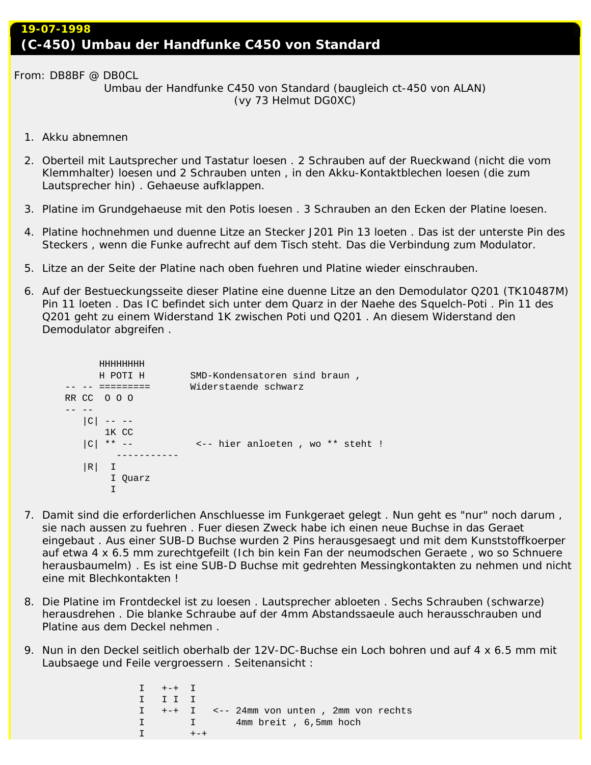## **19-07-1998 (C-450) Umbau der Handfunke C450 von Standard**

*From: DB8BF @ DB0CL*

Umbau der Handfunke C450 von Standard (baugleich ct-450 von ALAN) (vy 73 Helmut DG0XC)

- 1. Akku abnemnen
- 2. Oberteil mit Lautsprecher und Tastatur loesen . 2 Schrauben auf der Rueckwand (nicht die vom Klemmhalter) loesen und 2 Schrauben unten , in den Akku-Kontaktblechen loesen (die zum Lautsprecher hin) . Gehaeuse aufklappen.
- 3. Platine im Grundgehaeuse mit den Potis loesen . 3 Schrauben an den Ecken der Platine loesen.
- 4. Platine hochnehmen und duenne Litze an Stecker J201 Pin 13 loeten . Das ist der unterste Pin des Steckers , wenn die Funke aufrecht auf dem Tisch steht. Das die Verbindung zum Modulator.
- 5. Litze an der Seite der Platine nach oben fuehren und Platine wieder einschrauben.
- 6. Auf der Bestueckungsseite dieser Platine eine duenne Litze an den Demodulator Q201 (TK10487M) Pin 11 loeten . Das IC befindet sich unter dem Quarz in der Naehe des Squelch-Poti . Pin 11 des Q201 geht zu einem Widerstand 1K zwischen Poti und Q201 . An diesem Widerstand den Demodulator abgreifen .

| HHHHHHH          |                                  |
|------------------|----------------------------------|
| H POTI H         | SMD-Kondensatoren sind braun,    |
|                  | Widerstaende schwarz             |
| RR CC 000        |                                  |
|                  |                                  |
| C                |                                  |
| 1K CC            |                                  |
| $***$ $--$<br> C | <-- hier anloeten, wo ** steht ! |
|                  |                                  |
| R                |                                  |
| I Quarz          |                                  |
|                  |                                  |

- 7. Damit sind die erforderlichen Anschluesse im Funkgeraet gelegt . Nun geht es "nur" noch darum , sie nach aussen zu fuehren . Fuer diesen Zweck habe ich einen neue Buchse in das Geraet eingebaut . Aus einer SUB-D Buchse wurden 2 Pins herausgesaegt und mit dem Kunststoffkoerper auf etwa 4 x 6.5 mm zurechtgefeilt (Ich bin kein Fan der neumodschen Geraete , wo so Schnuere herausbaumelm) . Es ist eine SUB-D Buchse mit gedrehten Messingkontakten zu nehmen und nicht eine mit Blechkontakten !
- 8. Die Platine im Frontdeckel ist zu loesen . Lautsprecher abloeten . Sechs Schrauben (schwarze) herausdrehen . Die blanke Schraube auf der 4mm Abstandssaeule auch herausschrauben und Platine aus dem Deckel nehmen .
- 9. Nun in den Deckel seitlich oberhalb der 12V-DC-Buchse ein Loch bohren und auf 4 x 6.5 mm mit Laubsaege und Feile vergroessern . Seitenansicht :

 $I$  +-+  $I$  I I I I I +-+ I <-- 24mm von unten , 2mm von rechts I I 4mm breit , 6,5mm hoch  $\mathbf{I}$  +++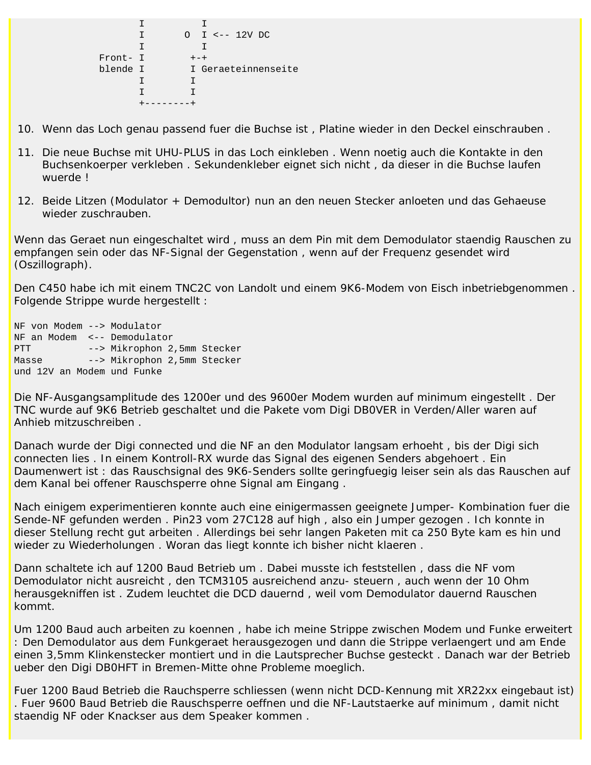I I I O I <-- 12V DC I I  $Front- I$   $++$ blende I I Geraeteinnenseite  $\mathbf I$  is a set of the set of  $\mathbf I$  is a set of the set of the set of the set of the set of the set of the set of the set of the set of the set of the set of the set of the set of the set of the set of the set of the set  $\mathbf I$  is a set of  $\mathbf I$  is a set of  $\mathbf I$ +--------+

- 10. Wenn das Loch genau passend fuer die Buchse ist , Platine wieder in den Deckel einschrauben .
- 11. Die neue Buchse mit UHU-PLUS in das Loch einkleben . Wenn noetig auch die Kontakte in den Buchsenkoerper verkleben . Sekundenkleber eignet sich nicht , da dieser in die Buchse laufen wuerde !
- 12. Beide Litzen (Modulator + Demodultor) nun an den neuen Stecker anloeten und das Gehaeuse wieder zuschrauben.

Wenn das Geraet nun eingeschaltet wird , muss an dem Pin mit dem Demodulator staendig Rauschen zu empfangen sein oder das NF-Signal der Gegenstation , wenn auf der Frequenz gesendet wird (Oszillograph).

Den C450 habe ich mit einem TNC2C von Landolt und einem 9K6-Modem von Eisch inbetriebgenommen . Folgende Strippe wurde hergestellt :

NF von Modem --> Modulator NF an Modem <-- Demodulator PTT --> Mikrophon 2,5mm Stecker Masse --> Mikrophon 2,5mm Stecker und 12V an Modem und Funke

Die NF-Ausgangsamplitude des 1200er und des 9600er Modem wurden auf minimum eingestellt . Der TNC wurde auf 9K6 Betrieb geschaltet und die Pakete vom Digi DB0VER in Verden/Aller waren auf Anhieb mitzuschreiben .

Danach wurde der Digi connected und die NF an den Modulator langsam erhoeht , bis der Digi sich connecten lies . In einem Kontroll-RX wurde das Signal des eigenen Senders abgehoert . Ein Daumenwert ist : das Rauschsignal des 9K6-Senders sollte geringfuegig leiser sein als das Rauschen auf dem Kanal bei offener Rauschsperre ohne Signal am Eingang .

Nach einigem experimentieren konnte auch eine einigermassen geeignete Jumper- Kombination fuer die Sende-NF gefunden werden . Pin23 vom 27C128 auf high , also ein Jumper gezogen . Ich konnte in dieser Stellung recht gut arbeiten . Allerdings bei sehr langen Paketen mit ca 250 Byte kam es hin und wieder zu Wiederholungen . Woran das liegt konnte ich bisher nicht klaeren .

Dann schaltete ich auf 1200 Baud Betrieb um . Dabei musste ich feststellen , dass die NF vom Demodulator nicht ausreicht , den TCM3105 ausreichend anzu- steuern , auch wenn der 10 Ohm herausgekniffen ist . Zudem leuchtet die DCD dauernd , weil vom Demodulator dauernd Rauschen kommt.

Um 1200 Baud auch arbeiten zu koennen , habe ich meine Strippe zwischen Modem und Funke erweitert : Den Demodulator aus dem Funkgeraet herausgezogen und dann die Strippe verlaengert und am Ende einen 3,5mm Klinkenstecker montiert und in die Lautsprecher Buchse gesteckt . Danach war der Betrieb ueber den Digi DB0HFT in Bremen-Mitte ohne Probleme moeglich.

Fuer 1200 Baud Betrieb die Rauchsperre schliessen (wenn nicht DCD-Kennung mit XR22xx eingebaut ist) . Fuer 9600 Baud Betrieb die Rauschsperre oeffnen und die NF-Lautstaerke auf minimum , damit nicht staendig NF oder Knackser aus dem Speaker kommen .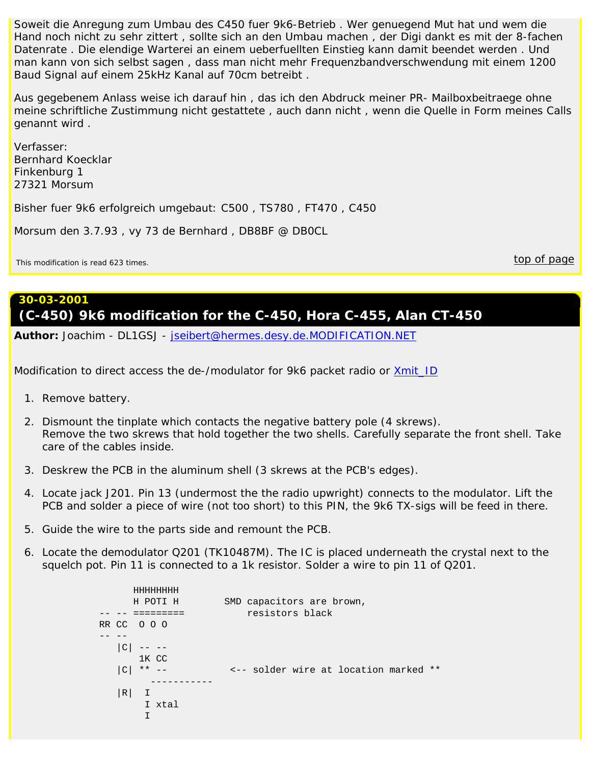Soweit die Anregung zum Umbau des C450 fuer 9k6-Betrieb . Wer genuegend Mut hat und wem die Hand noch nicht zu sehr zittert , sollte sich an den Umbau machen , der Digi dankt es mit der 8-fachen Datenrate . Die elendige Warterei an einem ueberfuellten Einstieg kann damit beendet werden . Und man kann von sich selbst sagen , dass man nicht mehr Frequenzbandverschwendung mit einem 1200 Baud Signal auf einem 25kHz Kanal auf 70cm betreibt .

Aus gegebenem Anlass weise ich darauf hin , das ich den Abdruck meiner PR- Mailboxbeitraege ohne meine schriftliche Zustimmung nicht gestattete , auch dann nicht , wenn die Quelle in Form meines Calls genannt wird .

Verfasser: Bernhard Koecklar Finkenburg 1 27321 Morsum

Bisher fuer 9k6 erfolgreich umgebaut: C500 , TS780 , FT470 , C450

Morsum den 3.7.93 , vy 73 de Bernhard , DB8BF @ DB0CL

<span id="page-19-0"></span>This modification is read 623 times. the control of the control of the control of the control of the control of page

## **30-03-2001 (C-450) 9k6 modification for the C-450, Hora C-455, Alan CT-450**

*Author: Joachim - DL1GSJ - [jseibert@hermes.desy.de.MODIFICATION.NET](mailto:jseibert@hermes.desy.de.MODIFICATION.NET)*

Modification to direct access the de-/modulator for 9k6 packet radio or **Xmit**<sub>ID</sub>

- 1. Remove battery.
- 2. Dismount the tinplate which contacts the negative battery pole (4 skrews). Remove the two skrews that hold together the two shells. Carefully separate the front shell. Take care of the cables inside.
- 3. Deskrew the PCB in the aluminum shell (3 skrews at the PCB's edges).
- 4. Locate jack J201. Pin 13 (undermost the the radio upwright) connects to the modulator. Lift the PCB and solder a piece of wire (not too short) to this PIN, the 9k6 TX-sigs will be feed in there.
- 5. Guide the wire to the parts side and remount the PCB.
- 6. Locate the demodulator Q201 (TK10487M). The IC is placed underneath the crystal next to the squelch pot. Pin 11 is connected to a 1k resistor. Solder a wire to pin 11 of Q201.

 HHHHHHHH H POTI H SMD capacitors are brown, -- -- ========= resistors black RR CC O O O  $- - |C|$  -- -- 1K CC |C| \*\* -- <-- solder wire at location marked \*\* -----------  $|R|$  I I xtal  $\mathbf{I}$  is a set of the set of the set of  $\mathbf{I}$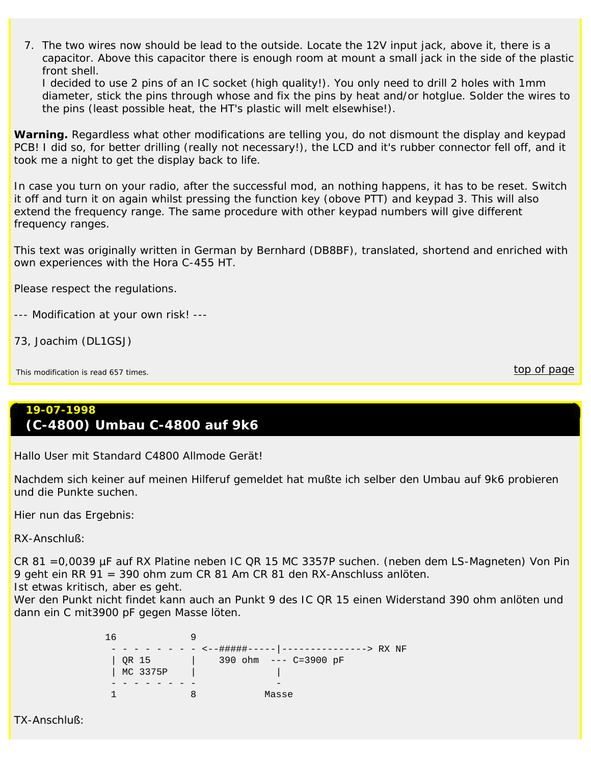7. The two wires now should be lead to the outside. Locate the 12V input jack, above it, there is a capacitor. Above this capacitor there is enough room at mount a small jack in the side of the plastic front shell.

I decided to use 2 pins of an IC socket (high quality!). You only need to drill 2 holes with 1mm diameter, stick the pins through whose and fix the pins by heat and/or hotglue. Solder the wires to the pins (least possible heat, the HT's plastic will melt elsewhise!).

**Warning.** Regardless what other modifications are telling you, do not dismount the display and keypad PCB! I did so, for better drilling (really not necessary!), the LCD and it's rubber connector fell off, and it took me a night to get the display back to life.

In case you turn on your radio, after the successful mod, an nothing happens, it has to be reset. Switch it off and turn it on again whilst pressing the function key (obove PTT) and keypad 3. This will also extend the frequency range. The same procedure with other keypad numbers will give different frequency ranges.

This text was originally written in German by Bernhard (DB8BF), translated, shortend and enriched with own experiences with the Hora C-455 HT.

Please respect the regulations.

- --- Modification at your own risk! ---
- 73, Joachim (DL1GSJ)

<span id="page-20-0"></span>This modification is read 657 times. the control of the control of the control of the control of the control of page

## **19-07-1998 (C-4800) Umbau C-4800 auf 9k6**

Hallo User mit Standard C4800 Allmode Gerät!

Nachdem sich keiner auf meinen Hilferuf gemeldet hat mußte ich selber den Umbau auf 9k6 probieren und die Punkte suchen.

Hier nun das Ergebnis:

RX-Anschluß:

CR 81 =0,0039 µF auf RX Platine neben IC QR 15 MC 3357P suchen. (neben dem LS-Magneten) Von Pin 9 geht ein RR 91 = 390 ohm zum CR 81 Am CR 81 den RX-Anschluss anlöten.

Ist etwas kritisch, aber es geht.

Wer den Punkt nicht findet kann auch an Punkt 9 des IC QR 15 einen Widerstand 390 ohm anlöten und dann ein C mit3900 pF gegen Masse löten.

 16 9 - - - - - - - - <--#####-----|---------------> RX NF | QR 15 | 390 ohm --- C=3900 pF | MC 3375P | | - - - - - - - - - 1 8 Masse

TX-Anschluß: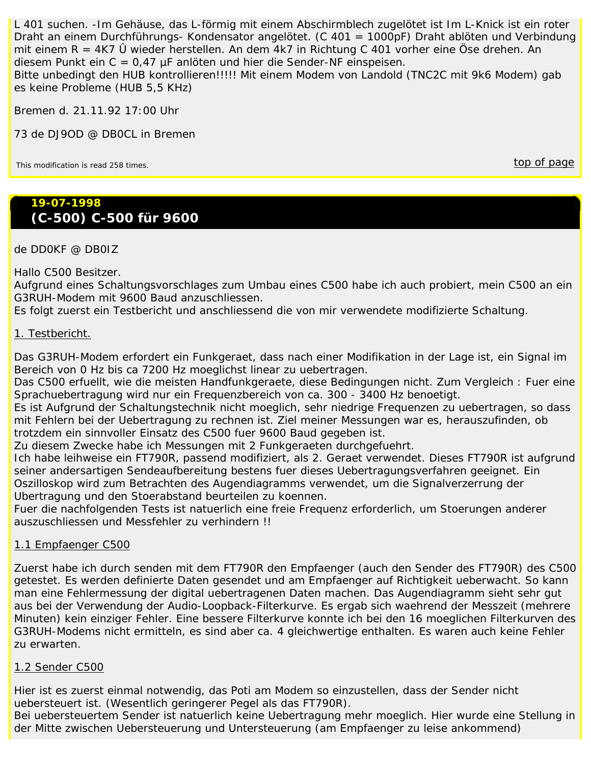L 401 suchen. -Im Gehäuse, das L-förmig mit einem Abschirmblech zugelötet ist Im L-Knick ist ein roter Draht an einem Durchführungs- Kondensator angelötet. (C 401 = 1000pF) Draht ablöten und Verbindung mit einem R = 4K7 Û wieder herstellen. An dem 4k7 in Richtung C 401 vorher eine Öse drehen. An diesem Punkt ein C = 0,47 µF anlöten und hier die Sender-NF einspeisen. Bitte unbedingt den HUB kontrollieren!!!!! Mit einem Modem von Landold (TNC2C mit 9k6 Modem) gab es keine Probleme (HUB 5,5 KHz)

Bremen d. 21.11.92 17:00 Uhr

73 de DJ9OD @ DB0CL in Bremen

<span id="page-21-0"></span>This modification is read 258 times. This modification is read 258 times.

## **19-07-1998 (C-500) C-500 für 9600**

#### *de DD0KF @ DB0IZ*

#### Hallo C500 Besitzer.

Aufgrund eines Schaltungsvorschlages zum Umbau eines C500 habe ich auch probiert, mein C500 an ein G3RUH-Modem mit 9600 Baud anzuschliessen.

Es folgt zuerst ein Testbericht und anschliessend die von mir verwendete modifizierte Schaltung.

## 1. Testbericht.

Das G3RUH-Modem erfordert ein Funkgeraet, dass nach einer Modifikation in der Lage ist, ein Signal im Bereich von 0 Hz bis ca 7200 Hz moeglichst linear zu uebertragen.

Das C500 erfuellt, wie die meisten Handfunkgeraete, diese Bedingungen nicht. Zum Vergleich : Fuer eine Sprachuebertragung wird nur ein Frequenzbereich von ca. 300 - 3400 Hz benoetigt.

Es ist Aufgrund der Schaltungstechnik nicht moeglich, sehr niedrige Frequenzen zu uebertragen, so dass mit Fehlern bei der Uebertragung zu rechnen ist. Ziel meiner Messungen war es, herauszufinden, ob trotzdem ein sinnvoller Einsatz des C500 fuer 9600 Baud gegeben ist.

Zu diesem Zwecke habe ich Messungen mit 2 Funkgeraeten durchgefuehrt.

Ich habe leihweise ein FT790R, passend modifiziert, als 2. Geraet verwendet. Dieses FT790R ist aufgrund seiner andersartigen Sendeaufbereitung bestens fuer dieses Uebertragungsverfahren geeignet. Ein Oszilloskop wird zum Betrachten des Augendiagramms verwendet, um die Signalverzerrung der Ubertragung und den Stoerabstand beurteilen zu koennen.

Fuer die nachfolgenden Tests ist natuerlich eine freie Frequenz erforderlich, um Stoerungen anderer auszuschliessen und Messfehler zu verhindern !!

## 1.1 Empfaenger C500

Zuerst habe ich durch senden mit dem FT790R den Empfaenger (auch den Sender des FT790R) des C500 getestet. Es werden definierte Daten gesendet und am Empfaenger auf Richtigkeit ueberwacht. So kann man eine Fehlermessung der digital uebertragenen Daten machen. Das Augendiagramm sieht sehr gut aus bei der Verwendung der Audio-Loopback-Filterkurve. Es ergab sich waehrend der Messzeit (mehrere Minuten) kein einziger Fehler. Eine bessere Filterkurve konnte ich bei den 16 moeglichen Filterkurven des G3RUH-Modems nicht ermitteln, es sind aber ca. 4 gleichwertige enthalten. Es waren auch keine Fehler zu erwarten.

## 1.2 Sender C500

Hier ist es zuerst einmal notwendig, das Poti am Modem so einzustellen, dass der Sender nicht uebersteuert ist. (Wesentlich geringerer Pegel als das FT790R).

Bei uebersteuertem Sender ist natuerlich keine Uebertragung mehr moeglich. Hier wurde eine Stellung in der Mitte zwischen Uebersteuerung und Untersteuerung (am Empfaenger zu leise ankommend)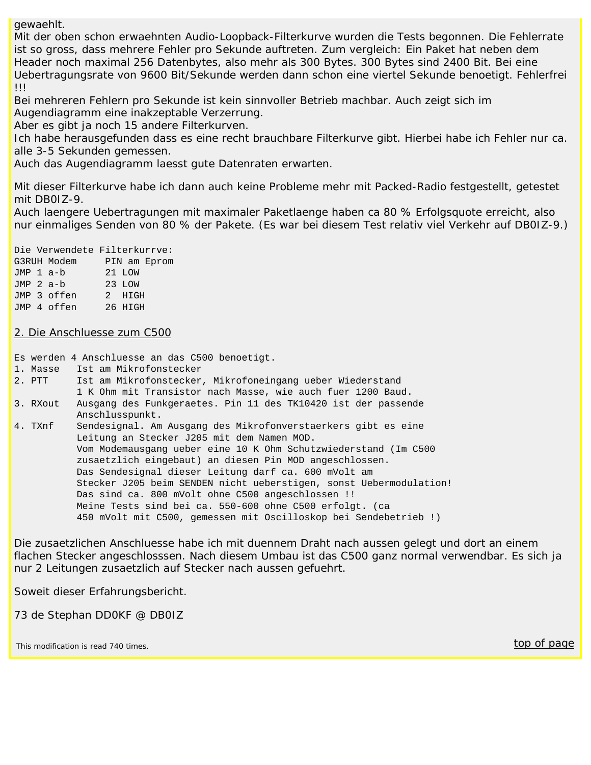gewaehlt.

Mit der oben schon erwaehnten Audio-Loopback-Filterkurve wurden die Tests begonnen. Die Fehlerrate ist so gross, dass mehrere Fehler pro Sekunde auftreten. Zum vergleich: Ein Paket hat neben dem Header noch maximal 256 Datenbytes, also mehr als 300 Bytes. 300 Bytes sind 2400 Bit. Bei eine Uebertragungsrate von 9600 Bit/Sekunde werden dann schon eine viertel Sekunde benoetigt. Fehlerfrei !!!

Bei mehreren Fehlern pro Sekunde ist kein sinnvoller Betrieb machbar. Auch zeigt sich im Augendiagramm eine inakzeptable Verzerrung.

Aber es gibt ja noch 15 andere Filterkurven.

Ich habe herausgefunden dass es eine recht brauchbare Filterkurve gibt. Hierbei habe ich Fehler nur ca. alle 3-5 Sekunden gemessen.

Auch das Augendiagramm laesst gute Datenraten erwarten.

Mit dieser Filterkurve habe ich dann auch keine Probleme mehr mit Packed-Radio festgestellt, getestet mit DB0IZ-9.

Auch laengere Uebertragungen mit maximaler Paketlaenge haben ca 80 % Erfolgsquote erreicht, also nur einmaliges Senden von 80 % der Pakete. (Es war bei diesem Test relativ viel Verkehr auf DB0IZ-9.)

| Die Verwendete Filterkurrve: |  |             |              |  |
|------------------------------|--|-------------|--------------|--|
|                              |  | G3RUH Modem | PIN am Eprom |  |
| $JMP 1 a-b$                  |  |             | 21 LOW       |  |
| $JMP 2 a-b$                  |  |             | 23 LOW       |  |
|                              |  | JMP 3 offen | 2 HIGH       |  |
|                              |  | JMP 4 offen | 26 HIGH      |  |

#### 2. Die Anschluesse zum C500

Es werden 4 Anschluesse an das C500 benoetigt.

- 1. Masse Ist am Mikrofonstecker
- 2. PTT Ist am Mikrofonstecker, Mikrofoneingang ueber Wiederstand 1 K Ohm mit Transistor nach Masse, wie auch fuer 1200 Baud.
- 3. RXout Ausgang des Funkgeraetes. Pin 11 des TK10420 ist der passende Anschlusspunkt.
- 4. TXnf Sendesignal. Am Ausgang des Mikrofonverstaerkers gibt es eine Leitung an Stecker J205 mit dem Namen MOD. Vom Modemausgang ueber eine 10 K Ohm Schutzwiederstand (Im C500 zusaetzlich eingebaut) an diesen Pin MOD angeschlossen. Das Sendesignal dieser Leitung darf ca. 600 mVolt am Stecker J205 beim SENDEN nicht ueberstigen, sonst Uebermodulation! Das sind ca. 800 mVolt ohne C500 angeschlossen !! Meine Tests sind bei ca. 550-600 ohne C500 erfolgt. (ca 450 mVolt mit C500, gemessen mit Oscilloskop bei Sendebetrieb !)

Die zusaetzlichen Anschluesse habe ich mit duennem Draht nach aussen gelegt und dort an einem flachen Stecker angeschlosssen. Nach diesem Umbau ist das C500 ganz normal verwendbar. Es sich ja nur 2 Leitungen zusaetzlich auf Stecker nach aussen gefuehrt.

Soweit dieser Erfahrungsbericht.

73 de Stephan DD0KF @ DB0IZ

<span id="page-22-0"></span>This modification is read 740 times. This modification is read 740 times.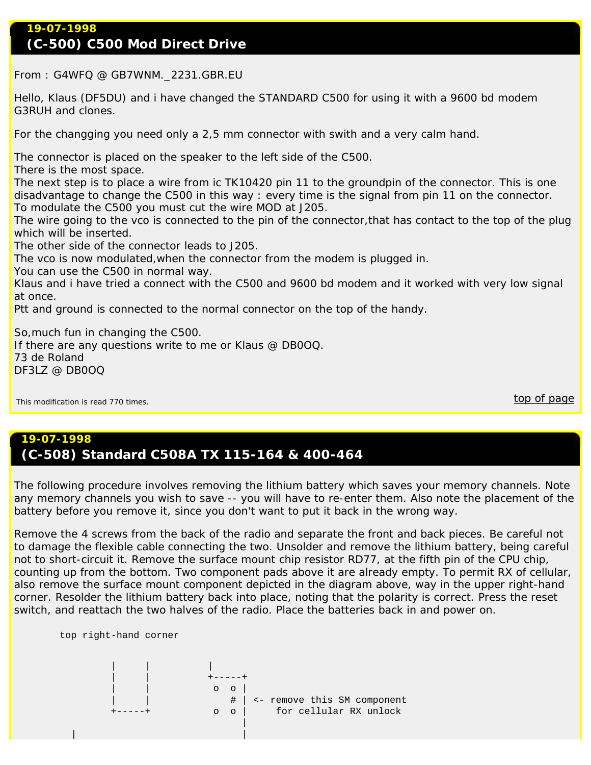## **19-07-1998 (C-500) C500 Mod Direct Drive**

*From : G4WFQ @ GB7WNM.\_2231.GBR.EU*

Hello, Klaus (DF5DU) and i have changed the STANDARD C500 for using it with a 9600 bd modem G3RUH and clones.

For the changging you need only a 2,5 mm connector with swith and a very calm hand.

The connector is placed on the speaker to the left side of the C500.

There is the most space.

The next step is to place a wire from ic TK10420 pin 11 to the groundpin of the connector. This is one disadvantage to change the C500 in this way : every time is the signal from pin 11 on the connector. To modulate the C500 you must cut the wire MOD at J205.

The wire going to the vco is connected to the pin of the connector,that has contact to the top of the plug which will be inserted.

The other side of the connector leads to J205.

The vco is now modulated,when the connector from the modem is plugged in.

You can use the C500 in normal way.

Klaus and i have tried a connect with the C500 and 9600 bd modem and it worked with very low signal at once.

Ptt and ground is connected to the normal connector on the top of the handy.

So,much fun in changing the C500. If there are any questions write to me or Klaus @ DB0OQ. 73 de Roland DF3LZ @ DB0OQ

<span id="page-23-0"></span>This modification is read 770 times. the control of the control of the control of the control of the control of page

## **19-07-1998 (C-508) Standard C508A TX 115-164 & 400-464**

The following procedure involves removing the lithium battery which saves your memory channels. Note any memory channels you wish to save -- you will have to re-enter them. Also note the placement of the battery before you remove it, since you don't want to put it back in the wrong way.

Remove the 4 screws from the back of the radio and separate the front and back pieces. Be careful not to damage the flexible cable connecting the two. Unsolder and remove the lithium battery, being careful not to short-circuit it. Remove the surface mount chip resistor RD77, at the fifth pin of the CPU chip, counting up from the bottom. Two component pads above it are already empty. To permit RX of cellular, also remove the surface mount component depicted in the diagram above, way in the upper right-hand corner. Resolder the lithium battery back into place, noting that the polarity is correct. Press the reset switch, and reattach the two halves of the radio. Place the batteries back in and power on.

top right-hand corner

| |

 | | |  $+ - - - - +$  $\circ$   $\circ$  | | | # | <- remove this SM component o o | for cellular RX unlock |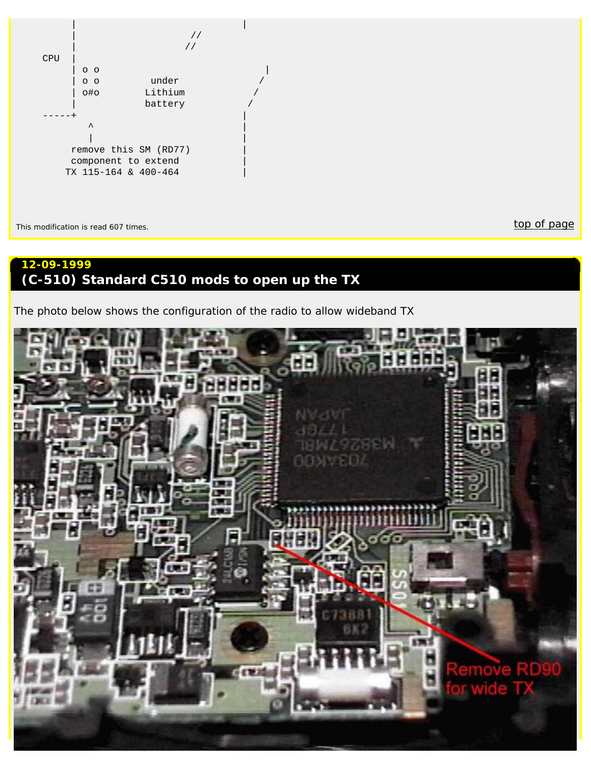

<span id="page-24-0"></span>This modification is read 607 times. the control of the control of the control of the control of page [top of page](#page-0-0)

# **12-09-1999 (C-510) Standard C510 mods to open up the TX**

The photo below shows the configuration of the radio to allow wideband TX

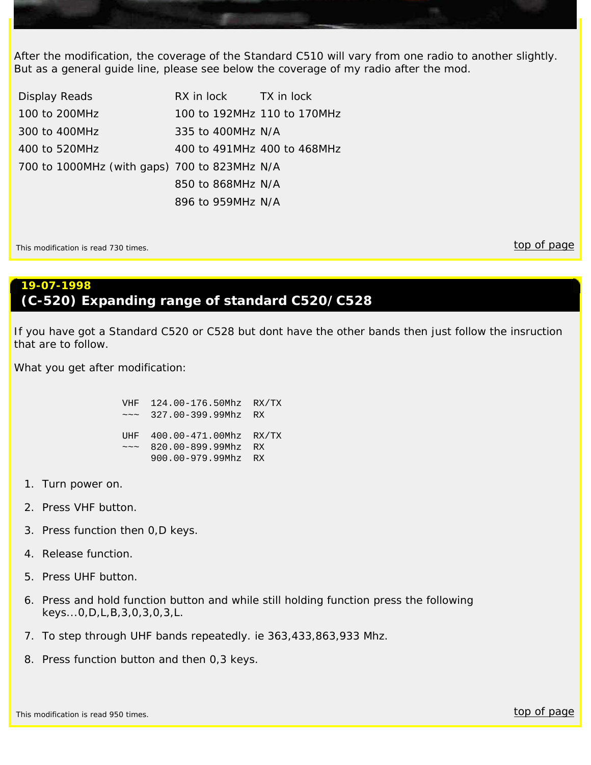After the modification, the coverage of the Standard C510 will vary from one radio to another slightly. But as a general guide line, please see below the coverage of my radio after the mod.

| <b>Display Reads</b>                         | RX in lock TX in lock |                             |
|----------------------------------------------|-----------------------|-----------------------------|
| 100 to 200MHz                                |                       | 100 to 192MHz 110 to 170MHz |
| 300 to 400MHz                                | 335 to 400MHz N/A     |                             |
| 400 to 520MHz                                |                       | 400 to 491MHz 400 to 468MHz |
| 700 to 1000MHz (with gaps) 700 to 823MHz N/A |                       |                             |
|                                              | 850 to 868MHz N/A     |                             |
|                                              | 896 to 959MHz N/A     |                             |

<span id="page-25-0"></span>This modification is read 730 times. the control of the control of the control of the control of the control of page

## **19-07-1998 (C-520) Expanding range of standard C520/C528**

If you have got a Standard C520 or C528 but dont have the other bands then just follow the insruction that are to follow.

What you get after modification:

 VHF 124.00-176.50Mhz RX/TX ~~~ 327.00-399.99Mhz RX UHF 400.00-471.00Mhz RX/TX ~~~ 820.00-899.99Mhz RX 900.00-979.99Mhz RX

- 1. Turn power on.
- 2. Press VHF button.
- 3. Press function then 0,D keys.
- 4. Release function.
- 5. Press UHF button.
- 6. Press and hold function button and while still holding function press the following keys...0,D,L,B,3,0,3,0,3,L.
- 7. To step through UHF bands repeatedly. ie 363,433,863,933 Mhz.
- <span id="page-25-1"></span>8. Press function button and then 0,3 keys.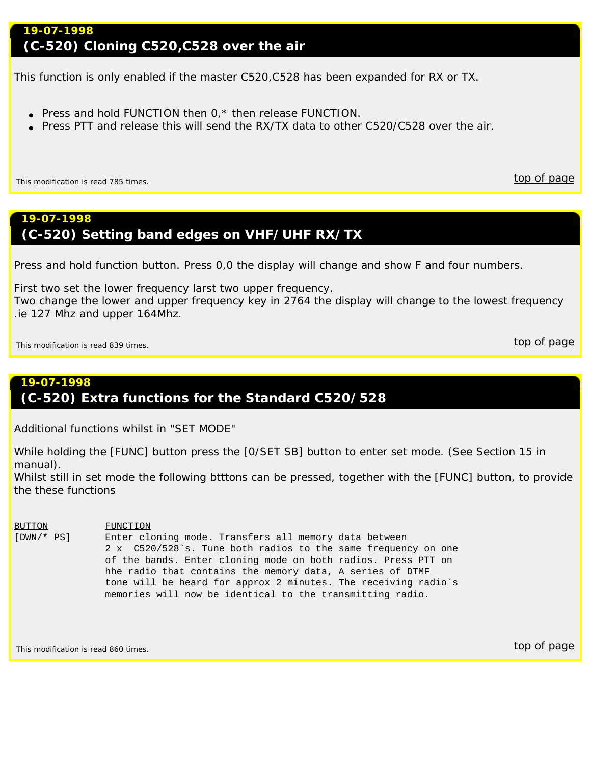## **19-07-1998 (C-520) Cloning C520,C528 over the air**

This function is only enabled if the master C520,C528 has been expanded for RX or TX.

- Press and hold FUNCTION then  $0$ ,\* then release FUNCTION.
- Press PTT and release this will send the RX/TX data to other C520/C528 over the air.

<span id="page-26-0"></span>This modification is read 785 times. This modification is read 785 times.

## **19-07-1998 (C-520) Setting band edges on VHF/UHF RX/TX**

Press and hold function button. Press 0,0 the display will change and show F and four numbers.

First two set the lower frequency larst two upper frequency.

Two change the lower and upper frequency key in 2764 the display will change to the lowest frequency .ie 127 Mhz and upper 164Mhz.

<span id="page-26-1"></span>This modification is read 839 times.  $\overline{top\}$  of page

## **19-07-1998 (C-520) Extra functions for the Standard C520/528**

Additional functions whilst in "SET MODE"

While holding the [FUNC] button press the [0/SET SB] button to enter set mode. (See Section 15 in manual).

Whilst still in set mode the following btttons can be pressed, together with the [FUNC] button, to provide the these functions

BUTTON FUNCTION [DWN/\* PS] Enter cloning mode. Transfers all memory data between 2 x C520/528`s. Tune both radios to the same frequency on one of the bands. Enter cloning mode on both radios. Press PTT on hhe radio that contains the memory data, A series of DTMF tone will be heard for approx 2 minutes. The receiving radio`s memories will now be identical to the transmitting radio.

<span id="page-26-2"></span>This modification is read 860 times.  $\overline{top\}$  of page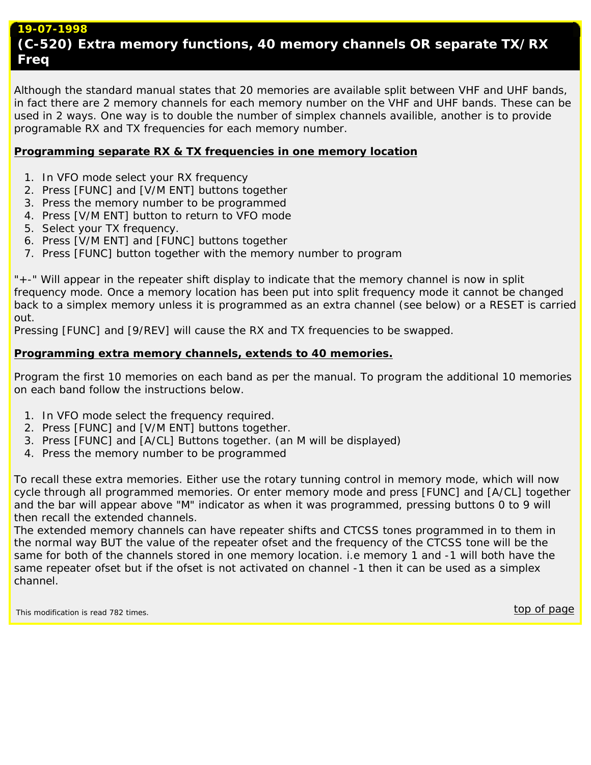Although the standard manual states that 20 memories are available split between VHF and UHF bands, in fact there are 2 memory channels for each memory number on the VHF and UHF bands. These can be used in 2 ways. One way is to double the number of simplex channels availible, another is to provide programable RX and TX frequencies for each memory number.

## **Programming separate RX & TX frequencies in one memory location**

- 1. In VFO mode select your RX frequency
- 2. Press [FUNC] and [V/M ENT] buttons together
- 3. Press the memory number to be programmed
- 4. Press [V/M ENT] button to return to VFO mode
- 5. Select your TX frequency.
- 6. Press [V/M ENT] and [FUNC] buttons together
- 7. Press [FUNC] button together with the memory number to program

"+-" Will appear in the repeater shift display to indicate that the memory channel is now in split frequency mode. Once a memory location has been put into split frequency mode it cannot be changed back to a simplex memory unless it is programmed as an extra channel (see below) or a RESET is carried out.

Pressing [FUNC] and [9/REV] will cause the RX and TX frequencies to be swapped.

## **Programming extra memory channels, extends to 40 memories.**

Program the first 10 memories on each band as per the manual. To program the additional 10 memories on each band follow the instructions below.

- 1. In VFO mode select the frequency required.
- 2. Press [FUNC] and [V/M ENT] buttons together.
- 3. Press [FUNC] and [A/CL] Buttons together. (an M will be displayed)
- 4. Press the memory number to be programmed

To recall these extra memories. Either use the rotary tunning control in memory mode, which will now cycle through all programmed memories. Or enter memory mode and press [FUNC] and [A/CL] together and the bar will appear above "M" indicator as when it was programmed, pressing buttons 0 to 9 will then recall the extended channels.

The extended memory channels can have repeater shifts and CTCSS tones programmed in to them in the normal way BUT the value of the repeater ofset and the frequency of the CTCSS tone will be the same for both of the channels stored in one memory location. i.e memory 1 and -1 will both have the same repeater ofset but if the ofset is not activated on channel -1 then it can be used as a simplex channel.

<span id="page-27-0"></span>This modification is read 782 times.  $\overline{\text{top of page}}$  $\overline{\text{top of page}}$  $\overline{\text{top of page}}$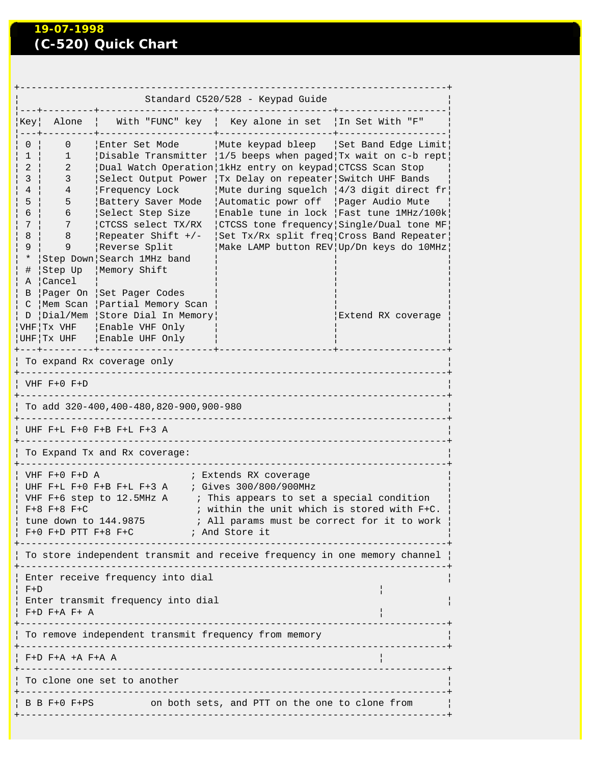## **19-07-1998 (C-520) Quick Chart**

| Standard C520/528 - Keypad Guide                                                                                                                                                                                                                                                                                                                                              |                                                                                               |                                                                                                                                                                                        |                                                                                                                                                                                                                                                                                                                                                                                                                                                                                                                    |                    |  |  |  |  |
|-------------------------------------------------------------------------------------------------------------------------------------------------------------------------------------------------------------------------------------------------------------------------------------------------------------------------------------------------------------------------------|-----------------------------------------------------------------------------------------------|----------------------------------------------------------------------------------------------------------------------------------------------------------------------------------------|--------------------------------------------------------------------------------------------------------------------------------------------------------------------------------------------------------------------------------------------------------------------------------------------------------------------------------------------------------------------------------------------------------------------------------------------------------------------------------------------------------------------|--------------------|--|--|--|--|
| ¦Key¦                                                                                                                                                                                                                                                                                                                                                                         | Alone                                                                                         |                                                                                                                                                                                        | With "FUNC" key   Key alone in set   In Set With "F"                                                                                                                                                                                                                                                                                                                                                                                                                                                               |                    |  |  |  |  |
| 0<br>ı<br>2<br>3<br>4<br>5<br>6<br>7<br>8<br>9<br>$\ast$<br>#<br>A                                                                                                                                                                                                                                                                                                            | $\overline{0}$<br>$\mathbf 1$<br>2<br>3<br>4<br>5<br>6<br>7<br>8<br>9<br> Step Up<br>  Cancel | Enter Set Mode<br>Frequency Lock <br>Battery Saver Mode<br>Select Step Size<br>CTCSS select TX/RX<br>Repeater Shift +/-<br>Reverse Split<br>Step Down Search 1MHz band<br>Memory Shift | Mute keypad bleep   Set Band Edge Limit <br> Disable Transmitter  1/5 beeps when paged Tx wait on c-b rept <br> Dual Watch Operation 1kHz entry on keypad CTCSS Scan Stop<br>Select Output Power Tx Delay on repeater Switch UHF Bands<br>Mute during squelch   4/3 digit direct fr<br>Automatic powr off   Pager Audio Mute<br>Enable tune in lock   Fast tune 1MHz/100k <br> CTCSS tone frequency Single/Dual tone MF <br> Set Tx/Rx split freq Cross Band Repeater <br>Make LAMP button REV Up/Dn keys do 10MHz |                    |  |  |  |  |
| B<br>C<br>D                                                                                                                                                                                                                                                                                                                                                                   |                                                                                               | Pager On Set Pager Codes<br>Mem Scan   Partial Memory Scan<br> Dial/Mem   Store Dial In Memory <br>VHF Tx VHF   Enable VHF Only<br>UHF Tx UHF   Enable UHF Only                        |                                                                                                                                                                                                                                                                                                                                                                                                                                                                                                                    | Extend RX coverage |  |  |  |  |
|                                                                                                                                                                                                                                                                                                                                                                               |                                                                                               | To expand Rx coverage only                                                                                                                                                             |                                                                                                                                                                                                                                                                                                                                                                                                                                                                                                                    |                    |  |  |  |  |
|                                                                                                                                                                                                                                                                                                                                                                               | VHF $F+0$ $F+D$                                                                               |                                                                                                                                                                                        |                                                                                                                                                                                                                                                                                                                                                                                                                                                                                                                    |                    |  |  |  |  |
|                                                                                                                                                                                                                                                                                                                                                                               |                                                                                               | To add 320-400,400-480,820-900,900-980                                                                                                                                                 |                                                                                                                                                                                                                                                                                                                                                                                                                                                                                                                    |                    |  |  |  |  |
|                                                                                                                                                                                                                                                                                                                                                                               |                                                                                               | UHF F+L F+0 F+B F+L F+3 A                                                                                                                                                              |                                                                                                                                                                                                                                                                                                                                                                                                                                                                                                                    |                    |  |  |  |  |
|                                                                                                                                                                                                                                                                                                                                                                               |                                                                                               | ______________________<br>To Expand Tx and Rx coverage:                                                                                                                                |                                                                                                                                                                                                                                                                                                                                                                                                                                                                                                                    |                    |  |  |  |  |
| VHF $F+0$ $F+D$ A<br>; Extends RX coverage<br>UHF F+L F+0 F+B F+L F+3 A ; Gives 300/800/900MHz<br>  VHF F+6 step to 12.5MHz A $\qquad$ ; This appears to set a special condition<br>; within the unit which is stored with F+C.<br>$F+8$ $F+8$ $F+C$<br>tune down to 144.9875 (a) i All params must be correct for it to work<br>$F+0$ $F+D$ $PTT$ $F+8$ $F+C$ ; And Store it |                                                                                               |                                                                                                                                                                                        |                                                                                                                                                                                                                                                                                                                                                                                                                                                                                                                    |                    |  |  |  |  |
|                                                                                                                                                                                                                                                                                                                                                                               |                                                                                               |                                                                                                                                                                                        | To store independent transmit and receive frequency in one memory channel                                                                                                                                                                                                                                                                                                                                                                                                                                          |                    |  |  |  |  |
| --------------------------<br>Enter receive frequency into dial<br>$F+D$<br>Enter transmit frequency into dial<br>F+D F+A F+ A                                                                                                                                                                                                                                                |                                                                                               |                                                                                                                                                                                        |                                                                                                                                                                                                                                                                                                                                                                                                                                                                                                                    |                    |  |  |  |  |
|                                                                                                                                                                                                                                                                                                                                                                               |                                                                                               | To remove independent transmit frequency from memory                                                                                                                                   |                                                                                                                                                                                                                                                                                                                                                                                                                                                                                                                    |                    |  |  |  |  |
|                                                                                                                                                                                                                                                                                                                                                                               | F+D F+A +A F+A A                                                                              |                                                                                                                                                                                        |                                                                                                                                                                                                                                                                                                                                                                                                                                                                                                                    |                    |  |  |  |  |
|                                                                                                                                                                                                                                                                                                                                                                               |                                                                                               | To clone one set to another                                                                                                                                                            |                                                                                                                                                                                                                                                                                                                                                                                                                                                                                                                    |                    |  |  |  |  |
|                                                                                                                                                                                                                                                                                                                                                                               |                                                                                               |                                                                                                                                                                                        | B B F+0 F+PS on both sets, and PTT on the one to clone from                                                                                                                                                                                                                                                                                                                                                                                                                                                        |                    |  |  |  |  |
|                                                                                                                                                                                                                                                                                                                                                                               |                                                                                               | -----------------------                                                                                                                                                                |                                                                                                                                                                                                                                                                                                                                                                                                                                                                                                                    |                    |  |  |  |  |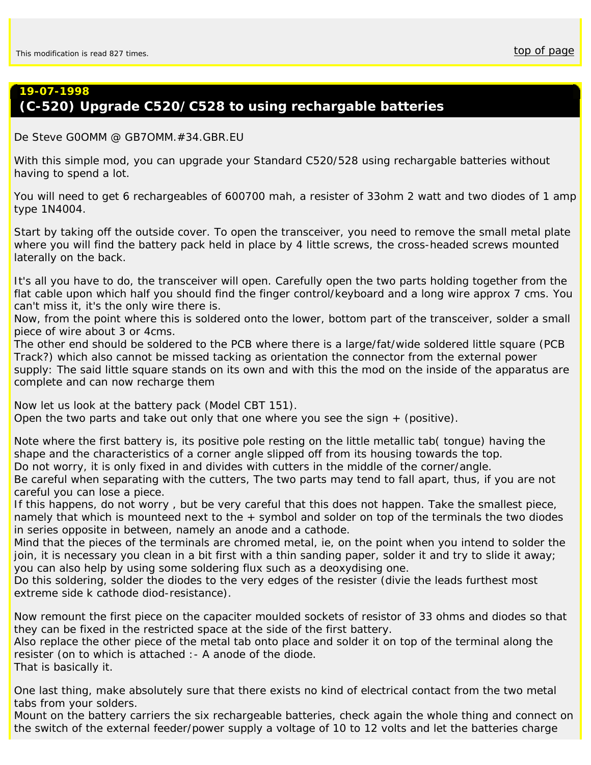# <span id="page-29-0"></span>**19-07-1998 (C-520) Upgrade C520/C528 to using rechargable batteries**

#### *De Steve G0OMM @ GB7OMM.#34.GBR.EU*

With this simple mod, you can upgrade your Standard C520/528 using rechargable batteries without having to spend a lot.

You will need to get 6 rechargeables of 600700 mah, a resister of 33ohm 2 watt and two diodes of 1 amp type 1N4004.

Start by taking off the outside cover. To open the transceiver, you need to remove the small metal plate where you will find the battery pack held in place by 4 little screws, the cross-headed screws mounted laterally on the back.

It's all you have to do, the transceiver will open. Carefully open the two parts holding together from the flat cable upon which half you should find the finger control/keyboard and a long wire approx 7 cms. You can't miss it, it's the only wire there is.

Now, from the point where this is soldered onto the lower, bottom part of the transceiver, solder a small piece of wire about 3 or 4cms.

The other end should be soldered to the PCB where there is a large/fat/wide soldered little square (PCB Track?) which also cannot be missed tacking as orientation the connector from the external power

supply: The said little square stands on its own and with this the mod on the inside of the apparatus are complete and can now recharge them

Now let us look at the battery pack (Model CBT 151). Open the two parts and take out only that one where you see the sign + (positive).

Note where the first battery is, its positive pole resting on the little metallic tab( tongue) having the shape and the characteristics of a corner angle slipped off from its housing towards the top.

Do not worry, it is only fixed in and divides with cutters in the middle of the corner/angle.

Be careful when separating with the cutters, The two parts may tend to fall apart, thus, if you are not careful you can lose a piece.

If this happens, do not worry , but be very careful that this does not happen. Take the smallest piece, namely that which is mounteed next to the + symbol and solder on top of the terminals the two diodes in series opposite in between, namely an anode and a cathode.

Mind that the pieces of the terminals are chromed metal, ie, on the point when you intend to solder the join, it is necessary you clean in a bit first with a thin sanding paper, solder it and try to slide it away; you can also help by using some soldering flux such as a deoxydising one.

Do this soldering, solder the diodes to the very edges of the resister (divie the leads furthest most extreme side k cathode diod-resistance).

Now remount the first piece on the capaciter moulded sockets of resistor of 33 ohms and diodes so that they can be fixed in the restricted space at the side of the first battery.

Also replace the other piece of the metal tab onto place and solder it on top of the terminal along the resister (on to which is attached :- A anode of the diode. That is basically it.

One last thing, make absolutely sure that there exists no kind of electrical contact from the two metal tabs from your solders.

Mount on the battery carriers the six rechargeable batteries, check again the whole thing and connect on the switch of the external feeder/power supply a voltage of 10 to 12 volts and let the batteries charge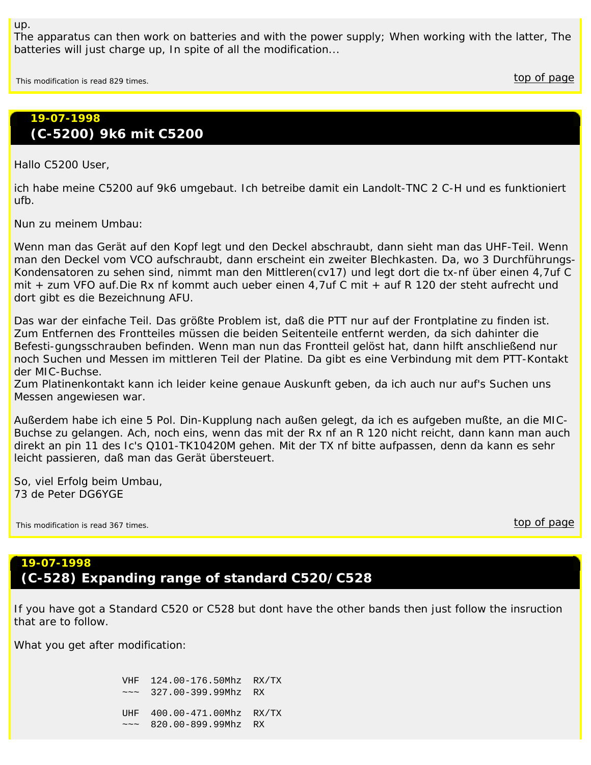up.

The apparatus can then work on batteries and with the power supply; When working with the latter, The batteries will just charge up, In spite of all the modification...

<span id="page-30-0"></span>This modification is read 829 times. the control of the control of the control of the control of the control of page

## **19-07-1998 (C-5200) 9k6 mit C5200**

Hallo C5200 User,

ich habe meine C5200 auf 9k6 umgebaut. Ich betreibe damit ein Landolt-TNC 2 C-H und es funktioniert ufb.

Nun zu meinem Umbau:

Wenn man das Gerät auf den Kopf legt und den Deckel abschraubt, dann sieht man das UHF-Teil. Wenn man den Deckel vom VCO aufschraubt, dann erscheint ein zweiter Blechkasten. Da, wo 3 Durchführungs-Kondensatoren zu sehen sind, nimmt man den Mittleren(cv17) und legt dort die tx-nf über einen 4,7uf C mit + zum VFO auf.Die Rx nf kommt auch ueber einen 4,7uf C mit + auf R 120 der steht aufrecht und dort gibt es die Bezeichnung AFU.

Das war der einfache Teil. Das größte Problem ist, daß die PTT nur auf der Frontplatine zu finden ist. Zum Entfernen des Frontteiles müssen die beiden Seitenteile entfernt werden, da sich dahinter die Befesti-gungsschrauben befinden. Wenn man nun das Frontteil gelöst hat, dann hilft anschließend nur noch Suchen und Messen im mittleren Teil der Platine. Da gibt es eine Verbindung mit dem PTT-Kontakt der MIC-Buchse.

Zum Platinenkontakt kann ich leider keine genaue Auskunft geben, da ich auch nur auf's Suchen uns Messen angewiesen war.

Außerdem habe ich eine 5 Pol. Din-Kupplung nach außen gelegt, da ich es aufgeben mußte, an die MIC-Buchse zu gelangen. Ach, noch eins, wenn das mit der Rx nf an R 120 nicht reicht, dann kann man auch direkt an pin 11 des Ic's Q101-TK10420M gehen. Mit der TX nf bitte aufpassen, denn da kann es sehr leicht passieren, daß man das Gerät übersteuert.

So, viel Erfolg beim Umbau, 73 de Peter DG6YGE

<span id="page-30-1"></span>This modification is read 367 times.  $\overline{\text{top of page}}$  $\overline{\text{top of page}}$  $\overline{\text{top of page}}$ 

#### **19-07-1998**

# **(C-528) Expanding range of standard C520/C528**

If you have got a Standard C520 or C528 but dont have the other bands then just follow the insruction that are to follow.

What you get after modification:

 VHF 124.00-176.50Mhz RX/TX ~~~ 327.00-399.99Mhz RX UHF 400.00-471.00Mhz RX/TX  $\sim$  820.00-899.99Mhz RX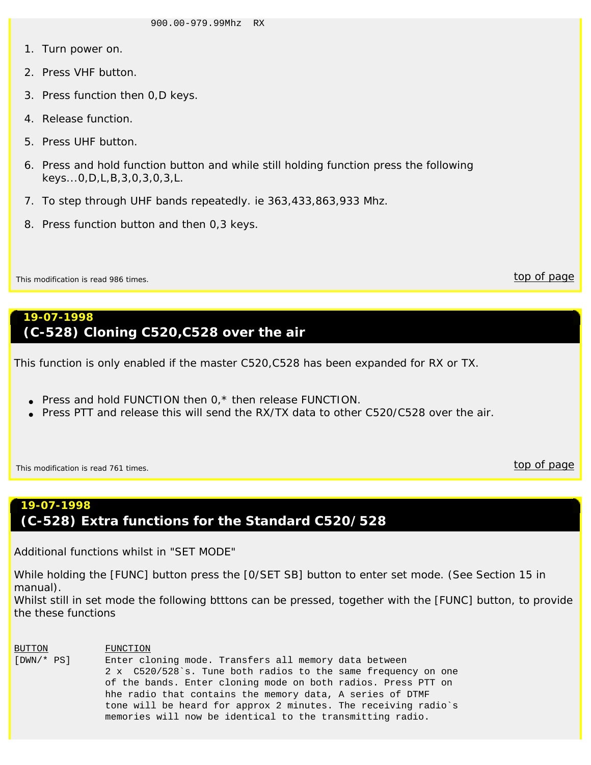- 1. Turn power on.
- 2. Press VHF button.
- 3. Press function then 0,D keys.
- 4. Release function.
- 5. Press UHF button.
- 6. Press and hold function button and while still holding function press the following keys...0,D,L,B,3,0,3,0,3,L.
- 7. To step through UHF bands repeatedly. ie 363,433,863,933 Mhz.
- 8. Press function button and then 0,3 keys.

<span id="page-31-0"></span>This modification is read 986 times. the control of the control of the control of the control of the control of page

#### **19-07-1998**

## **(C-528) Cloning C520,C528 over the air**

This function is only enabled if the master C520,C528 has been expanded for RX or TX.

- Press and hold FUNCTION then  $0.*$  then release FUNCTION.
- Press PTT and release this will send the RX/TX data to other C520/C528 over the air.

<span id="page-31-1"></span>This modification is read 761 times. the control of the control of the control of the control of the control of the control of the control of the control of the control of the control of the control of the control of the c

# **19-07-1998 (C-528) Extra functions for the Standard C520/528**

Additional functions whilst in "SET MODE"

While holding the [FUNC] button press the [0/SET SB] button to enter set mode. (See Section 15 in manual).

Whilst still in set mode the following btttons can be pressed, together with the [FUNC] button, to provide the these functions

BUTTON FUNCTION [DWN/\* PS] Enter cloning mode. Transfers all memory data between 2 x C520/528`s. Tune both radios to the same frequency on one of the bands. Enter cloning mode on both radios. Press PTT on hhe radio that contains the memory data, A series of DTMF tone will be heard for approx 2 minutes. The receiving radio`s memories will now be identical to the transmitting radio.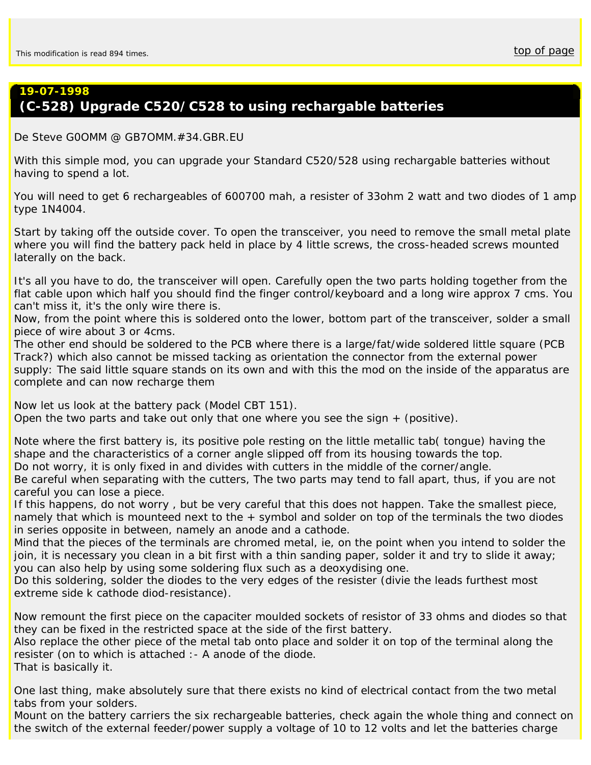# <span id="page-32-0"></span>**19-07-1998 (C-528) Upgrade C520/C528 to using rechargable batteries**

#### *De Steve G0OMM @ GB7OMM.#34.GBR.EU*

With this simple mod, you can upgrade your Standard C520/528 using rechargable batteries without having to spend a lot.

You will need to get 6 rechargeables of 600700 mah, a resister of 33ohm 2 watt and two diodes of 1 amp type 1N4004.

Start by taking off the outside cover. To open the transceiver, you need to remove the small metal plate where you will find the battery pack held in place by 4 little screws, the cross-headed screws mounted laterally on the back.

It's all you have to do, the transceiver will open. Carefully open the two parts holding together from the flat cable upon which half you should find the finger control/keyboard and a long wire approx 7 cms. You can't miss it, it's the only wire there is.

Now, from the point where this is soldered onto the lower, bottom part of the transceiver, solder a small piece of wire about 3 or 4cms.

The other end should be soldered to the PCB where there is a large/fat/wide soldered little square (PCB Track?) which also cannot be missed tacking as orientation the connector from the external power

supply: The said little square stands on its own and with this the mod on the inside of the apparatus are complete and can now recharge them

Now let us look at the battery pack (Model CBT 151). Open the two parts and take out only that one where you see the sign + (positive).

Note where the first battery is, its positive pole resting on the little metallic tab( tongue) having the shape and the characteristics of a corner angle slipped off from its housing towards the top.

Do not worry, it is only fixed in and divides with cutters in the middle of the corner/angle.

Be careful when separating with the cutters, The two parts may tend to fall apart, thus, if you are not careful you can lose a piece.

If this happens, do not worry , but be very careful that this does not happen. Take the smallest piece, namely that which is mounteed next to the + symbol and solder on top of the terminals the two diodes in series opposite in between, namely an anode and a cathode.

Mind that the pieces of the terminals are chromed metal, ie, on the point when you intend to solder the join, it is necessary you clean in a bit first with a thin sanding paper, solder it and try to slide it away; you can also help by using some soldering flux such as a deoxydising one.

Do this soldering, solder the diodes to the very edges of the resister (divie the leads furthest most extreme side k cathode diod-resistance).

Now remount the first piece on the capaciter moulded sockets of resistor of 33 ohms and diodes so that they can be fixed in the restricted space at the side of the first battery.

Also replace the other piece of the metal tab onto place and solder it on top of the terminal along the resister (on to which is attached :- A anode of the diode. That is basically it.

One last thing, make absolutely sure that there exists no kind of electrical contact from the two metal tabs from your solders.

Mount on the battery carriers the six rechargeable batteries, check again the whole thing and connect on the switch of the external feeder/power supply a voltage of 10 to 12 volts and let the batteries charge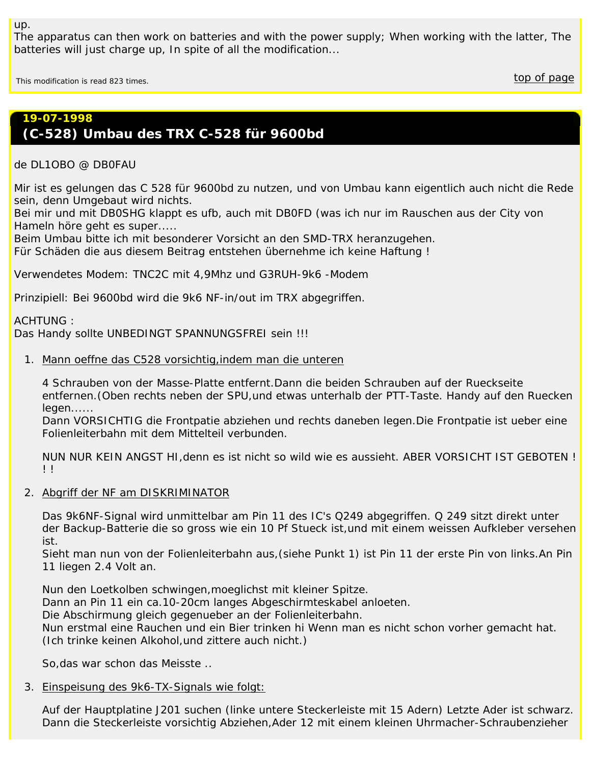The apparatus can then work on batteries and with the power supply; When working with the latter, The batteries will just charge up, In spite of all the modification...

<span id="page-33-0"></span>This modification is read 823 times.  $\overline{\text{top of page}}$  $\overline{\text{top of page}}$  $\overline{\text{top of page}}$ 

## **19-07-1998 (C-528) Umbau des TRX C-528 für 9600bd**

*de DL1OBO @ DB0FAU*

Mir ist es gelungen das C 528 für 9600bd zu nutzen, und von Umbau kann eigentlich auch nicht die Rede sein, denn Umgebaut wird nichts.

Bei mir und mit DB0SHG klappt es ufb, auch mit DB0FD (was ich nur im Rauschen aus der City von Hameln höre geht es super.....

Beim Umbau bitte ich mit besonderer Vorsicht an den SMD-TRX heranzugehen.

Für Schäden die aus diesem Beitrag entstehen übernehme ich keine Haftung !

Verwendetes Modem: TNC2C mit 4,9Mhz und G3RUH-9k6 -Modem

Prinzipiell: Bei 9600bd wird die 9k6 NF-in/out im TRX abgegriffen.

ACHTUNG :

Das Handy sollte UNBEDINGT SPANNUNGSFREI sein !!!

1. Mann oeffne das C528 vorsichtig,indem man die unteren

4 Schrauben von der Masse-Platte entfernt.Dann die beiden Schrauben auf der Rueckseite entfernen.(Oben rechts neben der SPU,und etwas unterhalb der PTT-Taste. Handy auf den Ruecken legen......

Dann VORSICHTIG die Frontpatie abziehen und rechts daneben legen.Die Frontpatie ist ueber eine Folienleiterbahn mit dem Mittelteil verbunden.

NUN NUR KEIN ANGST HI,denn es ist nicht so wild wie es aussieht. ABER VORSICHT IST GEBOTEN ! ! !

2. Abgriff der NF am DISKRIMINATOR

Das 9k6NF-Signal wird unmittelbar am Pin 11 des IC's Q249 abgegriffen. Q 249 sitzt direkt unter der Backup-Batterie die so gross wie ein 10 Pf Stueck ist,und mit einem weissen Aufkleber versehen ist.

Sieht man nun von der Folienleiterbahn aus,(siehe Punkt 1) ist Pin 11 der erste Pin von links.An Pin 11 liegen 2.4 Volt an.

Nun den Loetkolben schwingen,moeglichst mit kleiner Spitze. Dann an Pin 11 ein ca.10-20cm langes Abgeschirmteskabel anloeten. Die Abschirmung gleich gegenueber an der Folienleiterbahn.

Nun erstmal eine Rauchen und ein Bier trinken hi Wenn man es nicht schon vorher gemacht hat. (Ich trinke keinen Alkohol,und zittere auch nicht.)

So,das war schon das Meisste ..

3. Einspeisung des 9k6-TX-Signals wie folgt:

Auf der Hauptplatine J201 suchen (linke untere Steckerleiste mit 15 Adern) Letzte Ader ist schwarz. Dann die Steckerleiste vorsichtig Abziehen,Ader 12 mit einem kleinen Uhrmacher-Schraubenzieher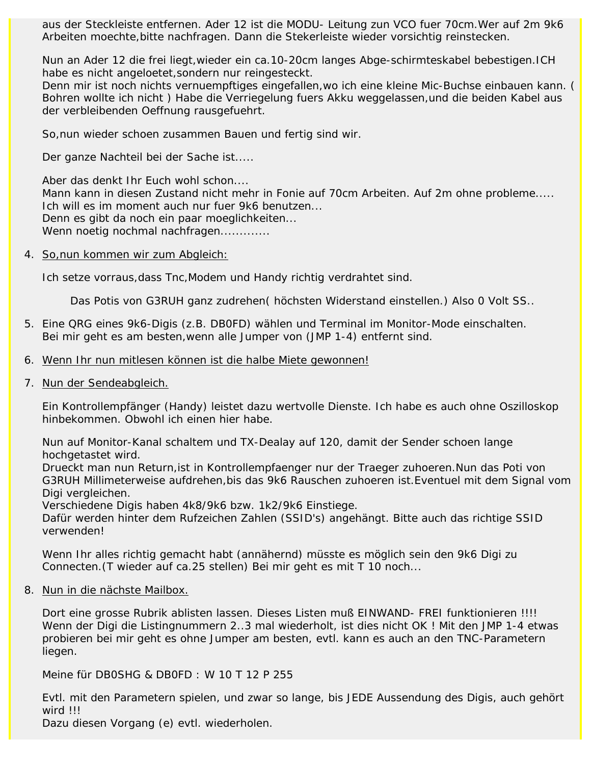aus der Steckleiste entfernen. Ader 12 ist die MODU- Leitung zun VCO fuer 70cm.Wer auf 2m 9k6 Arbeiten moechte,bitte nachfragen. Dann die Stekerleiste wieder vorsichtig reinstecken.

Nun an Ader 12 die frei liegt,wieder ein ca.10-20cm langes Abge-schirmteskabel bebestigen.ICH habe es nicht angeloetet,sondern nur reingesteckt.

Denn mir ist noch nichts vernuempftiges eingefallen,wo ich eine kleine Mic-Buchse einbauen kann. ( Bohren wollte ich nicht ) Habe die Verriegelung fuers Akku weggelassen,und die beiden Kabel aus der verbleibenden Oeffnung rausgefuehrt.

So,nun wieder schoen zusammen Bauen und fertig sind wir.

Der ganze Nachteil bei der Sache ist.....

Aber das denkt Ihr Euch wohl schon....

Mann kann in diesen Zustand nicht mehr in Fonie auf 70cm Arbeiten. Auf 2m ohne probleme..... Ich will es im moment auch nur fuer 9k6 benutzen... Denn es gibt da noch ein paar moeglichkeiten... Wenn noetig nochmal nachfragen..............

4. So,nun kommen wir zum Abgleich:

Ich setze vorraus,dass Tnc,Modem und Handy richtig verdrahtet sind.

Das Potis von G3RUH ganz zudrehen( höchsten Widerstand einstellen.) Also 0 Volt SS..

- 5. Eine QRG eines 9k6-Digis (z.B. DB0FD) wählen und Terminal im Monitor-Mode einschalten. Bei mir geht es am besten,wenn alle Jumper von (JMP 1-4) entfernt sind.
- 6. Wenn Ihr nun mitlesen können ist die halbe Miete gewonnen!
- 7. Nun der Sendeabgleich.

Ein Kontrollempfänger (Handy) leistet dazu wertvolle Dienste. Ich habe es auch ohne Oszilloskop hinbekommen. Obwohl ich einen hier habe.

Nun auf Monitor-Kanal schaltem und TX-Dealay auf 120, damit der Sender schoen lange hochgetastet wird.

Drueckt man nun Return,ist in Kontrollempfaenger nur der Traeger zuhoeren.Nun das Poti von G3RUH Millimeterweise aufdrehen,bis das 9k6 Rauschen zuhoeren ist.Eventuel mit dem Signal vom Digi vergleichen.

Verschiedene Digis haben 4k8/9k6 bzw. 1k2/9k6 Einstiege.

Dafür werden hinter dem Rufzeichen Zahlen (SSID's) angehängt. Bitte auch das richtige SSID verwenden!

Wenn Ihr alles richtig gemacht habt (annähernd) müsste es möglich sein den 9k6 Digi zu Connecten.(T wieder auf ca.25 stellen) Bei mir geht es mit T 10 noch...

8. Nun in die nächste Mailbox.

Dort eine grosse Rubrik ablisten lassen. Dieses Listen muß EINWAND- FREI funktionieren !!!! Wenn der Digi die Listingnummern 2..3 mal wiederholt, ist dies nicht OK ! Mit den JMP 1-4 etwas probieren bei mir geht es ohne Jumper am besten, evtl. kann es auch an den TNC-Parametern liegen.

Meine für DB0SHG & DB0FD : W 10 T 12 P 255

Evtl. mit den Parametern spielen, und zwar so lange, bis JEDE Aussendung des Digis, auch gehört wird !!!

Dazu diesen Vorgang (e) evtl. wiederholen.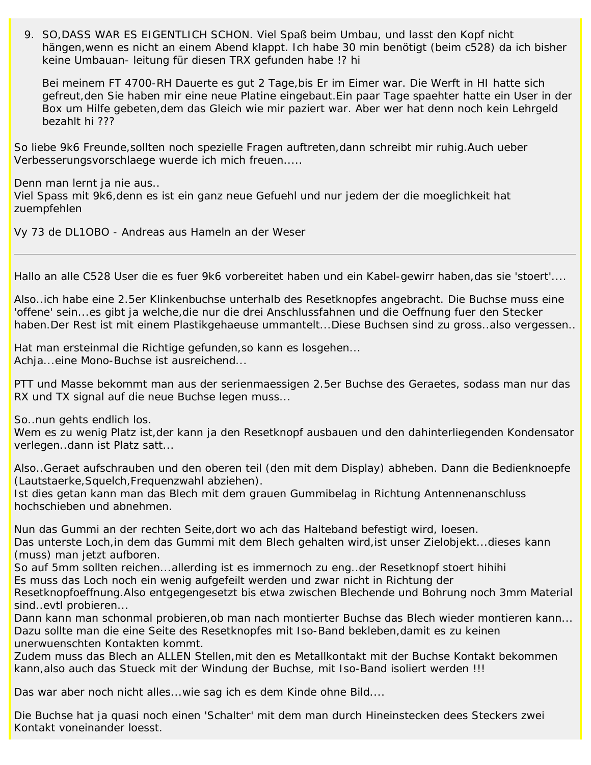9. SO,DASS WAR ES EIGENTLICH SCHON. Viel Spaß beim Umbau, und lasst den Kopf nicht hängen,wenn es nicht an einem Abend klappt. Ich habe 30 min benötigt (beim c528) da ich bisher keine Umbauan- leitung für diesen TRX gefunden habe !? hi

Bei meinem FT 4700-RH Dauerte es gut 2 Tage,bis Er im Eimer war. Die Werft in HI hatte sich gefreut,den Sie haben mir eine neue Platine eingebaut.Ein paar Tage spaehter hatte ein User in der Box um Hilfe gebeten,dem das Gleich wie mir paziert war. Aber wer hat denn noch kein Lehrgeld bezahlt hi ???

So liebe 9k6 Freunde,sollten noch spezielle Fragen auftreten,dann schreibt mir ruhig.Auch ueber Verbesserungsvorschlaege wuerde ich mich freuen.....

Denn man lernt ja nie aus..

Viel Spass mit 9k6,denn es ist ein ganz neue Gefuehl und nur jedem der die moeglichkeit hat zuempfehlen

Vy 73 de DL1OBO - Andreas aus Hameln an der Weser

Hallo an alle C528 User die es fuer 9k6 vorbereitet haben und ein Kabel-gewirr haben,das sie 'stoert'....

Also..ich habe eine 2.5er Klinkenbuchse unterhalb des Resetknopfes angebracht. Die Buchse muss eine 'offene' sein...es gibt ja welche,die nur die drei Anschlussfahnen und die Oeffnung fuer den Stecker haben.Der Rest ist mit einem Plastikgehaeuse ummantelt...Diese Buchsen sind zu gross..also vergessen..

Hat man ersteinmal die Richtige gefunden,so kann es losgehen... Achja...eine Mono-Buchse ist ausreichend...

PTT und Masse bekommt man aus der serienmaessigen 2.5er Buchse des Geraetes, sodass man nur das RX und TX signal auf die neue Buchse legen muss...

So..nun gehts endlich los.

Wem es zu wenig Platz ist,der kann ja den Resetknopf ausbauen und den dahinterliegenden Kondensator verlegen..dann ist Platz satt...

Also..Geraet aufschrauben und den oberen teil (den mit dem Display) abheben. Dann die Bedienknoepfe (Lautstaerke,Squelch,Frequenzwahl abziehen).

Ist dies getan kann man das Blech mit dem grauen Gummibelag in Richtung Antennenanschluss hochschieben und abnehmen.

Nun das Gummi an der rechten Seite,dort wo ach das Halteband befestigt wird, loesen.

Das unterste Loch,in dem das Gummi mit dem Blech gehalten wird,ist unser Zielobjekt...dieses kann (muss) man jetzt aufboren.

So auf 5mm sollten reichen...allerding ist es immernoch zu eng..der Resetknopf stoert hihihi Es muss das Loch noch ein wenig aufgefeilt werden und zwar nicht in Richtung der

Resetknopfoeffnung.Also entgegengesetzt bis etwa zwischen Blechende und Bohrung noch 3mm Material sind..evtl probieren...

Dann kann man schonmal probieren,ob man nach montierter Buchse das Blech wieder montieren kann... Dazu sollte man die eine Seite des Resetknopfes mit Iso-Band bekleben,damit es zu keinen unerwuenschten Kontakten kommt.

Zudem muss das Blech an ALLEN Stellen,mit den es Metallkontakt mit der Buchse Kontakt bekommen kann,also auch das Stueck mit der Windung der Buchse, mit Iso-Band isoliert werden !!!

Das war aber noch nicht alles...wie sag ich es dem Kinde ohne Bild....

Die Buchse hat ja quasi noch einen 'Schalter' mit dem man durch Hineinstecken dees Steckers zwei Kontakt voneinander loesst.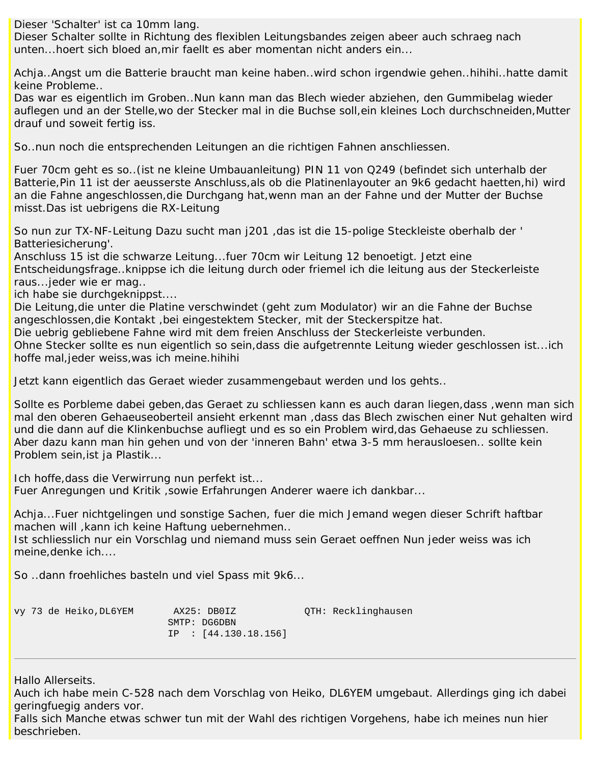Dieser 'Schalter' ist ca 10mm lang.

Dieser Schalter sollte in Richtung des flexiblen Leitungsbandes zeigen abeer auch schraeg nach unten...hoert sich bloed an,mir faellt es aber momentan nicht anders ein...

Achja..Angst um die Batterie braucht man keine haben..wird schon irgendwie gehen..hihihi..hatte damit keine Probleme..

Das war es eigentlich im Groben..Nun kann man das Blech wieder abziehen, den Gummibelag wieder auflegen und an der Stelle,wo der Stecker mal in die Buchse soll,ein kleines Loch durchschneiden,Mutter drauf und soweit fertig iss.

So..nun noch die entsprechenden Leitungen an die richtigen Fahnen anschliessen.

Fuer 70cm geht es so..(ist ne kleine Umbauanleitung) PIN 11 von Q249 (befindet sich unterhalb der Batterie,Pin 11 ist der aeusserste Anschluss,als ob die Platinenlayouter an 9k6 gedacht haetten,hi) wird an die Fahne angeschlossen,die Durchgang hat,wenn man an der Fahne und der Mutter der Buchse misst.Das ist uebrigens die RX-Leitung

So nun zur TX-NF-Leitung Dazu sucht man j201 ,das ist die 15-polige Steckleiste oberhalb der ' Batteriesicherung'.

Anschluss 15 ist die schwarze Leitung...fuer 70cm wir Leitung 12 benoetigt. Jetzt eine Entscheidungsfrage..knippse ich die leitung durch oder friemel ich die leitung aus der Steckerleiste raus...jeder wie er mag..

ich habe sie durchgeknippst....

Die Leitung,die unter die Platine verschwindet (geht zum Modulator) wir an die Fahne der Buchse angeschlossen,die Kontakt ,bei eingestektem Stecker, mit der Steckerspitze hat.

Die uebrig gebliebene Fahne wird mit dem freien Anschluss der Steckerleiste verbunden.

Ohne Stecker sollte es nun eigentlich so sein,dass die aufgetrennte Leitung wieder geschlossen ist...ich hoffe mal,jeder weiss,was ich meine.hihihi

Jetzt kann eigentlich das Geraet wieder zusammengebaut werden und los gehts..

Sollte es Porbleme dabei geben,das Geraet zu schliessen kann es auch daran liegen,dass ,wenn man sich mal den oberen Gehaeuseoberteil ansieht erkennt man ,dass das Blech zwischen einer Nut gehalten wird und die dann auf die Klinkenbuchse aufliegt und es so ein Problem wird,das Gehaeuse zu schliessen. Aber dazu kann man hin gehen und von der 'inneren Bahn' etwa 3-5 mm herausloesen.. sollte kein Problem sein,ist ja Plastik...

Ich hoffe,dass die Verwirrung nun perfekt ist...

Fuer Anregungen und Kritik ,sowie Erfahrungen Anderer waere ich dankbar...

Achja...Fuer nichtgelingen und sonstige Sachen, fuer die mich Jemand wegen dieser Schrift haftbar machen will ,kann ich keine Haftung uebernehmen..

Ist schliesslich nur ein Vorschlag und niemand muss sein Geraet oeffnen Nun jeder weiss was ich meine,denke ich....

So ..dann froehliches basteln und viel Spass mit 9k6...

|  | vy 73 de Heiko, DL6YEM |  | AX25: DB0IZ              | QTH: Recklinghausen |
|--|------------------------|--|--------------------------|---------------------|
|  |                        |  | SMTP: DG6DBN             |                     |
|  |                        |  | $IP$ : $[44.130.18.156]$ |                     |

Hallo Allerseits.

Auch ich habe mein C-528 nach dem Vorschlag von Heiko, DL6YEM umgebaut. Allerdings ging ich dabei geringfuegig anders vor.

Falls sich Manche etwas schwer tun mit der Wahl des richtigen Vorgehens, habe ich meines nun hier beschrieben.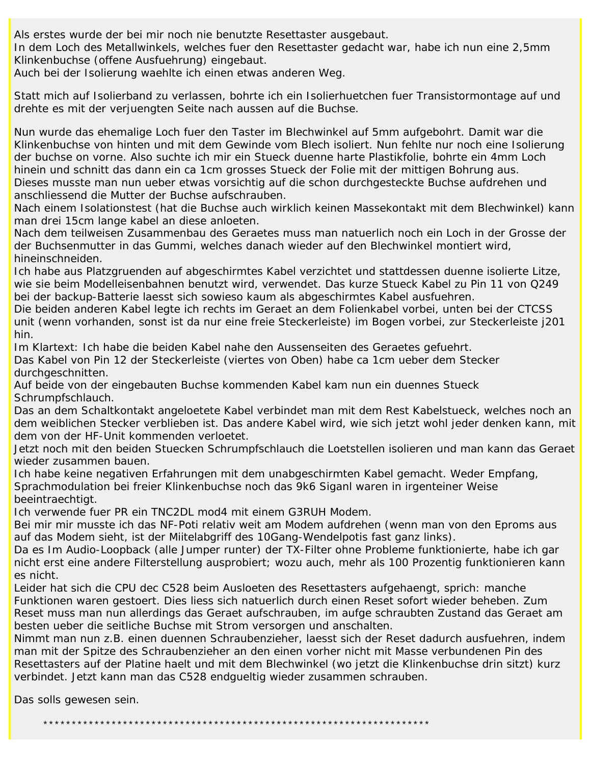Als erstes wurde der bei mir noch nie benutzte Resettaster ausgebaut.

In dem Loch des Metallwinkels, welches fuer den Resettaster gedacht war, habe ich nun eine 2,5mm Klinkenbuchse (offene Ausfuehrung) eingebaut.

Auch bei der Isolierung waehlte ich einen etwas anderen Weg.

Statt mich auf Isolierband zu verlassen, bohrte ich ein Isolierhuetchen fuer Transistormontage auf und drehte es mit der verjuengten Seite nach aussen auf die Buchse.

Nun wurde das ehemalige Loch fuer den Taster im Blechwinkel auf 5mm aufgebohrt. Damit war die Klinkenbuchse von hinten und mit dem Gewinde vom Blech isoliert. Nun fehlte nur noch eine Isolierung der buchse on vorne. Also suchte ich mir ein Stueck duenne harte Plastikfolie, bohrte ein 4mm Loch hinein und schnitt das dann ein ca 1cm grosses Stueck der Folie mit der mittigen Bohrung aus. Dieses musste man nun ueber etwas vorsichtig auf die schon durchgesteckte Buchse aufdrehen und anschliessend die Mutter der Buchse aufschrauben.

Nach einem Isolationstest (hat die Buchse auch wirklich keinen Massekontakt mit dem Blechwinkel) kann man drei 15cm lange kabel an diese anloeten.

Nach dem teilweisen Zusammenbau des Geraetes muss man natuerlich noch ein Loch in der Grosse der der Buchsenmutter in das Gummi, welches danach wieder auf den Blechwinkel montiert wird, hineinschneiden.

Ich habe aus Platzgruenden auf abgeschirmtes Kabel verzichtet und stattdessen duenne isolierte Litze, wie sie beim Modelleisenbahnen benutzt wird, verwendet. Das kurze Stueck Kabel zu Pin 11 von Q249 bei der backup-Batterie laesst sich sowieso kaum als abgeschirmtes Kabel ausfuehren.

Die beiden anderen Kabel legte ich rechts im Geraet an dem Folienkabel vorbei, unten bei der CTCSS unit (wenn vorhanden, sonst ist da nur eine freie Steckerleiste) im Bogen vorbei, zur Steckerleiste j201 hin.

Im Klartext: Ich habe die beiden Kabel nahe den Aussenseiten des Geraetes gefuehrt.

Das Kabel von Pin 12 der Steckerleiste (viertes von Oben) habe ca 1cm ueber dem Stecker durchgeschnitten.

Auf beide von der eingebauten Buchse kommenden Kabel kam nun ein duennes Stueck Schrumpfschlauch.

Das an dem Schaltkontakt angeloetete Kabel verbindet man mit dem Rest Kabelstueck, welches noch an dem weiblichen Stecker verblieben ist. Das andere Kabel wird, wie sich jetzt wohl jeder denken kann, mit dem von der HF-Unit kommenden verloetet.

Jetzt noch mit den beiden Stuecken Schrumpfschlauch die Loetstellen isolieren und man kann das Geraet wieder zusammen bauen.

Ich habe keine negativen Erfahrungen mit dem unabgeschirmten Kabel gemacht. Weder Empfang, Sprachmodulation bei freier Klinkenbuchse noch das 9k6 Siganl waren in irgenteiner Weise beeintraechtigt.

Ich verwende fuer PR ein TNC2DL mod4 mit einem G3RUH Modem.

Bei mir mir musste ich das NF-Poti relativ weit am Modem aufdrehen (wenn man von den Eproms aus auf das Modem sieht, ist der Miitelabgriff des 10Gang-Wendelpotis fast ganz links).

Da es Im Audio-Loopback (alle Jumper runter) der TX-Filter ohne Probleme funktionierte, habe ich gar nicht erst eine andere Filterstellung ausprobiert; wozu auch, mehr als 100 Prozentig funktionieren kann es nicht.

Leider hat sich die CPU dec C528 beim Ausloeten des Resettasters aufgehaengt, sprich: manche Funktionen waren gestoert. Dies liess sich natuerlich durch einen Reset sofort wieder beheben. Zum Reset muss man nun allerdings das Geraet aufschrauben, im aufge schraubten Zustand das Geraet am besten ueber die seitliche Buchse mit Strom versorgen und anschalten.

Nimmt man nun z.B. einen duennen Schraubenzieher, laesst sich der Reset dadurch ausfuehren, indem man mit der Spitze des Schraubenzieher an den einen vorher nicht mit Masse verbundenen Pin des Resettasters auf der Platine haelt und mit dem Blechwinkel (wo jetzt die Klinkenbuchse drin sitzt) kurz verbindet. Jetzt kann man das C528 endgueltig wieder zusammen schrauben.

Das solls gewesen sein.

\*\*\*\*\*\*\*\*\*\*\*\*\*\*\*\*\*\*\*\*\*\*\*\*\*\*\*\*\*\*\*\*\*\*\*\*\*\*\*\*\*\*\*\*\*\*\*\*\*\*\*\*\*\*\*\*\*\*\*\*\*\*\*\*\*\*\*\*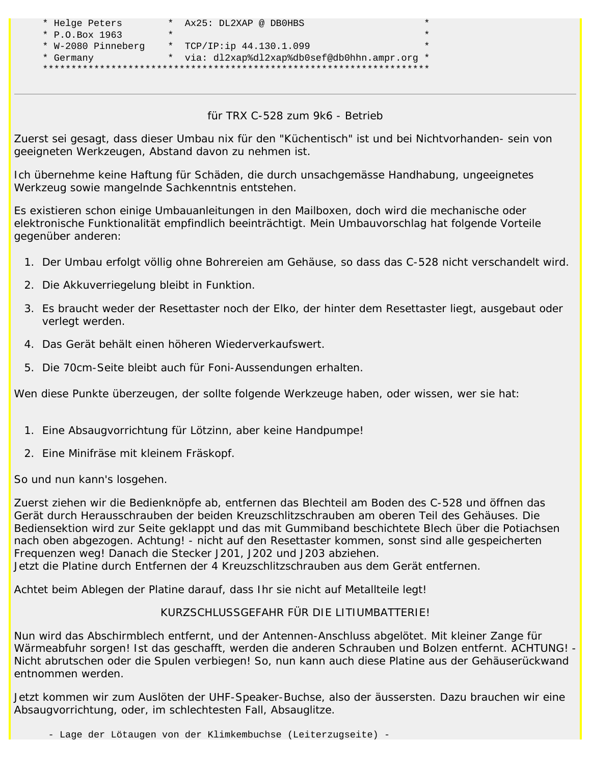| * Helge Peters     |         | * Ax25: DL2XAP @ DB0HBS                       | $\star$ |
|--------------------|---------|-----------------------------------------------|---------|
| * P.O.Box 1963     | $\star$ |                                               |         |
| * W-2080 Pinneberg |         | * TCP/IP:ip 44.130.1.099                      |         |
| * Germany          |         | * via: dl2xap%dl2xap%db0sef@db0hhn.ampr.org * |         |
|                    |         |                                               |         |

#### für TRX C-528 zum 9k6 - Betrieb

Zuerst sei gesagt, dass dieser Umbau nix für den "Küchentisch" ist und bei Nichtvorhanden- sein von geeigneten Werkzeugen, Abstand davon zu nehmen ist.

Ich übernehme keine Haftung für Schäden, die durch unsachgemässe Handhabung, ungeeignetes Werkzeug sowie mangelnde Sachkenntnis entstehen.

Es existieren schon einige Umbauanleitungen in den Mailboxen, doch wird die mechanische oder elektronische Funktionalität empfindlich beeinträchtigt. Mein Umbauvorschlag hat folgende Vorteile gegenüber anderen:

- 1. Der Umbau erfolgt völlig ohne Bohrereien am Gehäuse, so dass das C-528 nicht verschandelt wird.
- 2. Die Akkuverriegelung bleibt in Funktion.
- 3. Es braucht weder der Resettaster noch der Elko, der hinter dem Resettaster liegt, ausgebaut oder verlegt werden.
- 4. Das Gerät behält einen höheren Wiederverkaufswert.
- 5. Die 70cm-Seite bleibt auch für Foni-Aussendungen erhalten.

Wen diese Punkte überzeugen, der sollte folgende Werkzeuge haben, oder wissen, wer sie hat:

- 1. Eine Absaugvorrichtung für Lötzinn, aber keine Handpumpe!
- 2. Eine Minifräse mit kleinem Fräskopf.

So und nun kann's losgehen.

Zuerst ziehen wir die Bedienknöpfe ab, entfernen das Blechteil am Boden des C-528 und öffnen das Gerät durch Herausschrauben der beiden Kreuzschlitzschrauben am oberen Teil des Gehäuses. Die Bediensektion wird zur Seite geklappt und das mit Gummiband beschichtete Blech über die Potiachsen nach oben abgezogen. Achtung! - nicht auf den Resettaster kommen, sonst sind alle gespeicherten Frequenzen weg! Danach die Stecker J201, J202 und J203 abziehen. Jetzt die Platine durch Entfernen der 4 Kreuzschlitzschrauben aus dem Gerät entfernen.

Achtet beim Ablegen der Platine darauf, dass Ihr sie nicht auf Metallteile legt!

#### KURZSCHLUSSGEFAHR FÜR DIE LITIUMBATTERIE!

Nun wird das Abschirmblech entfernt, und der Antennen-Anschluss abgelötet. Mit kleiner Zange für Wärmeabfuhr sorgen! Ist das geschafft, werden die anderen Schrauben und Bolzen entfernt. ACHTUNG! - Nicht abrutschen oder die Spulen verbiegen! So, nun kann auch diese Platine aus der Gehäuserückwand entnommen werden.

Jetzt kommen wir zum Auslöten der UHF-Speaker-Buchse, also der äussersten. Dazu brauchen wir eine Absaugvorrichtung, oder, im schlechtesten Fall, Absauglitze.

 <sup>-</sup> Lage der Lötaugen von der Klimkembuchse (Leiterzugseite) -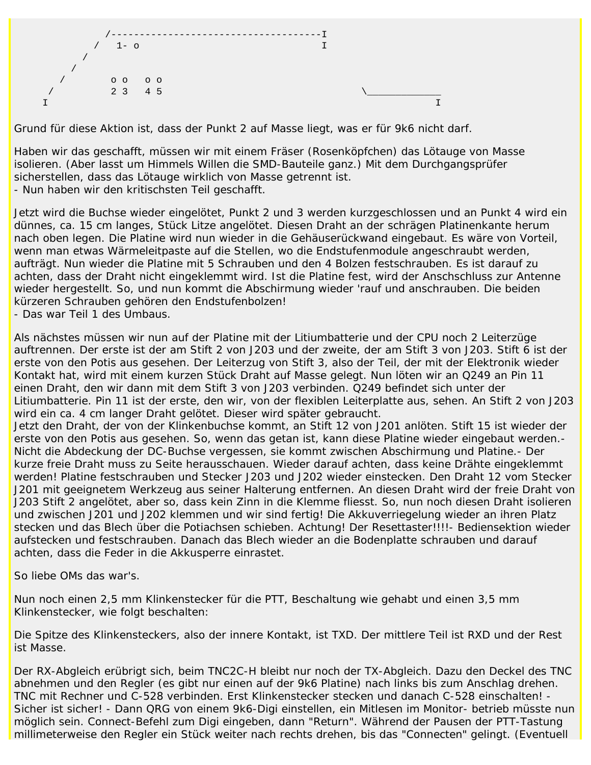|            |                                                        | ---------------- | ---------------- |  |  |
|------------|--------------------------------------------------------|------------------|------------------|--|--|
|            | $/$ 1- $\circ$                                         |                  |                  |  |  |
|            |                                                        |                  |                  |  |  |
|            |                                                        |                  |                  |  |  |
| $\sqrt{2}$ | $\begin{array}{ccccccccc}\n0 & 0 & 0 & 0\n\end{array}$ |                  |                  |  |  |
|            | 2 3 4 5                                                |                  |                  |  |  |
|            |                                                        |                  |                  |  |  |

Grund für diese Aktion ist, dass der Punkt 2 auf Masse liegt, was er für 9k6 nicht darf.

Haben wir das geschafft, müssen wir mit einem Fräser (Rosenköpfchen) das Lötauge von Masse isolieren. (Aber lasst um Himmels Willen die SMD-Bauteile ganz.) Mit dem Durchgangsprüfer sicherstellen, dass das Lötauge wirklich von Masse getrennt ist. - Nun haben wir den kritischsten Teil geschafft.

Jetzt wird die Buchse wieder eingelötet, Punkt 2 und 3 werden kurzgeschlossen und an Punkt 4 wird ein dünnes, ca. 15 cm langes, Stück Litze angelötet. Diesen Draht an der schrägen Platinenkante herum nach oben legen. Die Platine wird nun wieder in die Gehäuserückwand eingebaut. Es wäre von Vorteil, wenn man etwas Wärmeleitpaste auf die Stellen, wo die Endstufenmodule angeschraubt werden, aufträgt. Nun wieder die Platine mit 5 Schrauben und den 4 Bolzen festschrauben. Es ist darauf zu achten, dass der Draht nicht eingeklemmt wird. Ist die Platine fest, wird der Anschschluss zur Antenne wieder hergestellt. So, und nun kommt die Abschirmung wieder 'rauf und anschrauben. Die beiden kürzeren Schrauben gehören den Endstufenbolzen!

- Das war Teil 1 des Umbaus.

Als nächstes müssen wir nun auf der Platine mit der Litiumbatterie und der CPU noch 2 Leiterzüge auftrennen. Der erste ist der am Stift 2 von J203 und der zweite, der am Stift 3 von J203. Stift 6 ist der erste von den Potis aus gesehen. Der Leiterzug von Stift 3, also der Teil, der mit der Elektronik wieder Kontakt hat, wird mit einem kurzen Stück Draht auf Masse gelegt. Nun löten wir an Q249 an Pin 11 einen Draht, den wir dann mit dem Stift 3 von J203 verbinden. Q249 befindet sich unter der Litiumbatterie. Pin 11 ist der erste, den wir, von der flexiblen Leiterplatte aus, sehen. An Stift 2 von J203 wird ein ca. 4 cm langer Draht gelötet. Dieser wird später gebraucht.

Jetzt den Draht, der von der Klinkenbuchse kommt, an Stift 12 von J201 anlöten. Stift 15 ist wieder der erste von den Potis aus gesehen. So, wenn das getan ist, kann diese Platine wieder eingebaut werden.- Nicht die Abdeckung der DC-Buchse vergessen, sie kommt zwischen Abschirmung und Platine.- Der kurze freie Draht muss zu Seite herausschauen. Wieder darauf achten, dass keine Drähte eingeklemmt werden! Platine festschrauben und Stecker J203 und J202 wieder einstecken. Den Draht 12 vom Stecker J201 mit geeignetem Werkzeug aus seiner Halterung entfernen. An diesen Draht wird der freie Draht von J203 Stift 2 angelötet, aber so, dass kein Zinn in die Klemme fliesst. So, nun noch diesen Draht isolieren und zwischen J201 und J202 klemmen und wir sind fertig! Die Akkuverriegelung wieder an ihren Platz stecken und das Blech über die Potiachsen schieben. Achtung! Der Resettaster!!!!- Bediensektion wieder aufstecken und festschrauben. Danach das Blech wieder an die Bodenplatte schrauben und darauf achten, dass die Feder in die Akkusperre einrastet.

So liebe OMs das war's.

Nun noch einen 2,5 mm Klinkenstecker für die PTT, Beschaltung wie gehabt und einen 3,5 mm Klinkenstecker, wie folgt beschalten:

Die Spitze des Klinkensteckers, also der innere Kontakt, ist TXD. Der mittlere Teil ist RXD und der Rest ist Masse.

Der RX-Abgleich erübrigt sich, beim TNC2C-H bleibt nur noch der TX-Abgleich. Dazu den Deckel des TNC abnehmen und den Regler (es gibt nur einen auf der 9k6 Platine) nach links bis zum Anschlag drehen. TNC mit Rechner und C-528 verbinden. Erst Klinkenstecker stecken und danach C-528 einschalten! - Sicher ist sicher! - Dann QRG von einem 9k6-Digi einstellen, ein Mitlesen im Monitor- betrieb müsste nun möglich sein. Connect-Befehl zum Digi eingeben, dann "Return". Während der Pausen der PTT-Tastung millimeterweise den Regler ein Stück weiter nach rechts drehen, bis das "Connecten" gelingt. (Eventuell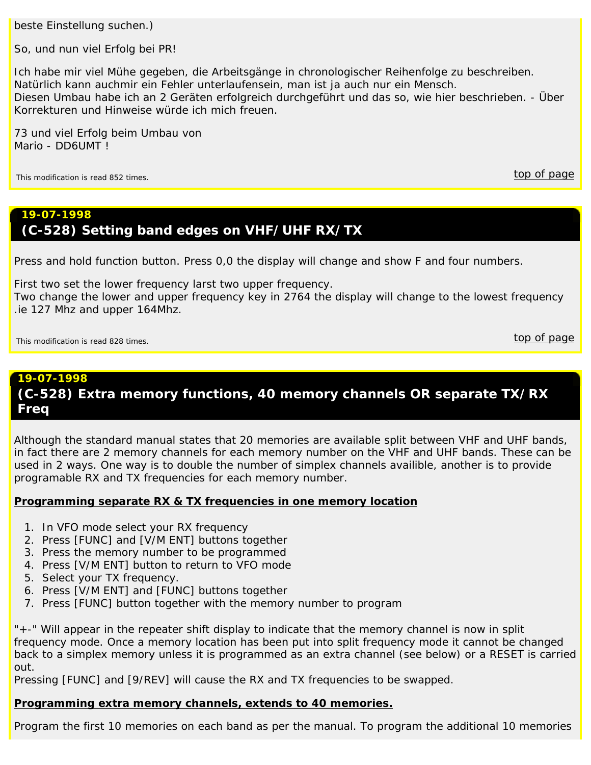beste Einstellung suchen.)

So, und nun viel Erfolg bei PR!

Ich habe mir viel Mühe gegeben, die Arbeitsgänge in chronologischer Reihenfolge zu beschreiben. Natürlich kann auchmir ein Fehler unterlaufensein, man ist ja auch nur ein Mensch. Diesen Umbau habe ich an 2 Geräten erfolgreich durchgeführt und das so, wie hier beschrieben. - Über Korrekturen und Hinweise würde ich mich freuen.

73 und viel Erfolg beim Umbau von Mario - DD6UMT !

<span id="page-40-0"></span>This modification is read 852 times. the control of the control of the control of the control of the control of page

## **19-07-1998 (C-528) Setting band edges on VHF/UHF RX/TX**

Press and hold function button. Press 0,0 the display will change and show F and four numbers.

First two set the lower frequency larst two upper frequency. Two change the lower and upper frequency key in 2764 the display will change to the lowest frequency .ie 127 Mhz and upper 164Mhz.

<span id="page-40-1"></span>This modification is read 828 times. This modification is read 828 times.

#### **19-07-1998**

# **(C-528) Extra memory functions, 40 memory channels OR separate TX/RX Freq**

Although the standard manual states that 20 memories are available split between VHF and UHF bands, in fact there are 2 memory channels for each memory number on the VHF and UHF bands. These can be used in 2 ways. One way is to double the number of simplex channels availible, another is to provide programable RX and TX frequencies for each memory number.

#### **Programming separate RX & TX frequencies in one memory location**

- 1. In VFO mode select your RX frequency
- 2. Press [FUNC] and [V/M ENT] buttons together
- 3. Press the memory number to be programmed
- 4. Press [V/M ENT] button to return to VFO mode
- 5. Select your TX frequency.
- 6. Press [V/M ENT] and [FUNC] buttons together
- 7. Press [FUNC] button together with the memory number to program

"+-" Will appear in the repeater shift display to indicate that the memory channel is now in split frequency mode. Once a memory location has been put into split frequency mode it cannot be changed back to a simplex memory unless it is programmed as an extra channel (see below) or a RESET is carried out.

Pressing [FUNC] and [9/REV] will cause the RX and TX frequencies to be swapped.

## **Programming extra memory channels, extends to 40 memories.**

Program the first 10 memories on each band as per the manual. To program the additional 10 memories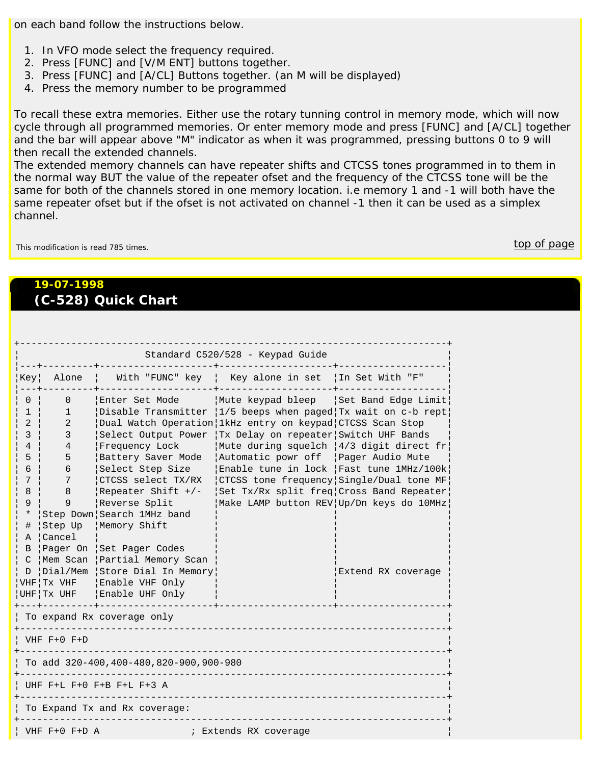on each band follow the instructions below.

- 1. In VFO mode select the frequency required.
- 2. Press [FUNC] and [V/M ENT] buttons together.
- 3. Press [FUNC] and [A/CL] Buttons together. (an M will be displayed)
- 4. Press the memory number to be programmed

To recall these extra memories. Either use the rotary tunning control in memory mode, which will now cycle through all programmed memories. Or enter memory mode and press [FUNC] and [A/CL] together and the bar will appear above "M" indicator as when it was programmed, pressing buttons 0 to 9 will then recall the extended channels.

The extended memory channels can have repeater shifts and CTCSS tones programmed in to them in the normal way BUT the value of the repeater ofset and the frequency of the CTCSS tone will be the same for both of the channels stored in one memory location. i.e memory 1 and -1 will both have the same repeater ofset but if the ofset is not activated on channel -1 then it can be used as a simplex channel.

<span id="page-41-0"></span>This modification is read 785 times. This modification is read 785 times.

## **19-07-1998 (C-528) Quick Chart**

|                                           | Standard C520/528 - Keypad Guide |                                 |                                                                 |                    |  |  |  |  |
|-------------------------------------------|----------------------------------|---------------------------------|-----------------------------------------------------------------|--------------------|--|--|--|--|
| Key                                       | Alone                            |                                 | With "FUNC" key   Key alone in set   In Set With "F"            |                    |  |  |  |  |
| O                                         | $\Omega$                         | Enter Set Mode                  | Mute keypad bleep   Set Band Edge Limit                         |                    |  |  |  |  |
|                                           | 1.                               |                                 | Disable Transmitter $ 1/5$ beeps when paged Tx wait on c-b rept |                    |  |  |  |  |
| 2                                         | 2                                |                                 | Dual Watch Operation 1kHz entry on keypad CTCSS Scan Stop       |                    |  |  |  |  |
| 3                                         | 3                                |                                 | Select Output Power   Tx Delay on repeater Switch UHF Bands     |                    |  |  |  |  |
| 4                                         | 4                                | Frequency Lock                  | Mute during squelch   4/3 digit direct fr                       |                    |  |  |  |  |
|                                           | 5                                | Battery Saver Mode              | Automatic powr off   Pager Audio Mute                           |                    |  |  |  |  |
| 6                                         | 6                                | Select Step Size                | Enable tune in lock   Fast tune 1MHz/100k                       |                    |  |  |  |  |
|                                           | 7                                | CTCSS select TX/RX              | CTCSS tone frequency Single/Dual tone MF                        |                    |  |  |  |  |
| 8                                         | 8                                | Repeater Shift +/-              | Set Tx/Rx split freq Cross Band Repeater                        |                    |  |  |  |  |
| 9                                         | 9                                | Reverse Split                   | Make LAMP button REV Up/Dn keys do 10MHz                        |                    |  |  |  |  |
| $\star$                                   |                                  | Step Down Search 1MHz band      |                                                                 |                    |  |  |  |  |
| #                                         | Step Up                          | Memory Shift                    |                                                                 |                    |  |  |  |  |
| A                                         | Cancel                           |                                 |                                                                 |                    |  |  |  |  |
| B                                         |                                  | Pager On Set Pager Codes        |                                                                 |                    |  |  |  |  |
| C                                         |                                  | Mem Scan   Partial Memory Scan  |                                                                 |                    |  |  |  |  |
| D                                         |                                  | Dial/Mem   Store Dial In Memory |                                                                 | Extend RX coverage |  |  |  |  |
|                                           | VHF   Tx VHF                     | Enable VHF Only                 |                                                                 |                    |  |  |  |  |
|                                           | UHF $Tx$ UHF                     | Enable UHF Only                 |                                                                 |                    |  |  |  |  |
|                                           |                                  |                                 |                                                                 |                    |  |  |  |  |
|                                           |                                  | To expand Rx coverage only      |                                                                 |                    |  |  |  |  |
|                                           | VHF $F+0$ $F+D$                  |                                 |                                                                 |                    |  |  |  |  |
| To add 320-400, 400-480, 820-900, 900-980 |                                  |                                 |                                                                 |                    |  |  |  |  |
| UHF F+L F+0 F+B F+L F+3 A                 |                                  |                                 |                                                                 |                    |  |  |  |  |
| To Expand Tx and Rx coverage:             |                                  |                                 |                                                                 |                    |  |  |  |  |
|                                           | VHF $F+0$ $F+D$ A                |                                 | ; Extends RX coverage                                           |                    |  |  |  |  |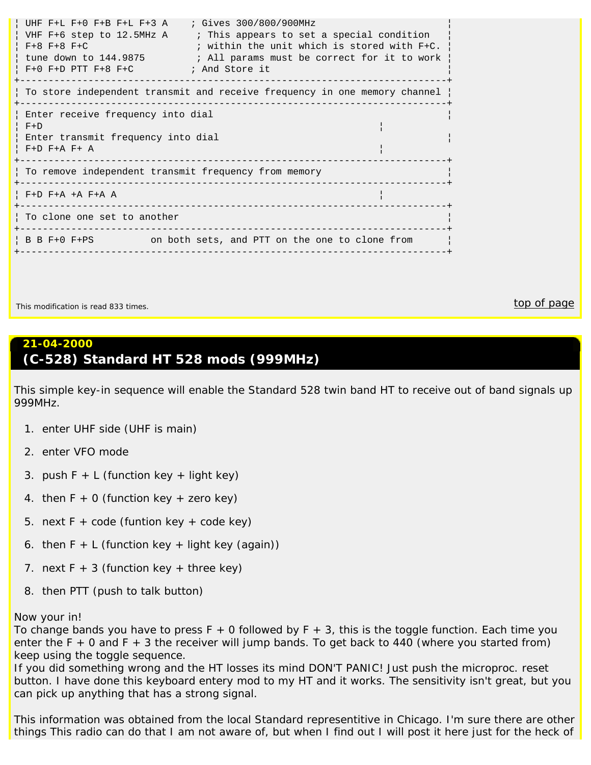```
UHF F+L F+0 F+B F+L F+3 A ; Gives 300/800/900MHz
 VHF F+6 step to 12.5MHz A ; This appears to set a special condition
¦ F+8 F+8 F+C ; within the unit which is stored with F+C. ¦
| tune down to 144.9875 ; All params must be correct for it to work |
¦ F+0 F+D PTT F+8 F+C ; And Store it ¦
+---------------------------------------------------------------------------+
¦ To store independent transmit and receive frequency in one memory channel ¦
+---------------------------------------------------------------------------+
¦ Enter receive frequency into dial ¦
¦ F+D ¦
¦ Enter transmit frequency into dial ¦
¦ F+D F+A F+ A ¦
+---------------------------------------------------------------------------+
| To remove independent transmit frequency from memory
+---------------------------------------------------------------------------+
¦ F+D F+A +A F+A A ¦
+---------------------------------------------------------------------------+
¦ To clone one set to another ¦
+---------------------------------------------------------------------------+
| B B F+0 F+PS on both sets, and PTT on the one to clone from
+---------------------------------------------------------------------------+
```
<span id="page-42-0"></span>This modification is read 833 times. This modification is read 833 times.

## **21-04-2000 (C-528) Standard HT 528 mods (999MHz)**

This simple key-in sequence will enable the Standard 528 twin band HT to receive out of band signals up 999MHz.

- 1. enter UHF side (UHF is main)
- 2. enter VFO mode
- 3. push  $F + L$  (function key + light key)
- 4. then  $F + 0$  (function key + zero key)
- 5. next  $F + code$  (funtion key  $+ code$  key)
- 6. then  $F + L$  (function key + light key (again))
- 7. next  $F + 3$  (function key + three key)
- 8. then PTT (push to talk button)

#### Now your in!

To change bands you have to press  $F + 0$  followed by  $F + 3$ , this is the toggle function. Each time you enter the  $F + 0$  and  $F + 3$  the receiver will jump bands. To get back to 440 (where you started from) keep using the toggle sequence.

If you did something wrong and the HT losses its mind DON'T PANIC! Just push the microproc. reset button. I have done this keyboard entery mod to my HT and it works. The sensitivity isn't great, but you can pick up anything that has a strong signal.

This information was obtained from the local Standard representitive in Chicago. I'm sure there are other things This radio can do that I am not aware of, but when I find out I will post it here just for the heck of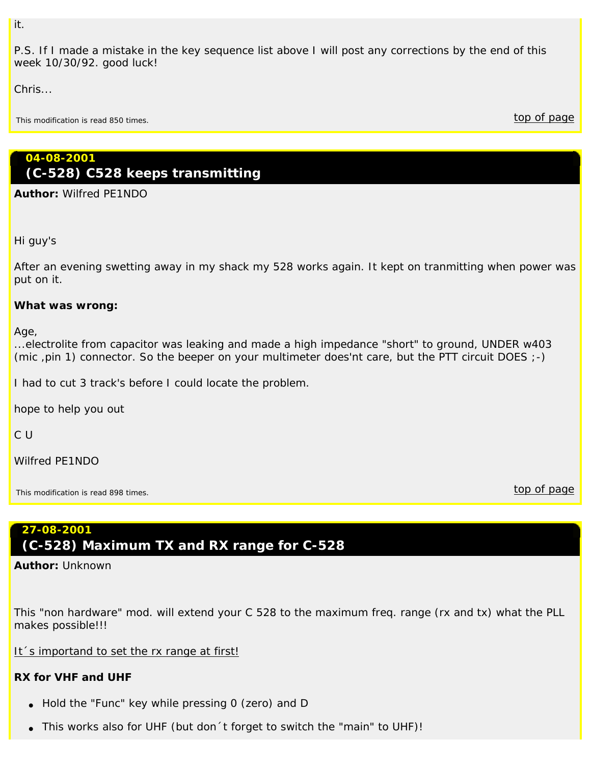P.S. If I made a mistake in the key sequence list above I will post any corrections by the end of this week 10/30/92. good luck!

Chris...

<span id="page-43-0"></span>This modification is read 850 times.  $\overline{top\}$  of page

## **04-08-2001 (C-528) C528 keeps transmitting**

*Author: Wilfred PE1NDO*

Hi guy's

After an evening swetting away in my shack my 528 works again. It kept on tranmitting when power was put on it.

#### **What was wrong:**

Age,

...electrolite from capacitor was leaking and made a high impedance "short" to ground, UNDER w403 (mic ,pin 1) connector. So the beeper on your multimeter does'nt care, but the PTT circuit DOES ;-)

I had to cut 3 track's before I could locate the problem.

hope to help you out

C U

Wilfred PE1NDO

<span id="page-43-1"></span>This modification is read 898 times. This modification is read 898 times.

## **27-08-2001 (C-528) Maximum TX and RX range for C-528**

*Author: Unknown*

This "non hardware" mod. will extend your C 528 to the maximum freq. range (rx and tx) what the PLL makes possible!!!

It's importand to set the rx range at first!

## **RX for VHF and UHF**

- Hold the "Func" key while pressing 0 (zero) and D
- This works also for UHF (but don´t forget to switch the "main" to UHF)!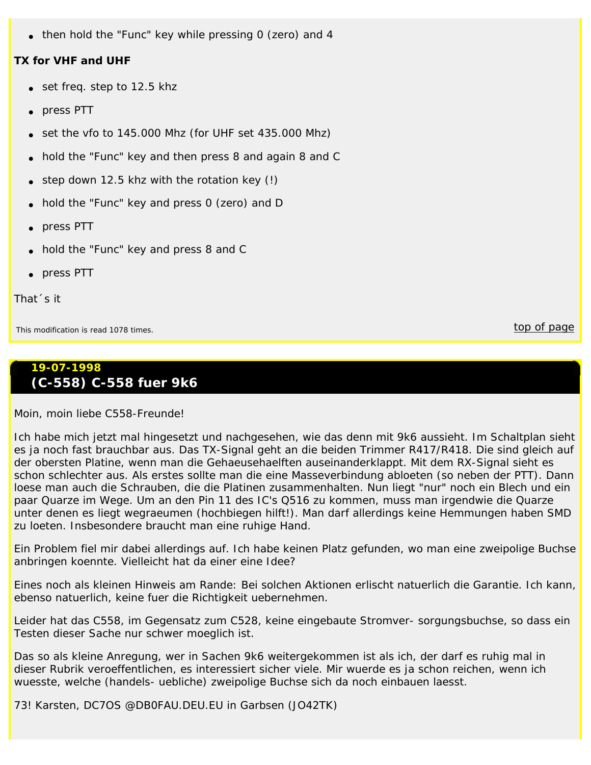• then hold the "Func" key while pressing  $0$  (zero) and  $4$ 

## **TX for VHF and UHF**

- set freq. step to  $12.5$  khz
- press PTT
- set the vfo to  $145.000$  Mhz (for UHF set  $435.000$  Mhz)
- hold the "Func" key and then press 8 and again 8 and C
- step down 12.5 khz with the rotation key  $(!)$
- hold the "Func" key and press 0 (zero) and D
- press PTT
- hold the "Func" key and press 8 and C
- press PTT

That´s it

<span id="page-44-0"></span>This modification is read 1078 times. This modification is read 1078 times.

# **19-07-1998 (C-558) C-558 fuer 9k6**

Moin, moin liebe C558-Freunde!

Ich habe mich jetzt mal hingesetzt und nachgesehen, wie das denn mit 9k6 aussieht. Im Schaltplan sieht es ja noch fast brauchbar aus. Das TX-Signal geht an die beiden Trimmer R417/R418. Die sind gleich auf der obersten Platine, wenn man die Gehaeusehaelften auseinanderklappt. Mit dem RX-Signal sieht es schon schlechter aus. Als erstes sollte man die eine Masseverbindung abloeten (so neben der PTT). Dann loese man auch die Schrauben, die die Platinen zusammenhalten. Nun liegt "nur" noch ein Blech und ein paar Quarze im Wege. Um an den Pin 11 des IC's Q516 zu kommen, muss man irgendwie die Quarze unter denen es liegt wegraeumen (hochbiegen hilft!). Man darf allerdings keine Hemmungen haben SMD zu loeten. Insbesondere braucht man eine ruhige Hand.

Ein Problem fiel mir dabei allerdings auf. Ich habe keinen Platz gefunden, wo man eine zweipolige Buchse anbringen koennte. Vielleicht hat da einer eine Idee?

Eines noch als kleinen Hinweis am Rande: Bei solchen Aktionen erlischt natuerlich die Garantie. Ich kann, ebenso natuerlich, keine fuer die Richtigkeit uebernehmen.

Leider hat das C558, im Gegensatz zum C528, keine eingebaute Stromver- sorgungsbuchse, so dass ein Testen dieser Sache nur schwer moeglich ist.

Das so als kleine Anregung, wer in Sachen 9k6 weitergekommen ist als ich, der darf es ruhig mal in dieser Rubrik veroeffentlichen, es interessiert sicher viele. Mir wuerde es ja schon reichen, wenn ich wuesste, welche (handels- uebliche) zweipolige Buchse sich da noch einbauen laesst.

73! Karsten, DC7OS @DB0FAU.DEU.EU in Garbsen (JO42TK)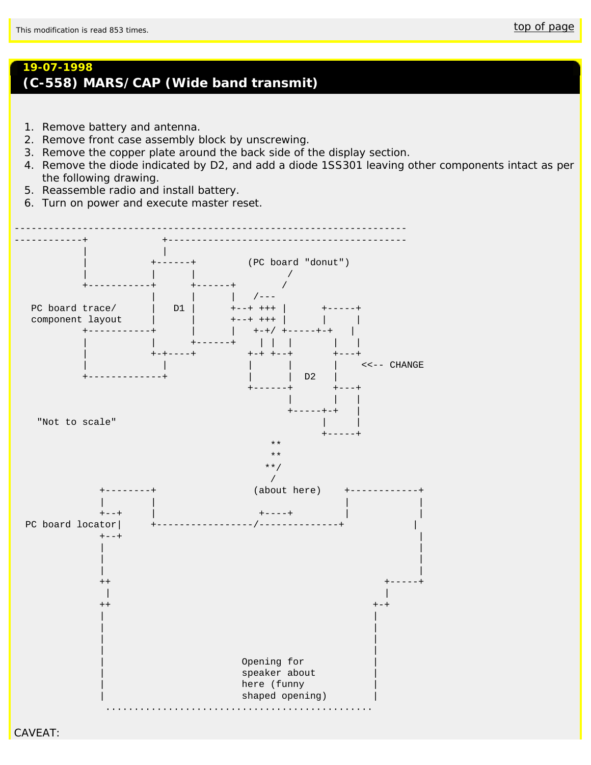## <span id="page-45-0"></span>**19-07-1998 (C-558) MARS/CAP (Wide band transmit)**

- 1. Remove battery and antenna.
- 2. Remove front case assembly block by unscrewing.
- 3. Remove the copper plate around the back side of the display section.
- 4. Remove the diode indicated by D2, and add a diode 1SS301 leaving other components intact as per the following drawing.
- 5. Reassemble radio and install battery.
- 6. Turn on power and execute master reset.



CAVEAT: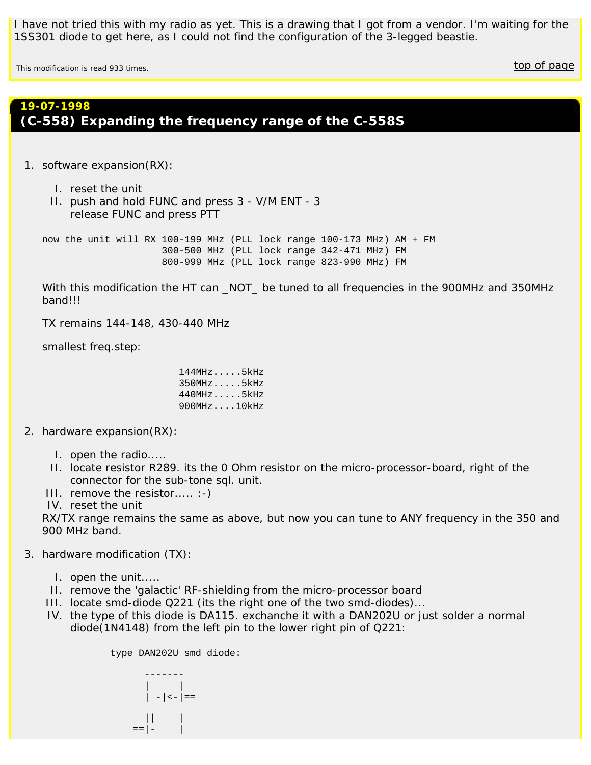I have not tried this with my radio as yet. This is a drawing that I got from a vendor. I'm waiting for the 1SS301 diode to get here, as I could not find the configuration of the 3-legged beastie.

<span id="page-46-0"></span>This modification is read 933 times. the control of the control of the control of the control of the control of page

## **19-07-1998 (C-558) Expanding the frequency range of the C-558S**

- 1. software expansion(RX):
	- I. reset the unit
	- II. push and hold FUNC and press 3 V/M ENT 3 release FUNC and press PTT

now the unit will RX 100-199 MHz (PLL lock range 100-173 MHz) AM + FM 300-500 MHz (PLL lock range 342-471 MHz) FM 800-999 MHz (PLL lock range 823-990 MHz) FM

With this modification the HT can \_NOT\_ be tuned to all frequencies in the 900MHz and 350MHz band!!!

TX remains 144-148, 430-440 MHz

smallest freq.step:

| $144$ MHz $5$ kHz |
|-------------------|
| $350MHz$ $5kHz$   |
| $440MHz$ $5kHz$   |
| 900MHz10kHz       |

- 2. hardware expansion(RX):
	- I. open the radio.....
	- II. locate resistor R289. its the 0 Ohm resistor on the micro-processor-board, right of the connector for the sub-tone sql. unit.
	- III. remove the resistor..... :-)
	- IV. reset the unit

RX/TX range remains the same as above, but now you can tune to ANY frequency in the 350 and 900 MHz band.

3. hardware modification (TX):

- I. open the unit.....
- II. remove the 'galactic' RF-shielding from the micro-processor board
- III. locate smd-diode Q221 (its the right one of the two smd-diodes)...
- IV. the type of this diode is DA115. exchanche it with a DAN202U or just solder a normal diode(1N4148) from the left pin to the lower right pin of Q221:

type DAN202U smd diode:

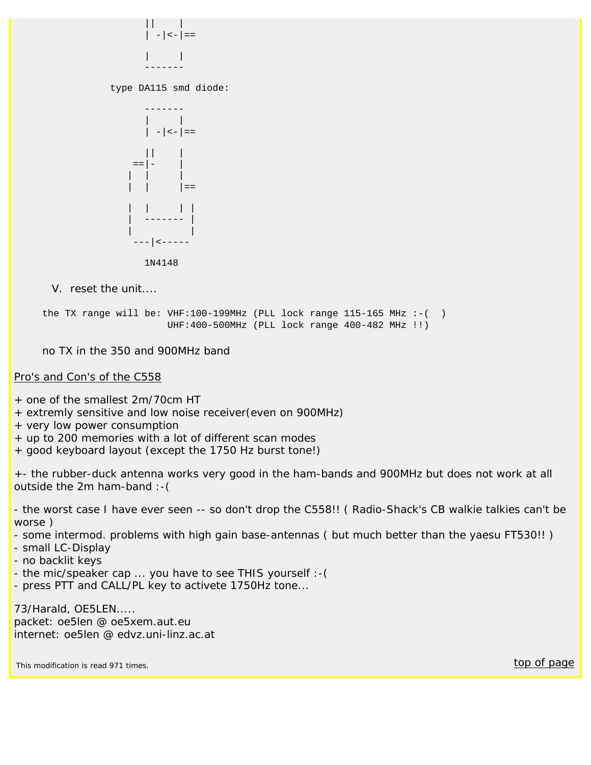

type DA115 smd diode:



V. reset the unit....

the TX range will be: VHF:100-199MHz (PLL lock range 115-165 MHz  $:-( )$ UHF:400-500MHz (PLL lock range 400-482 MHz !!)

no TX in the 350 and 900MHz band

#### Pro's and Con's of the C558

- + one of the smallest 2m/70cm HT
- + extremly sensitive and low noise receiver(even on 900MHz)
- + very low power consumption
- + up to 200 memories with a lot of different scan modes
- + good keyboard layout (except the 1750 Hz burst tone!)

+- the rubber-duck antenna works very good in the ham-bands and 900MHz but does not work at all outside the 2m ham-band :-(

- the worst case I have ever seen -- so don't drop the C558!! ( Radio-Shack's CB walkie talkies can't be worse )

- some intermod. problems with high gain base-antennas ( but much better than the yaesu FT530!! )
- small LC-Display
- no backlit keys
- the mic/speaker cap ... you have to see THIS yourself :-(
- press PTT and CALL/PL key to activete 1750Hz tone...

73/Harald, OE5LEN..... packet: oe5len @ oe5xem.aut.eu internet: oe5len @ edvz.uni-linz.ac.at

<span id="page-47-0"></span>This modification is read 971 times. This modification is read 971 times.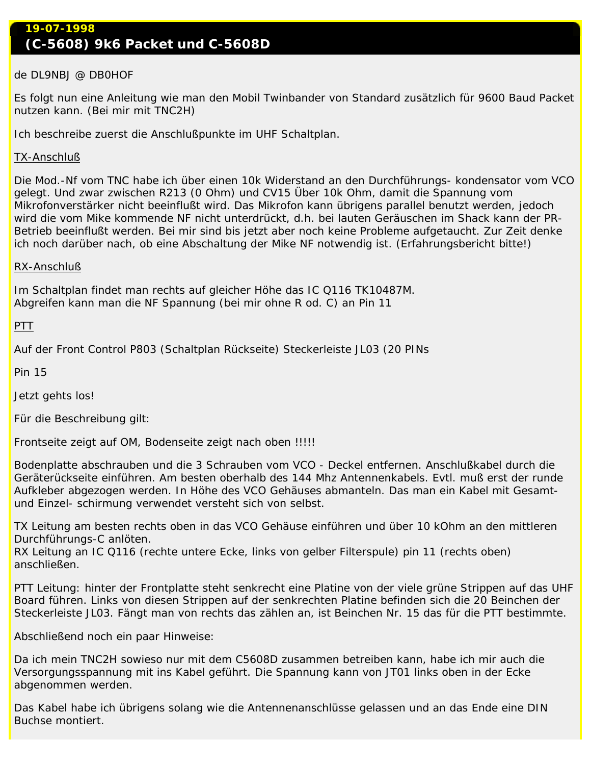## **19-07-1998 (C-5608) 9k6 Packet und C-5608D**

## *de DL9NBJ @ DB0HOF*

Es folgt nun eine Anleitung wie man den Mobil Twinbander von Standard zusätzlich für 9600 Baud Packet nutzen kann. (Bei mir mit TNC2H)

Ich beschreibe zuerst die Anschlußpunkte im UHF Schaltplan.

## TX-Anschluß

Die Mod.-Nf vom TNC habe ich über einen 10k Widerstand an den Durchführungs- kondensator vom VCO gelegt. Und zwar zwischen R213 (0 Ohm) und CV15 Über 10k Ohm, damit die Spannung vom Mikrofonverstärker nicht beeinflußt wird. Das Mikrofon kann übrigens parallel benutzt werden, jedoch wird die vom Mike kommende NF nicht unterdrückt, d.h. bei lauten Geräuschen im Shack kann der PR-Betrieb beeinflußt werden. Bei mir sind bis jetzt aber noch keine Probleme aufgetaucht. Zur Zeit denke ich noch darüber nach, ob eine Abschaltung der Mike NF notwendig ist. (Erfahrungsbericht bitte!)

## RX-Anschluß

Im Schaltplan findet man rechts auf gleicher Höhe das IC Q116 TK10487M. Abgreifen kann man die NF Spannung (bei mir ohne R od. C) an Pin 11

PTT

Auf der Front Control P803 (Schaltplan Rückseite) Steckerleiste JL03 (20 PINs

Pin 15

Jetzt gehts los!

Für die Beschreibung gilt:

Frontseite zeigt auf OM, Bodenseite zeigt nach oben !!!!!

Bodenplatte abschrauben und die 3 Schrauben vom VCO - Deckel entfernen. Anschlußkabel durch die Geräterückseite einführen. Am besten oberhalb des 144 Mhz Antennenkabels. Evtl. muß erst der runde Aufkleber abgezogen werden. In Höhe des VCO Gehäuses abmanteln. Das man ein Kabel mit Gesamtund Einzel- schirmung verwendet versteht sich von selbst.

TX Leitung am besten rechts oben in das VCO Gehäuse einführen und über 10 kOhm an den mittleren Durchführungs-C anlöten.

RX Leitung an IC Q116 (rechte untere Ecke, links von gelber Filterspule) pin 11 (rechts oben) anschließen.

PTT Leitung: hinter der Frontplatte steht senkrecht eine Platine von der viele grüne Strippen auf das UHF Board führen. Links von diesen Strippen auf der senkrechten Platine befinden sich die 20 Beinchen der Steckerleiste JL03. Fängt man von rechts das zählen an, ist Beinchen Nr. 15 das für die PTT bestimmte.

Abschließend noch ein paar Hinweise:

Da ich mein TNC2H sowieso nur mit dem C5608D zusammen betreiben kann, habe ich mir auch die Versorgungsspannung mit ins Kabel geführt. Die Spannung kann von JT01 links oben in der Ecke abgenommen werden.

Das Kabel habe ich übrigens solang wie die Antennenanschlüsse gelassen und an das Ende eine DIN Buchse montiert.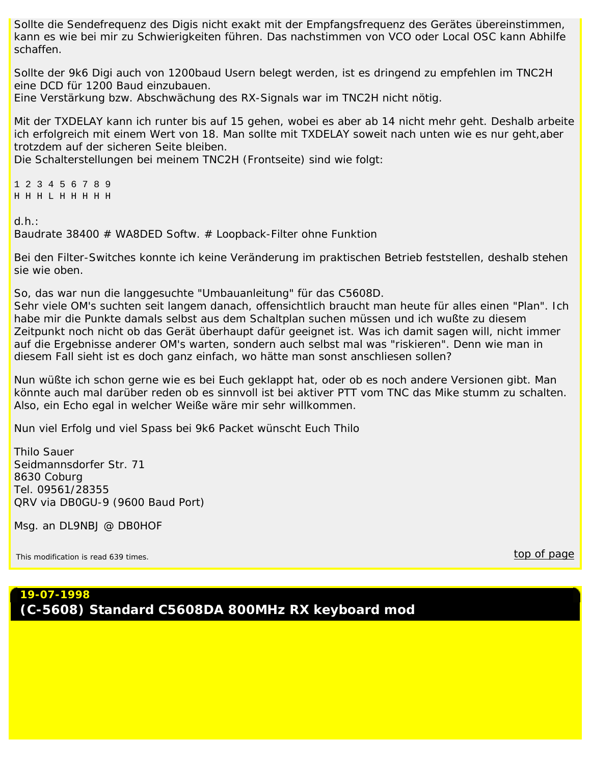Sollte die Sendefrequenz des Digis nicht exakt mit der Empfangsfrequenz des Gerätes übereinstimmen, kann es wie bei mir zu Schwierigkeiten führen. Das nachstimmen von VCO oder Local OSC kann Abhilfe schaffen.

Sollte der 9k6 Digi auch von 1200baud Usern belegt werden, ist es dringend zu empfehlen im TNC2H eine DCD für 1200 Baud einzubauen. Eine Verstärkung bzw. Abschwächung des RX-Signals war im TNC2H nicht nötig.

Mit der TXDELAY kann ich runter bis auf 15 gehen, wobei es aber ab 14 nicht mehr geht. Deshalb arbeite ich erfolgreich mit einem Wert von 18. Man sollte mit TXDELAY soweit nach unten wie es nur geht,aber trotzdem auf der sicheren Seite bleiben.

Die Schalterstellungen bei meinem TNC2H (Frontseite) sind wie folgt:

1 2 3 4 5 6 7 8 9 H H H L H H H H H

d.h.:

Baudrate 38400 # WA8DED Softw. # Loopback-Filter ohne Funktion

Bei den Filter-Switches konnte ich keine Veränderung im praktischen Betrieb feststellen, deshalb stehen sie wie oben.

So, das war nun die langgesuchte "Umbauanleitung" für das C5608D.

Sehr viele OM's suchten seit langem danach, offensichtlich braucht man heute für alles einen "Plan". Ich habe mir die Punkte damals selbst aus dem Schaltplan suchen müssen und ich wußte zu diesem Zeitpunkt noch nicht ob das Gerät überhaupt dafür geeignet ist. Was ich damit sagen will, nicht immer auf die Ergebnisse anderer OM's warten, sondern auch selbst mal was "riskieren". Denn wie man in diesem Fall sieht ist es doch ganz einfach, wo hätte man sonst anschliesen sollen?

Nun wüßte ich schon gerne wie es bei Euch geklappt hat, oder ob es noch andere Versionen gibt. Man könnte auch mal darüber reden ob es sinnvoll ist bei aktiver PTT vom TNC das Mike stumm zu schalten. Also, ein Echo egal in welcher Weiße wäre mir sehr willkommen.

Nun viel Erfolg und viel Spass bei 9k6 Packet wünscht Euch Thilo

Thilo Sauer Seidmannsdorfer Str. 71 8630 Coburg Tel. 09561/28355 QRV via DB0GU-9 (9600 Baud Port)

Msg. an DL9NBJ @ DB0HOF

<span id="page-49-0"></span>This modification is read 639 times. This modification is read 639 times.

## **19-07-1998 (C-5608) Standard C5608DA 800MHz RX keyboard mod**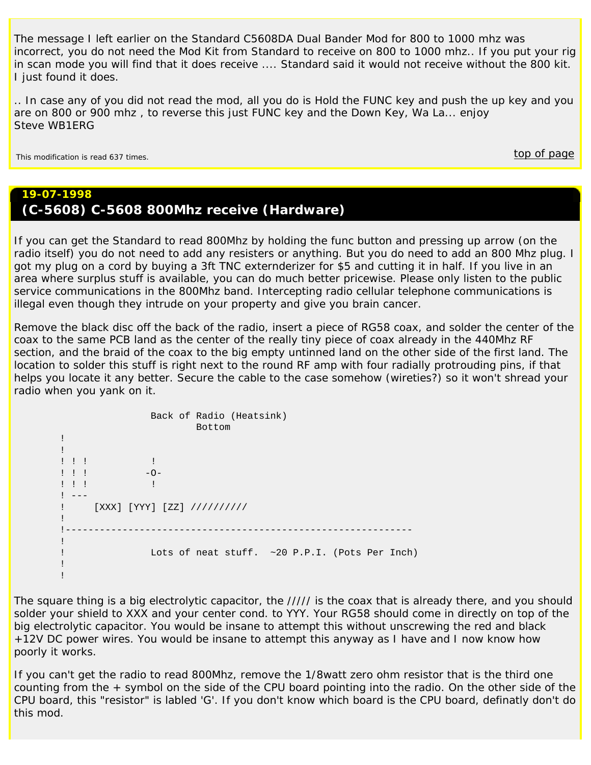The message I left earlier on the Standard C5608DA Dual Bander Mod for 800 to 1000 mhz was incorrect, you do not need the Mod Kit from Standard to receive on 800 to 1000 mhz.. If you put your rig in scan mode you will find that it does receive .... Standard said it would not receive without the 800 kit. I just found it does.

.. In case any of you did not read the mod, all you do is Hold the FUNC key and push the up key and you are on 800 or 900 mhz , to reverse this just FUNC key and the Down Key, Wa La... enjoy Steve WB1ERG

<span id="page-50-0"></span>This modification is read 637 times. This modification is read 637 times.

## **19-07-1998 (C-5608) C-5608 800Mhz receive (Hardware)**

If you can get the Standard to read 800Mhz by holding the func button and pressing up arrow (on the radio itself) you do not need to add any resisters or anything. But you do need to add an 800 Mhz plug. I got my plug on a cord by buying a 3ft TNC externderizer for \$5 and cutting it in half. If you live in an area where surplus stuff is available, you can do much better pricewise. Please only listen to the public service communications in the 800Mhz band. Intercepting radio cellular telephone communications is illegal even though they intrude on your property and give you brain cancer.

Remove the black disc off the back of the radio, insert a piece of RG58 coax, and solder the center of the coax to the same PCB land as the center of the really tiny piece of coax already in the 440Mhz RF section, and the braid of the coax to the big empty untinned land on the other side of the first land. The location to solder this stuff is right next to the round RF amp with four radially protrouding pins, if that helps you locate it any better. Secure the cable to the case somehow (wireties?) so it won't shread your radio when you yank on it.

```
 Back of Radio (Heatsink)
                                                          Bottom
               !
1999 - 1999
 ! ! ! !
\blacksquare : \blacksquare : \blacksquare : \blacksquare\frac{1}{1} \frac{1}{1} \frac{1}{1} \frac{1}{1} \frac{1}{1} \frac{1}{1} \frac{1}{1} \frac{1}{1} \frac{1}{1} \frac{1}{1} \frac{1}{1} \frac{1}{1} \frac{1}{1} \frac{1}{1} \frac{1}{1} \frac{1}{1} \frac{1}{1} \frac{1}{1} \frac{1}{1} \frac{1}{1} \frac{1}{1} \frac{1}{1}  ! ---
                ! [XXX] [YYY] [ZZ] //////////
1999 - 1999
                !-------------------------------------------------------------
1999 - 1999
               ! Lots of neat stuff. ~20 P.P.I. (Pots Per Inch)
1999 - 1999
1999 - 1999
```
The square thing is a big electrolytic capacitor, the ///// is the coax that is already there, and you should solder your shield to XXX and your center cond. to YYY. Your RG58 should come in directly on top of the big electrolytic capacitor. You would be insane to attempt this without unscrewing the red and black +12V DC power wires. You would be insane to attempt this anyway as I have and I now know how poorly it works.

If you can't get the radio to read 800Mhz, remove the 1/8watt zero ohm resistor that is the third one counting from the + symbol on the side of the CPU board pointing into the radio. On the other side of the CPU board, this "resistor" is labled 'G'. If you don't know which board is the CPU board, definatly don't do this mod.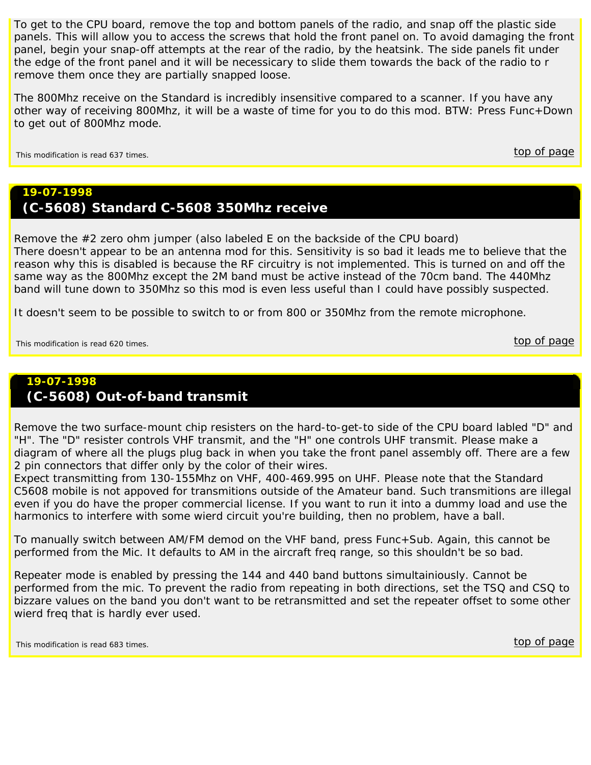To get to the CPU board, remove the top and bottom panels of the radio, and snap off the plastic side panels. This will allow you to access the screws that hold the front panel on. To avoid damaging the front panel, begin your snap-off attempts at the rear of the radio, by the heatsink. The side panels fit under the edge of the front panel and it will be necessicary to slide them towards the back of the radio to r remove them once they are partially snapped loose.

The 800Mhz receive on the Standard is incredibly insensitive compared to a scanner. If you have any other way of receiving 800Mhz, it will be a waste of time for you to do this mod. BTW: Press Func+Down to get out of 800Mhz mode.

<span id="page-51-0"></span>This modification is read 637 times. the control of the control of the control of the control of the control of page

## **19-07-1998**

## **(C-5608) Standard C-5608 350Mhz receive**

Remove the #2 zero ohm jumper (also labeled E on the backside of the CPU board) There doesn't appear to be an antenna mod for this. Sensitivity is so bad it leads me to believe that the reason why this is disabled is because the RF circuitry is not implemented. This is turned on and off the same way as the 800Mhz except the 2M band must be active instead of the 70cm band. The 440Mhz band will tune down to 350Mhz so this mod is even less useful than I could have possibly suspected.

It doesn't seem to be possible to switch to or from 800 or 350Mhz from the remote microphone.

<span id="page-51-1"></span>This modification is read 620 times. the control of the control of the control of the control of the control of page

**19-07-1998 (C-5608) Out-of-band transmit**

Remove the two surface-mount chip resisters on the hard-to-get-to side of the CPU board labled "D" and "H". The "D" resister controls VHF transmit, and the "H" one controls UHF transmit. Please make a diagram of where all the plugs plug back in when you take the front panel assembly off. There are a few 2 pin connectors that differ only by the color of their wires.

Expect transmitting from 130-155Mhz on VHF, 400-469.995 on UHF. Please note that the Standard C5608 mobile is not appoved for transmitions outside of the Amateur band. Such transmitions are illegal even if you do have the proper commercial license. If you want to run it into a dummy load and use the harmonics to interfere with some wierd circuit you're building, then no problem, have a ball.

To manually switch between AM/FM demod on the VHF band, press Func+Sub. Again, this cannot be performed from the Mic. It defaults to AM in the aircraft freq range, so this shouldn't be so bad.

Repeater mode is enabled by pressing the 144 and 440 band buttons simultainiously. Cannot be performed from the mic. To prevent the radio from repeating in both directions, set the TSQ and CSQ to bizzare values on the band you don't want to be retransmitted and set the repeater offset to some other wierd freq that is hardly ever used.

<span id="page-51-2"></span>This modification is read 683 times.  $\overline{top~of~page}$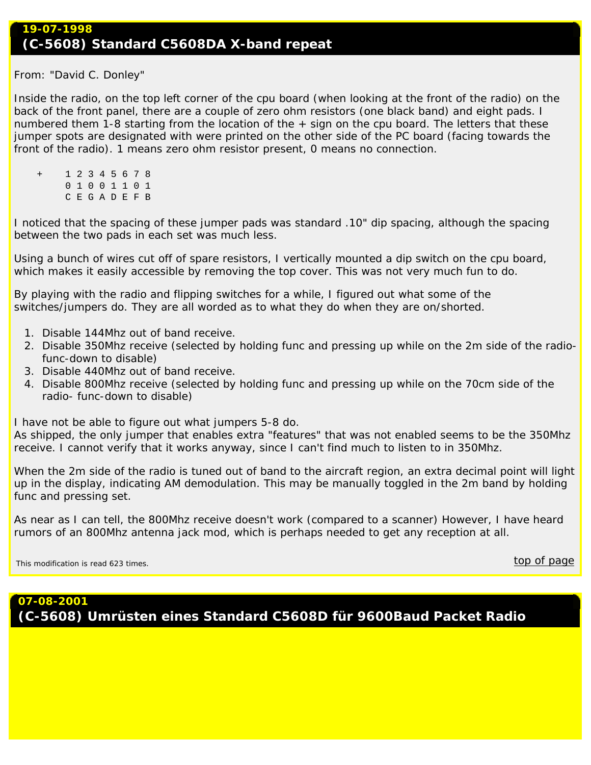## *From: "David C. Donley"*

Inside the radio, on the top left corner of the cpu board (when looking at the front of the radio) on the back of the front panel, there are a couple of zero ohm resistors (one black band) and eight pads. I numbered them 1-8 starting from the location of the  $+$  sign on the cpu board. The letters that these jumper spots are designated with were printed on the other side of the PC board (facing towards the front of the radio). 1 means zero ohm resistor present, 0 means no connection.

 + 1 2 3 4 5 6 7 8 0 1 0 0 1 1 0 1 C E G A D E F B

I noticed that the spacing of these jumper pads was standard .10" dip spacing, although the spacing between the two pads in each set was much less.

Using a bunch of wires cut off of spare resistors, I vertically mounted a dip switch on the cpu board, which makes it easily accessible by removing the top cover. This was not very much fun to do.

By playing with the radio and flipping switches for a while, I figured out what some of the switches/jumpers do. They are all worded as to what they do when they are on/shorted.

- 1. Disable 144Mhz out of band receive.
- 2. Disable 350Mhz receive (selected by holding func and pressing up while on the 2m side of the radiofunc-down to disable)
- 3. Disable 440Mhz out of band receive.
- 4. Disable 800Mhz receive (selected by holding func and pressing up while on the 70cm side of the radio- func-down to disable)

I have not be able to figure out what jumpers 5-8 do.

As shipped, the only jumper that enables extra "features" that was not enabled seems to be the 350Mhz receive. I cannot verify that it works anyway, since I can't find much to listen to in 350Mhz.

When the 2m side of the radio is tuned out of band to the aircraft region, an extra decimal point will light up in the display, indicating AM demodulation. This may be manually toggled in the 2m band by holding func and pressing set.

As near as I can tell, the 800Mhz receive doesn't work (compared to a scanner) However, I have heard rumors of an 800Mhz antenna jack mod, which is perhaps needed to get any reception at all.

<span id="page-52-0"></span>This modification is read 623 times. This modification is read 623 times.

**07-08-2001 (C-5608) Umrüsten eines Standard C5608D für 9600Baud Packet Radio**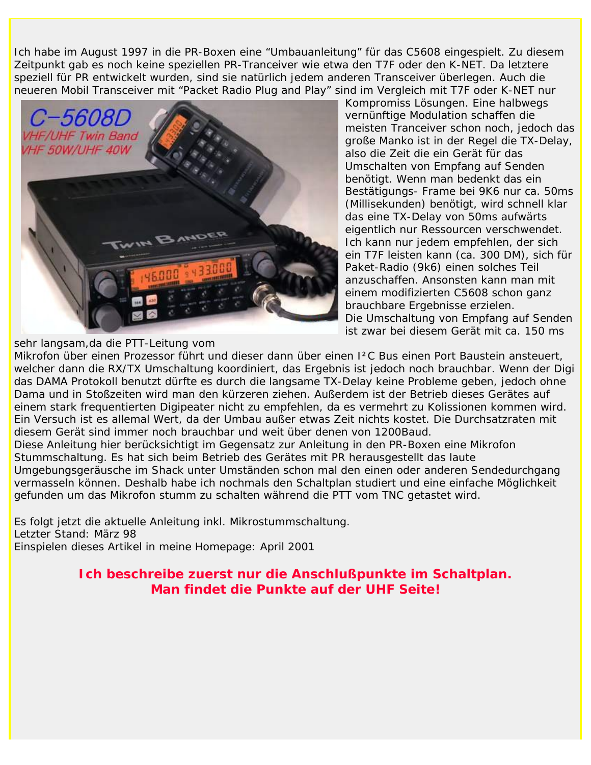Ich habe im August 1997 in die PR-Boxen eine "Umbauanleitung" für das C5608 eingespielt. Zu diesem Zeitpunkt gab es noch keine speziellen PR-Tranceiver wie etwa den T7F oder den K-NET. Da letztere speziell für PR entwickelt wurden, sind sie natürlich jedem anderen Transceiver überlegen. Auch die neueren Mobil Transceiver mit "Packet Radio Plug and Play" sind im Vergleich mit T7F oder K-NET nur



Kompromiss Lösungen. Eine halbwegs vernünftige Modulation schaffen die meisten Tranceiver schon noch, jedoch das große Manko ist in der Regel die TX-Delay, also die Zeit die ein Gerät für das Umschalten von Empfang auf Senden benötigt. Wenn man bedenkt das ein Bestätigungs- Frame bei 9K6 nur ca. 50ms (Millisekunden) benötigt, wird schnell klar das eine TX-Delay von 50ms aufwärts eigentlich nur Ressourcen verschwendet. Ich kann nur jedem empfehlen, der sich ein T7F leisten kann (ca. 300 DM), sich für Paket-Radio (9k6) einen solches Teil anzuschaffen. Ansonsten kann man mit einem modifizierten C5608 schon ganz brauchbare Ergebnisse erzielen. Die Umschaltung von Empfang auf Senden ist zwar bei diesem Gerät mit ca. 150 ms

sehr langsam,da die PTT-Leitung vom

Mikrofon über einen Prozessor führt und dieser dann über einen I²C Bus einen Port Baustein ansteuert, welcher dann die RX/TX Umschaltung koordiniert, das Ergebnis ist jedoch noch brauchbar. Wenn der Digi das DAMA Protokoll benutzt dürfte es durch die langsame TX-Delay keine Probleme geben, jedoch ohne Dama und in Stoßzeiten wird man den kürzeren ziehen. Außerdem ist der Betrieb dieses Gerätes auf einem stark frequentierten Digipeater nicht zu empfehlen, da es vermehrt zu Kolissionen kommen wird. Ein Versuch ist es allemal Wert, da der Umbau außer etwas Zeit nichts kostet. Die Durchsatzraten mit diesem Gerät sind immer noch brauchbar und weit über denen von 1200Baud. Diese Anleitung hier berücksichtigt im Gegensatz zur Anleitung in den PR-Boxen eine Mikrofon Stummschaltung. Es hat sich beim Betrieb des Gerätes mit PR herausgestellt das laute Umgebungsgeräusche im Shack unter Umständen schon mal den einen oder anderen Sendedurchgang vermasseln können. Deshalb habe ich nochmals den Schaltplan studiert und eine einfache Möglichkeit gefunden um das Mikrofon stumm zu schalten während die PTT vom TNC getastet wird.

Es folgt jetzt die aktuelle Anleitung inkl. Mikrostummschaltung. Letzter Stand: März 98 Einspielen dieses Artikel in meine Homepage: April 2001

> **Ich beschreibe zuerst nur die Anschlußpunkte im Schaltplan. Man findet die Punkte auf der UHF Seite!**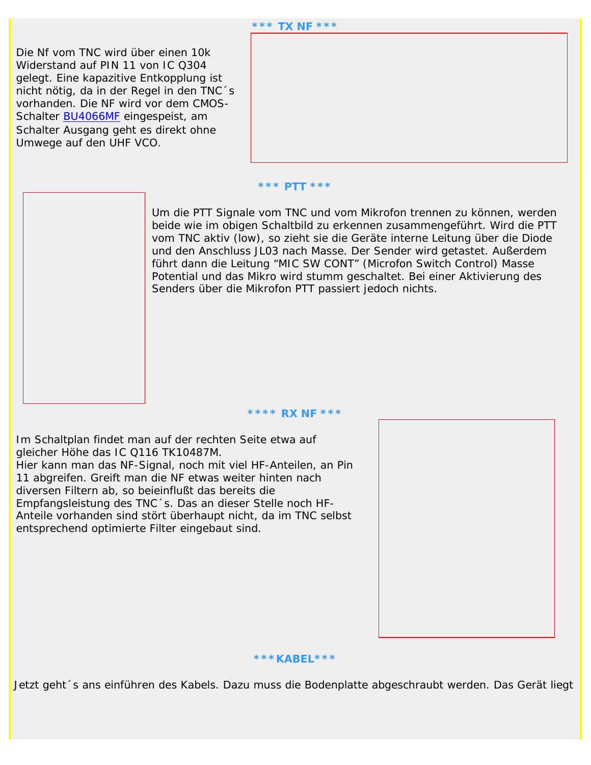Die Nf vom TNC wird über einen 10k Widerstand auf PIN 11 von IC Q304 gelegt. Eine kapazitive Entkopplung ist nicht nötig, da in der Regel in den TNC´s vorhanden. Die NF wird vor dem CMOS-Schalter [BU4066MF](http://www.semiconductors.philips.com/acrobat/datasheets/74HC_HCT4066_CNV_3.pdf) eingespeist, am Schalter Ausgang geht es direkt ohne Umwege auf den UHF VCO.

| *** TX NF *** |  |  |
|---------------|--|--|
|               |  |  |
|               |  |  |
|               |  |  |
|               |  |  |
|               |  |  |
|               |  |  |
|               |  |  |
|               |  |  |
|               |  |  |
|               |  |  |
|               |  |  |

#### **\*\*\* PTT \*\*\***

Um die PTT Signale vom TNC und vom Mikrofon trennen zu können, werden beide wie im obigen Schaltbild zu erkennen zusammengeführt. Wird die PTT vom TNC aktiv (low), so zieht sie die Geräte interne Leitung über die Diode und den Anschluss JL03 nach Masse. Der Sender wird getastet. Außerdem führt dann die Leitung "MIC SW CONT" (Microfon Switch Control) Masse Potential und das Mikro wird stumm geschaltet. Bei einer Aktivierung des Senders über die Mikrofon PTT passiert jedoch nichts.

#### **\*\*\*\* RX NF \*\*\***

Im Schaltplan findet man auf der rechten Seite etwa auf gleicher Höhe das IC Q116 TK10487M. Hier kann man das NF-Signal, noch mit viel HF-Anteilen, an Pin 11 abgreifen. Greift man die NF etwas weiter hinten nach diversen Filtern ab, so beieinflußt das bereits die Empfangsleistung des TNC´s. Das an dieser Stelle noch HF-Anteile vorhanden sind stört überhaupt nicht, da im TNC selbst entsprechend optimierte Filter eingebaut sind.



#### Jetzt geht´s ans einführen des Kabels. Dazu muss die Bodenplatte abgeschraubt werden. Das Gerät liegt

**\*\*\*KABEL\*\*\***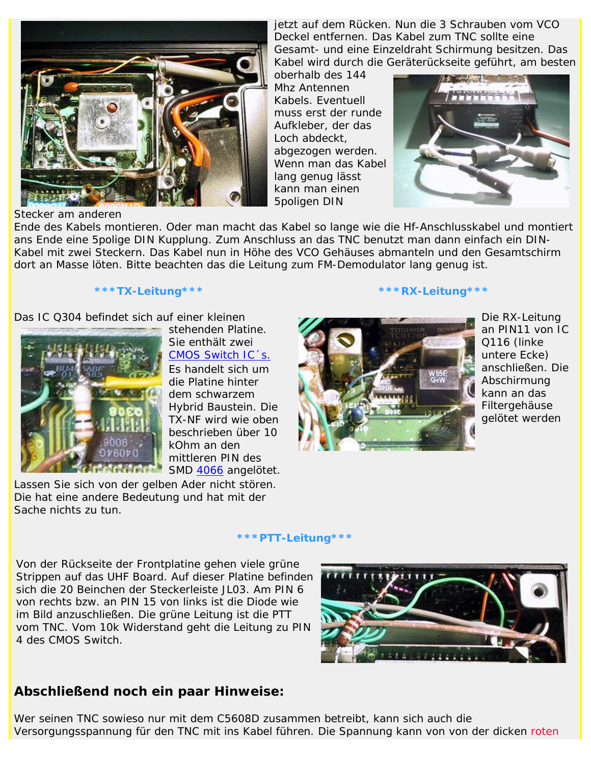

Stecker am anderen

jetzt auf dem Rücken. Nun die 3 Schrauben vom VCO Deckel entfernen. Das Kabel zum TNC sollte eine Gesamt- und eine Einzeldraht Schirmung besitzen. Das Kabel wird durch die Geräterückseite geführt, am besten

oberhalb des 144 Mhz Antennen Kabels. Eventuell muss erst der runde Aufkleber, der das Loch abdeckt, abgezogen werden. Wenn man das Kabel lang genug lässt kann man einen 5poligen DIN



Ende des Kabels montieren. Oder man macht das Kabel so lange wie die Hf-Anschlusskabel und montiert ans Ende eine 5polige DIN Kupplung. Zum Anschluss an das TNC benutzt man dann einfach ein DIN-Kabel mit zwei Steckern. Das Kabel nun in Höhe des VCO Gehäuses abmanteln und den Gesamtschirm dort an Masse löten. Bitte beachten das die Leitung zum FM-Demodulator lang genug ist.

#### **\*\*\*TX-Leitung\*\*\***

Das IC Q304 befindet sich auf einer kleinen



stehenden Platine. Sie enthält zwei [CMOS Switch IC´s.](http://www.semiconductors.philips.com/acrobat/datasheets/74HC_HCT4066_CNV_3.pdf) Es handelt sich um die Platine hinter dem schwarzem Hybrid Baustein. Die TX-NF wird wie oben beschrieben über 10 kOhm an den mittleren PIN des SMD [4066](http://www.semiconductors.philips.com/acrobat/datasheets/74HC_HCT4066_CNV_3.pdf) angelötet.

Lassen Sie sich von der gelben Ader nicht stören. Die hat eine andere Bedeutung und hat mit der Sache nichts zu tun.

#### **\*\*\*RX-Leitung\*\*\***



Die RX-Leitung an PIN11 von IC Q116 (linke untere Ecke) anschließen. Die Abschirmung kann an das Filtergehäuse gelötet werden

#### **\*\*\*PTT-Leitung\*\*\***

Von der Rückseite der Frontplatine gehen viele grüne Strippen auf das UHF Board. Auf dieser Platine befinden sich die 20 Beinchen der Steckerleiste JL03. Am PIN 6 von rechts bzw. an PIN 15 von links ist die Diode wie im Bild anzuschließen. Die grüne Leitung ist die PTT vom TNC. Vom 10k Widerstand geht die Leitung zu PIN 4 des CMOS Switch.



## **Abschließend noch ein paar Hinweise:**

Wer seinen TNC sowieso nur mit dem C5608D zusammen betreibt, kann sich auch die Versorgungsspannung für den TNC mit ins Kabel führen. Die Spannung kann von von der dicken roten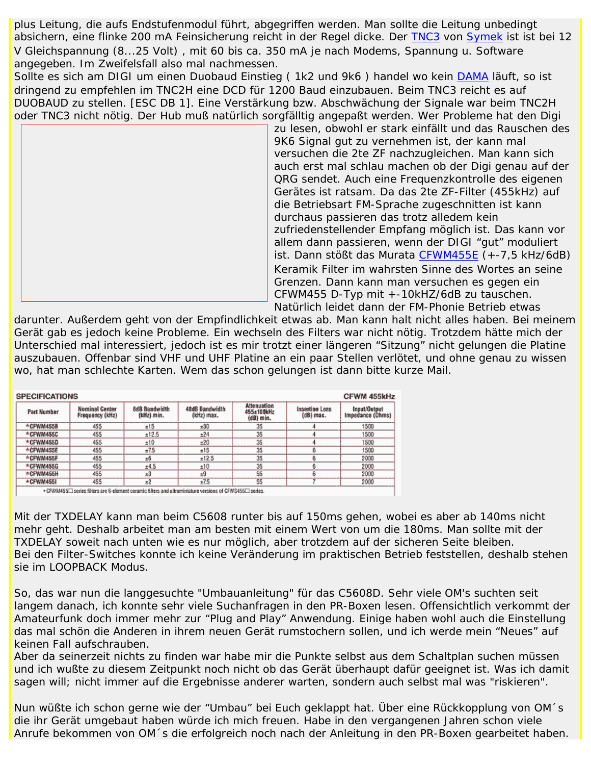plus Leitung, die aufs Endstufenmodul führt, abgegriffen werden. Man sollte die Leitung unbedingt absichern, eine flinke 200 mA Feinsicherung reicht in der Regel dicke. Der **[TNC3](http://www.symek.com/d/tnc3s.html)** von [Symek](http://www.symek.com/) ist ist bei 12 V Gleichspannung (8...25 Volt) , mit 60 bis ca. 350 mA je nach Modems, Spannung u. Software angegeben. Im Zweifelsfall also mal nachmessen.

Sollte es sich am DIGI um einen Duobaud Einstieg ( 1k2 und 9k6 ) handel wo kein [DAMA](http://www.symek.com/d/woerter.html#dama) läuft, so ist dringend zu empfehlen im TNC2H eine DCD für 1200 Baud einzubauen. Beim TNC3 reicht es auf DUOBAUD zu stellen. [ESC DB 1]. Eine Verstärkung bzw. Abschwächung der Signale war beim TNC2H oder TNC3 nicht nötig. Der Hub muß natürlich sorgfälltig angepaßt werden. Wer Probleme hat den Digi



zu lesen, obwohl er stark einfällt und das Rauschen des 9K6 Signal gut zu vernehmen ist, der kann mal versuchen die 2te ZF nachzugleichen. Man kann sich auch erst mal schlau machen ob der Digi genau auf der QRG sendet. Auch eine Frequenzkontrolle des eigenen Gerätes ist ratsam. Da das 2te ZF-Filter (455kHz) auf die Betriebsart FM-Sprache zugeschnitten ist kann durchaus passieren das trotz alledem kein zufriedenstellender Empfang möglich ist. Das kann vor allem dann passieren, wenn der DIGI "gut" moduliert ist. Dann stößt das Murata [CFWM455E](http://www.murata.com/murata/weblibrary.nsf/pdf/c14/$file/14_piezo_filters.pdf) (+-7,5 kHz/6dB) Keramik Filter im wahrsten Sinne des Wortes an seine Grenzen. Dann kann man versuchen es gegen ein CFWM455 D-Typ mit +-10kHZ/6dB zu tauschen. Natürlich leidet dann der FM-Phonie Betrieb etwas

darunter. Außerdem geht von der Empfindlichkeit etwas ab. Man kann halt nicht alles haben. Bei meinem Gerät gab es jedoch keine Probleme. Ein wechseln des Filters war nicht nötig. Trotzdem hätte mich der Unterschied mal interessiert, jedoch ist es mir trotzt einer längeren "Sitzung" nicht gelungen die Platine auszubauen. Offenbar sind VHF und UHF Platine an ein paar Stellen verlötet, und ohne genau zu wissen wo, hat man schlechte Karten. Wem das schon gelungen ist dann bitte kurze Mail.

| <b>SPECIFICATIONS</b><br>CFWM 455kHz                                                                   |                                          |                                    |                              |                                          |                                      |                                  |  |
|--------------------------------------------------------------------------------------------------------|------------------------------------------|------------------------------------|------------------------------|------------------------------------------|--------------------------------------|----------------------------------|--|
| Part Number                                                                                            | <b>Nominal Center</b><br>Frequency (kHz) | <b>6dB Bandwidth</b><br>(kHz) min. | 40dB Bandwidth<br>(kHz) max. | Attenuation<br>455±100kHz<br>$(dB)$ min. | <b>Insertion Loss</b><br>$(dB)$ max. | Input/Output<br>Impedance (Ohms) |  |
| *CFWM4S5B                                                                                              | 455                                      | $*15$                              | $*30$                        | 35                                       |                                      | 1500                             |  |
| *CFWM455C                                                                                              | 455                                      | ±12.5                              | 24                           | 35                                       |                                      | 1500                             |  |
| *CFWM455D                                                                                              | 455                                      | ±10                                | ±20                          | 35                                       |                                      | 1500                             |  |
| *CFWM455E                                                                                              | 455                                      | ±7.5                               | ±15                          | 35                                       |                                      | 1500                             |  |
| *CFWM455F                                                                                              | 455                                      | ±6                                 | ±12.5                        | 35                                       |                                      | 2000                             |  |
| *CFWM455G                                                                                              | 455                                      | ±4.5                               | ±10                          | 35                                       |                                      | 2000                             |  |
| *CFWM4S5H                                                                                              | 455                                      | $_{\pm 3}$                         | $+9$                         | 55                                       |                                      | 2000                             |  |
| *CFWM455I                                                                                              | 455                                      | $\pm 2$                            | ±7.5                         | 55                                       |                                      | 2000                             |  |
| . CEWN455□ series filters are S-element ceramic filters and ultraminiature versions of CEWS455□ series |                                          |                                    |                              |                                          |                                      |                                  |  |

Mit der TXDELAY kann man beim C5608 runter bis auf 150ms gehen, wobei es aber ab 140ms nicht mehr geht. Deshalb arbeitet man am besten mit einem Wert von um die 180ms. Man sollte mit der TXDELAY soweit nach unten wie es nur möglich, aber trotzdem auf der sicheren Seite bleiben. Bei den Filter-Switches konnte ich keine Veränderung im praktischen Betrieb feststellen, deshalb stehen sie im LOOPBACK Modus.

So, das war nun die langgesuchte "Umbauanleitung" für das C5608D. Sehr viele OM's suchten seit langem danach, ich konnte sehr viele Suchanfragen in den PR-Boxen lesen. Offensichtlich verkommt der Amateurfunk doch immer mehr zur "Plug and Play" Anwendung. Einige haben wohl auch die Einstellung das mal schön die Anderen in ihrem neuen Gerät rumstochern sollen, und ich werde mein "Neues" auf keinen Fall aufschrauben.

Aber da seinerzeit nichts zu finden war habe mir die Punkte selbst aus dem Schaltplan suchen müssen und ich wußte zu diesem Zeitpunkt noch nicht ob das Gerät überhaupt dafür geeignet ist. Was ich damit sagen will; nicht immer auf die Ergebnisse anderer warten, sondern auch selbst mal was "riskieren".

Nun wüßte ich schon gerne wie der "Umbau" bei Euch geklappt hat. Über eine Rückkopplung von OM´s die ihr Gerät umgebaut haben würde ich mich freuen. Habe in den vergangenen Jahren schon viele Anrufe bekommen von OM´s die erfolgreich noch nach der Anleitung in den PR-Boxen gearbeitet haben.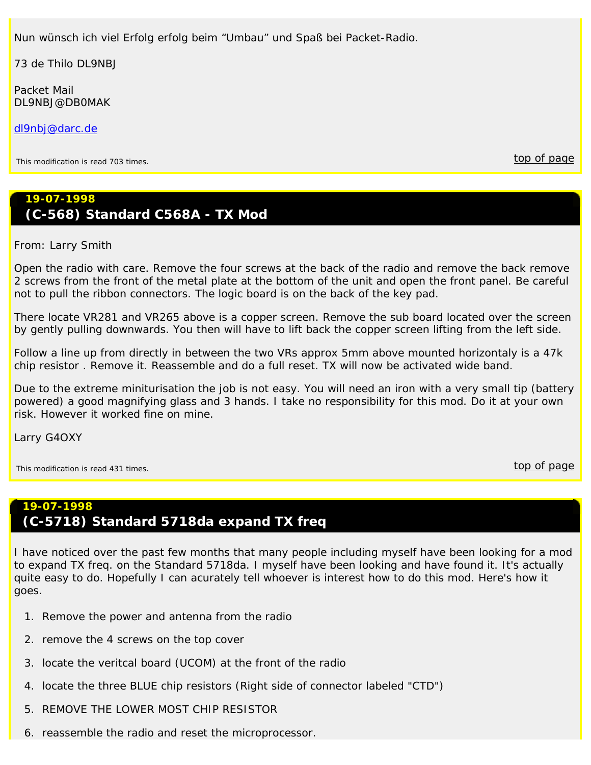Nun wünsch ich viel Erfolg erfolg beim "Umbau" und Spaß bei Packet-Radio.

73 de Thilo DL9NBJ

Packet Mail DL9NBJ@DB0MAK

[dl9nbj@darc.de](mailto:dl9nbj@darc.de)

<span id="page-57-0"></span>This modification is read 703 times. the control of the control of the control of the control of the control of page

## **19-07-1998 (C-568) Standard C568A - TX Mod**

#### *From: Larry Smith*

Open the radio with care. Remove the four screws at the back of the radio and remove the back remove 2 screws from the front of the metal plate at the bottom of the unit and open the front panel. Be careful not to pull the ribbon connectors. The logic board is on the back of the key pad.

There locate VR281 and VR265 above is a copper screen. Remove the sub board located over the screen by gently pulling downwards. You then will have to lift back the copper screen lifting from the left side.

Follow a line up from directly in between the two VRs approx 5mm above mounted horizontaly is a 47k chip resistor . Remove it. Reassemble and do a full reset. TX will now be activated wide band.

Due to the extreme miniturisation the job is not easy. You will need an iron with a very small tip (battery powered) a good magnifying glass and 3 hands. I take no responsibility for this mod. Do it at your own risk. However it worked fine on mine.

Larry G4OXY

<span id="page-57-1"></span>This modification is read 431 times. This modification is read 431 times.

## **19-07-1998 (C-5718) Standard 5718da expand TX freq**

I have noticed over the past few months that many people including myself have been looking for a mod to expand TX freq. on the Standard 5718da. I myself have been looking and have found it. It's actually quite easy to do. Hopefully I can acurately tell whoever is interest how to do this mod. Here's how it goes.

- 1. Remove the power and antenna from the radio
- 2. remove the 4 screws on the top cover
- 3. locate the veritcal board (UCOM) at the front of the radio
- 4. locate the three BLUE chip resistors (Right side of connector labeled "CTD")
- 5. REMOVE THE LOWER MOST CHIP RESISTOR
- 6. reassemble the radio and reset the microprocessor.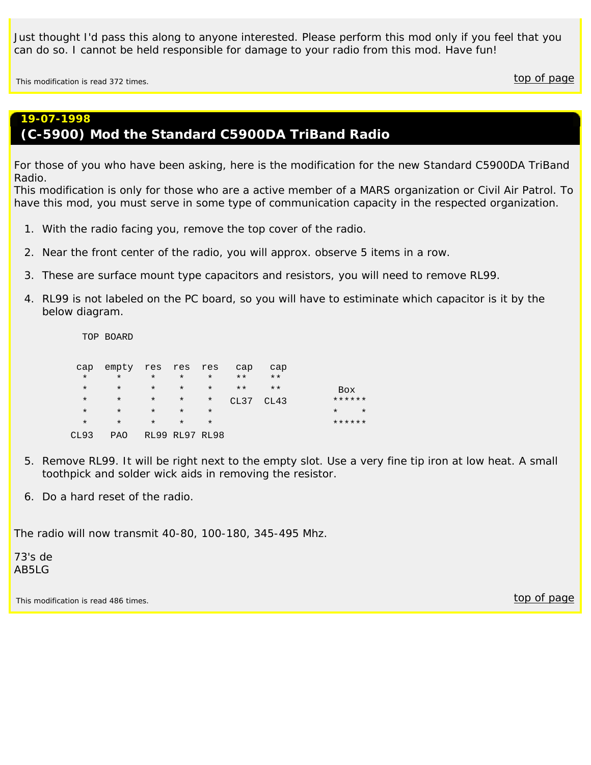Just thought I'd pass this along to anyone interested. Please perform this mod only if you feel that you can do so. I cannot be held responsible for damage to your radio from this mod. Have fun!

<span id="page-58-0"></span>This modification is read 372 times. This modification is read 372 times.

## **19-07-1998 (C-5900) Mod the Standard C5900DA TriBand Radio**

For those of you who have been asking, here is the modification for the new Standard C5900DA TriBand Radio.

This modification is only for those who are a active member of a MARS organization or Civil Air Patrol. To have this mod, you must serve in some type of communication capacity in the respected organization.

- 1. With the radio facing you, remove the top cover of the radio.
- 2. Near the front center of the radio, you will approx. observe 5 items in a row.
- 3. These are surface mount type capacitors and resistors, you will need to remove RL99.
- 4. RL99 is not labeled on the PC board, so you will have to estiminate which capacitor is it by the below diagram.

|         | TOP BOARD  |         |                |         |              |       |                    |
|---------|------------|---------|----------------|---------|--------------|-------|--------------------|
|         |            |         |                |         |              |       |                    |
| cap     | empty      | res res |                | res     | cap          | cap   |                    |
| $\star$ | $\star$    | $\star$ | $\star$        | $\star$ | $\star\star$ | $***$ |                    |
| $\star$ | $\star$    | $\star$ | $\star$        | $\star$ | $\star\star$ | $***$ | Box                |
| $\star$ | $\star$    | $\star$ | $\star$        | $\star$ | CL37         | CL43  | ******             |
| $\star$ | $\star$    | $\star$ | $\star$        | $\star$ |              |       | $\star$<br>$\star$ |
| $\star$ | $\star$    | $\star$ | $\star$        | $\star$ |              |       | ******             |
| CL93    | <b>PAO</b> |         | RL99 RL97 RL98 |         |              |       |                    |

- 5. Remove RL99. It will be right next to the empty slot. Use a very fine tip iron at low heat. A small toothpick and solder wick aids in removing the resistor.
- 6. Do a hard reset of the radio.

The radio will now transmit 40-80, 100-180, 345-495 Mhz.

73's de AB5LG

<span id="page-58-1"></span>This modification is read 486 times. This modification is read 486 times.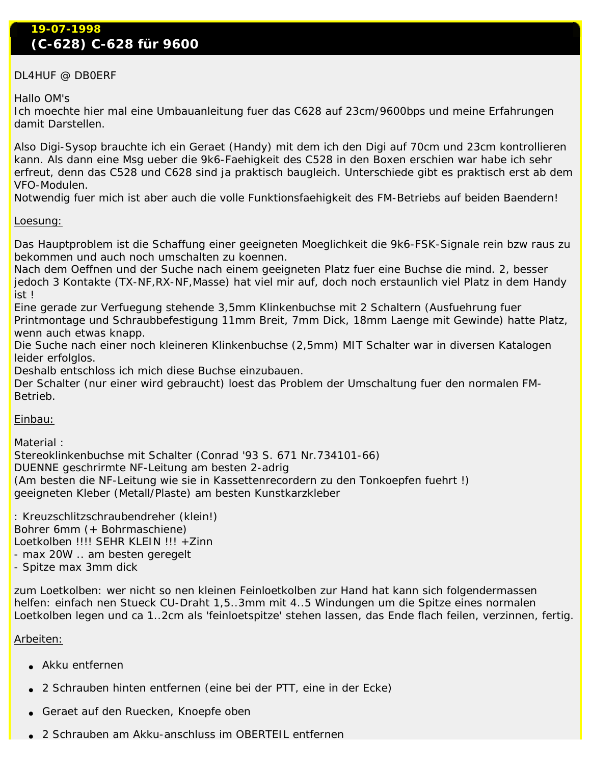## **19-07-1998 (C-628) C-628 für 9600**

## *DL4HUF @ DB0ERF*

## Hallo OM's

Ich moechte hier mal eine Umbauanleitung fuer das C628 auf 23cm/9600bps und meine Erfahrungen damit Darstellen.

Also Digi-Sysop brauchte ich ein Geraet (Handy) mit dem ich den Digi auf 70cm und 23cm kontrollieren kann. Als dann eine Msg ueber die 9k6-Faehigkeit des C528 in den Boxen erschien war habe ich sehr erfreut, denn das C528 und C628 sind ja praktisch baugleich. Unterschiede gibt es praktisch erst ab dem VFO-Modulen.

Notwendig fuer mich ist aber auch die volle Funktionsfaehigkeit des FM-Betriebs auf beiden Baendern!

## Loesung:

Das Hauptproblem ist die Schaffung einer geeigneten Moeglichkeit die 9k6-FSK-Signale rein bzw raus zu bekommen und auch noch umschalten zu koennen.

Nach dem Oeffnen und der Suche nach einem geeigneten Platz fuer eine Buchse die mind. 2, besser jedoch 3 Kontakte (TX-NF,RX-NF,Masse) hat viel mir auf, doch noch erstaunlich viel Platz in dem Handy ist !

Eine gerade zur Verfuegung stehende 3,5mm Klinkenbuchse mit 2 Schaltern (Ausfuehrung fuer Printmontage und Schraubbefestigung 11mm Breit, 7mm Dick, 18mm Laenge mit Gewinde) hatte Platz, wenn auch etwas knapp.

Die Suche nach einer noch kleineren Klinkenbuchse (2,5mm) MIT Schalter war in diversen Katalogen leider erfolglos.

Deshalb entschloss ich mich diese Buchse einzubauen.

Der Schalter (nur einer wird gebraucht) loest das Problem der Umschaltung fuer den normalen FM-Betrieb.

## Einbau:

Material :

Stereoklinkenbuchse mit Schalter (Conrad '93 S. 671 Nr.734101-66) DUENNE geschrirmte NF-Leitung am besten 2-adrig (Am besten die NF-Leitung wie sie in Kassettenrecordern zu den Tonkoepfen fuehrt !) geeigneten Kleber (Metall/Plaste) am besten Kunstkarzkleber

: Kreuzschlitzschraubendreher (klein!) Bohrer 6mm (+ Bohrmaschiene) Loetkolben !!!! SEHR KLEIN !!! +Zinn

- max 20W .. am besten geregelt

- Spitze max 3mm dick

zum Loetkolben: wer nicht so nen kleinen Feinloetkolben zur Hand hat kann sich folgendermassen helfen: einfach nen Stueck CU-Draht 1,5..3mm mit 4..5 Windungen um die Spitze eines normalen Loetkolben legen und ca 1..2cm als 'feinloetspitze' stehen lassen, das Ende flach feilen, verzinnen, fertig.

Arbeiten:

- Akku entfernen
- 2 Schrauben hinten entfernen (eine bei der PTT, eine in der Ecke)
- Geraet auf den Ruecken, Knoepfe oben
- 2 Schrauben am Akku-anschluss im OBERTEIL entfernen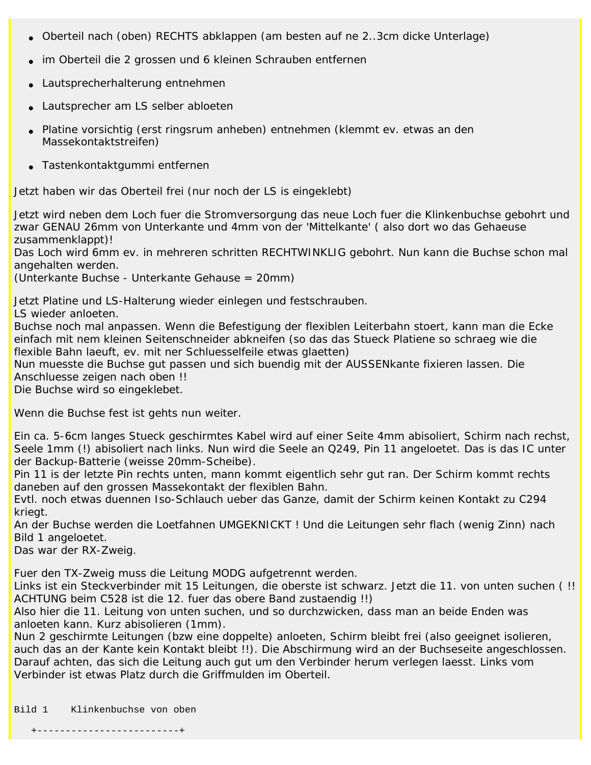- Oberteil nach (oben) RECHTS abklappen (am besten auf ne 2..3cm dicke Unterlage)
- im Oberteil die 2 grossen und 6 kleinen Schrauben entfernen
- Lautsprecherhalterung entnehmen
- Lautsprecher am LS selber abloeten
- Platine vorsichtig (erst ringsrum anheben) entnehmen (klemmt ev. etwas an den Massekontaktstreifen)
- Tastenkontaktgummi entfernen

Jetzt haben wir das Oberteil frei (nur noch der LS is eingeklebt)

Jetzt wird neben dem Loch fuer die Stromversorgung das neue Loch fuer die Klinkenbuchse gebohrt und zwar GENAU 26mm von Unterkante und 4mm von der 'Mittelkante' ( also dort wo das Gehaeuse zusammenklappt)!

Das Loch wird 6mm ev. in mehreren schritten RECHTWINKLIG gebohrt. Nun kann die Buchse schon mal angehalten werden.

(Unterkante Buchse - Unterkante Gehause = 20mm)

Jetzt Platine und LS-Halterung wieder einlegen und festschrauben. LS wieder anloeten.

Buchse noch mal anpassen. Wenn die Befestigung der flexiblen Leiterbahn stoert, kann man die Ecke einfach mit nem kleinen Seitenschneider abkneifen (so das das Stueck Platiene so schraeg wie die flexible Bahn laeuft, ev. mit ner Schluesselfeile etwas glaetten)

Nun muesste die Buchse gut passen und sich buendig mit der AUSSENkante fixieren lassen. Die Anschluesse zeigen nach oben !!

Die Buchse wird so eingeklebet.

Wenn die Buchse fest ist gehts nun weiter.

Ein ca. 5-6cm langes Stueck geschirmtes Kabel wird auf einer Seite 4mm abisoliert, Schirm nach rechst, Seele 1mm (!) abisoliert nach links. Nun wird die Seele an Q249, Pin 11 angeloetet. Das is das IC unter der Backup-Batterie (weisse 20mm-Scheibe).

Pin 11 is der letzte Pin rechts unten, mann kommt eigentlich sehr gut ran. Der Schirm kommt rechts daneben auf den grossen Massekontakt der flexiblen Bahn.

Evtl. noch etwas duennen Iso-Schlauch ueber das Ganze, damit der Schirm keinen Kontakt zu C294 kriegt.

An der Buchse werden die Loetfahnen UMGEKNICKT ! Und die Leitungen sehr flach (wenig Zinn) nach Bild 1 angeloetet.

Das war der RX-Zweig.

Fuer den TX-Zweig muss die Leitung MODG aufgetrennt werden.

Links ist ein Steckverbinder mit 15 Leitungen, die oberste ist schwarz. Jetzt die 11. von unten suchen ( !! ACHTUNG beim C528 ist die 12. fuer das obere Band zustaendig !!)

Also hier die 11. Leitung von unten suchen, und so durchzwicken, dass man an beide Enden was anloeten kann. Kurz abisolieren (1mm).

Nun 2 geschirmte Leitungen (bzw eine doppelte) anloeten, Schirm bleibt frei (also geeignet isolieren, auch das an der Kante kein Kontakt bleibt !!). Die Abschirmung wird an der Buchseseite angeschlossen. Darauf achten, das sich die Leitung auch gut um den Verbinder herum verlegen laesst. Links vom Verbinder ist etwas Platz durch die Griffmulden im Oberteil.

Bild 1 Klinkenbuchse von oben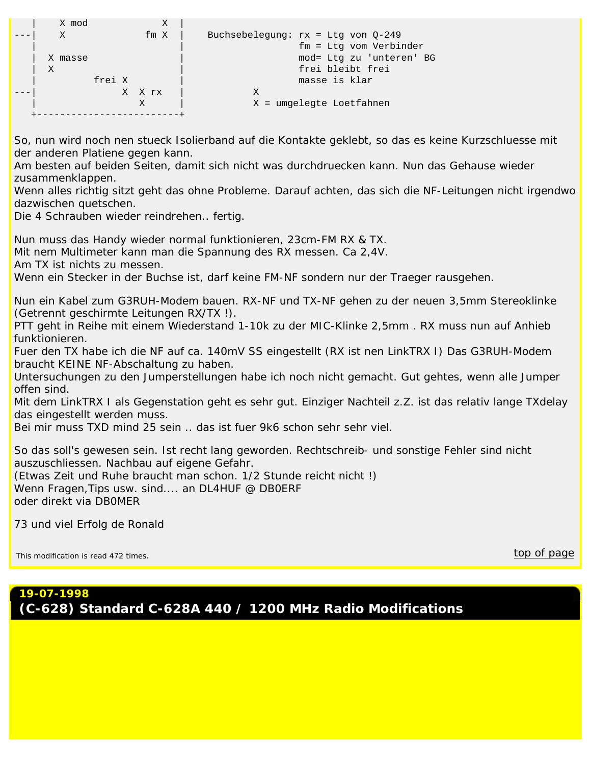| X mod   |        | Χ    |                                      |
|---------|--------|------|--------------------------------------|
| X       |        | fm X | Buchsebelegung: $rx = Ltg$ von Q-249 |
|         |        |      | fm = Ltg vom Verbinder               |
| X masse |        |      | mod= Ltg zu 'unteren' BG             |
| X       |        |      | frei bleibt frei                     |
|         | frei X |      | masse is klar                        |
|         | X      | X rx | X                                    |
|         |        |      | X = umgelegte Loetfahnen             |
|         |        |      |                                      |

So, nun wird noch nen stueck Isolierband auf die Kontakte geklebt, so das es keine Kurzschluesse mit der anderen Platiene gegen kann.

Am besten auf beiden Seiten, damit sich nicht was durchdruecken kann. Nun das Gehause wieder zusammenklappen.

Wenn alles richtig sitzt geht das ohne Probleme. Darauf achten, das sich die NF-Leitungen nicht irgendwo dazwischen quetschen.

Die 4 Schrauben wieder reindrehen.. fertig.

Nun muss das Handy wieder normal funktionieren, 23cm-FM RX & TX.

Mit nem Multimeter kann man die Spannung des RX messen. Ca 2,4V.

Am TX ist nichts zu messen.

Wenn ein Stecker in der Buchse ist, darf keine FM-NF sondern nur der Traeger rausgehen.

Nun ein Kabel zum G3RUH-Modem bauen. RX-NF und TX-NF gehen zu der neuen 3,5mm Stereoklinke (Getrennt geschirmte Leitungen RX/TX !).

PTT geht in Reihe mit einem Wiederstand 1-10k zu der MIC-Klinke 2,5mm . RX muss nun auf Anhieb funktionieren.

Fuer den TX habe ich die NF auf ca. 140mV SS eingestellt (RX ist nen LinkTRX I) Das G3RUH-Modem braucht KEINE NF-Abschaltung zu haben.

Untersuchungen zu den Jumperstellungen habe ich noch nicht gemacht. Gut gehtes, wenn alle Jumper offen sind.

Mit dem LinkTRX I als Gegenstation geht es sehr gut. Einziger Nachteil z.Z. ist das relativ lange TXdelay das eingestellt werden muss.

Bei mir muss TXD mind 25 sein .. das ist fuer 9k6 schon sehr sehr viel.

So das soll's gewesen sein. Ist recht lang geworden. Rechtschreib- und sonstige Fehler sind nicht auszuschliessen. Nachbau auf eigene Gefahr. (Etwas Zeit und Ruhe braucht man schon. 1/2 Stunde reicht nicht !) Wenn Fragen,Tips usw. sind.... an DL4HUF @ DB0ERF oder direkt via DB0MER

73 und viel Erfolg de Ronald

<span id="page-61-0"></span>This modification is read 472 times.  $\overline{\text{top of page}}$  $\overline{\text{top of page}}$  $\overline{\text{top of page}}$ 

## **19-07-1998 (C-628) Standard C-628A 440 / 1200 MHz Radio Modifications**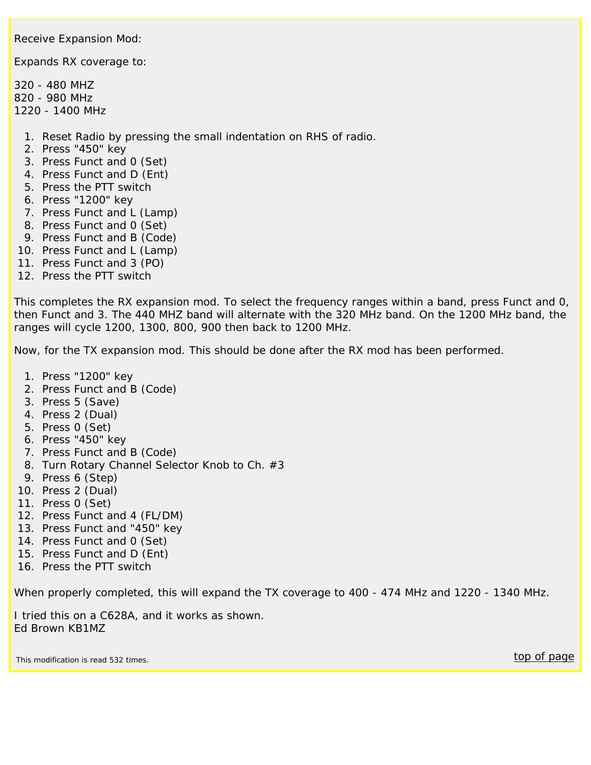Receive Expansion Mod:

Expands RX coverage to:

320 - 480 MHZ 820 - 980 MHz 1220 - 1400 MHz

- 1. Reset Radio by pressing the small indentation on RHS of radio.
- 2. Press "450" key
- 3. Press Funct and 0 (Set)
- 4. Press Funct and D (Ent)
- 5. Press the PTT switch
- 6. Press "1200" key
- 7. Press Funct and L (Lamp)
- 8. Press Funct and 0 (Set)
- 9. Press Funct and B (Code)
- 10. Press Funct and L (Lamp)
- 11. Press Funct and 3 (PO)
- 12. Press the PTT switch

This completes the RX expansion mod. To select the frequency ranges within a band, press Funct and 0, then Funct and 3. The 440 MHZ band will alternate with the 320 MHz band. On the 1200 MHz band, the ranges will cycle 1200, 1300, 800, 900 then back to 1200 MHz.

Now, for the TX expansion mod. This should be done after the RX mod has been performed.

- 1. Press "1200" key
- 2. Press Funct and B (Code)
- 3. Press 5 (Save)
- 4. Press 2 (Dual)
- 5. Press 0 (Set)
- 6. Press "450" key
- 7. Press Funct and B (Code)
- 8. Turn Rotary Channel Selector Knob to Ch. #3
- 9. Press 6 (Step)
- 10. Press 2 (Dual)
- 11. Press 0 (Set)
- 12. Press Funct and 4 (FL/DM)
- 13. Press Funct and "450" key
- 14. Press Funct and 0 (Set)
- 15. Press Funct and D (Ent)
- 16. Press the PTT switch

When properly completed, this will expand the TX coverage to 400 - 474 MHz and 1220 - 1340 MHz.

I tried this on a C628A, and it works as shown. Ed Brown KB1MZ

<span id="page-62-0"></span>This modification is read 532 times. the control of the control of the control of the control of the control of page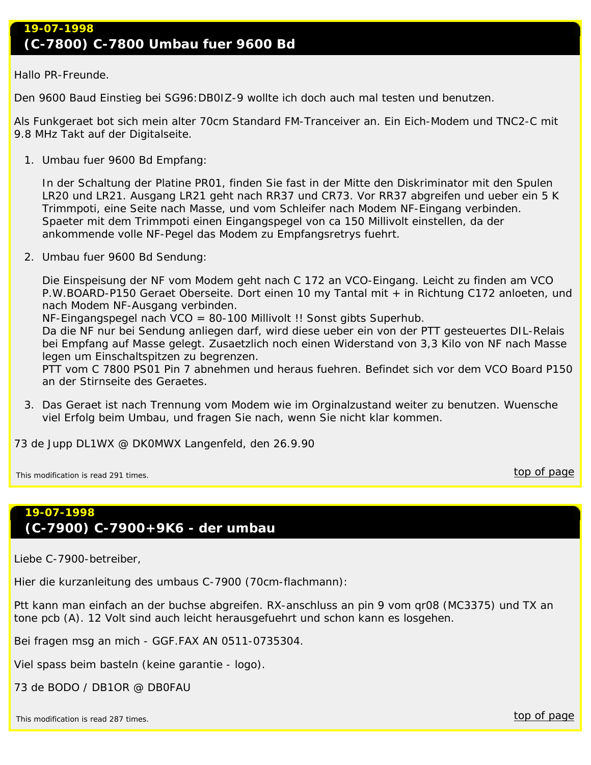Hallo PR-Freunde.

Den 9600 Baud Einstieg bei SG96:DB0IZ-9 wollte ich doch auch mal testen und benutzen.

Als Funkgeraet bot sich mein alter 70cm Standard FM-Tranceiver an. Ein Eich-Modem und TNC2-C mit 9.8 MHz Takt auf der Digitalseite.

1. Umbau fuer 9600 Bd Empfang:

In der Schaltung der Platine PR01, finden Sie fast in der Mitte den Diskriminator mit den Spulen LR20 und LR21. Ausgang LR21 geht nach RR37 und CR73. Vor RR37 abgreifen und ueber ein 5 K Trimmpoti, eine Seite nach Masse, und vom Schleifer nach Modem NF-Eingang verbinden. Spaeter mit dem Trimmpoti einen Eingangspegel von ca 150 Millivolt einstellen, da der ankommende volle NF-Pegel das Modem zu Empfangsretrys fuehrt.

2. Umbau fuer 9600 Bd Sendung:

Die Einspeisung der NF vom Modem geht nach C 172 an VCO-Eingang. Leicht zu finden am VCO P.W.BOARD-P150 Geraet Oberseite. Dort einen 10 my Tantal mit + in Richtung C172 anloeten, und nach Modem NF-Ausgang verbinden.

NF-Eingangspegel nach VCO = 80-100 Millivolt !! Sonst gibts Superhub.

Da die NF nur bei Sendung anliegen darf, wird diese ueber ein von der PTT gesteuertes DIL-Relais bei Empfang auf Masse gelegt. Zusaetzlich noch einen Widerstand von 3,3 Kilo von NF nach Masse legen um Einschaltspitzen zu begrenzen.

PTT vom C 7800 PS01 Pin 7 abnehmen und heraus fuehren. Befindet sich vor dem VCO Board P150 an der Stirnseite des Geraetes.

3. Das Geraet ist nach Trennung vom Modem wie im Orginalzustand weiter zu benutzen. Wuensche viel Erfolg beim Umbau, und fragen Sie nach, wenn Sie nicht klar kommen.

73 de Jupp DL1WX @ DK0MWX Langenfeld, den 26.9.90

<span id="page-63-0"></span>This modification is read 291 times.  $\overline{top\}$  of page

## **19-07-1998 (C-7900) C-7900+9K6 - der umbau**

Liebe C-7900-betreiber,

Hier die kurzanleitung des umbaus C-7900 (70cm-flachmann):

Ptt kann man einfach an der buchse abgreifen. RX-anschluss an pin 9 vom qr08 (MC3375) und TX an tone pcb (A). 12 Volt sind auch leicht herausgefuehrt und schon kann es losgehen.

Bei fragen msg an mich - GGF.FAX AN 0511-0735304.

Viel spass beim basteln (keine garantie - logo).

<span id="page-63-1"></span>73 de BODO / DB1OR @ DB0FAU